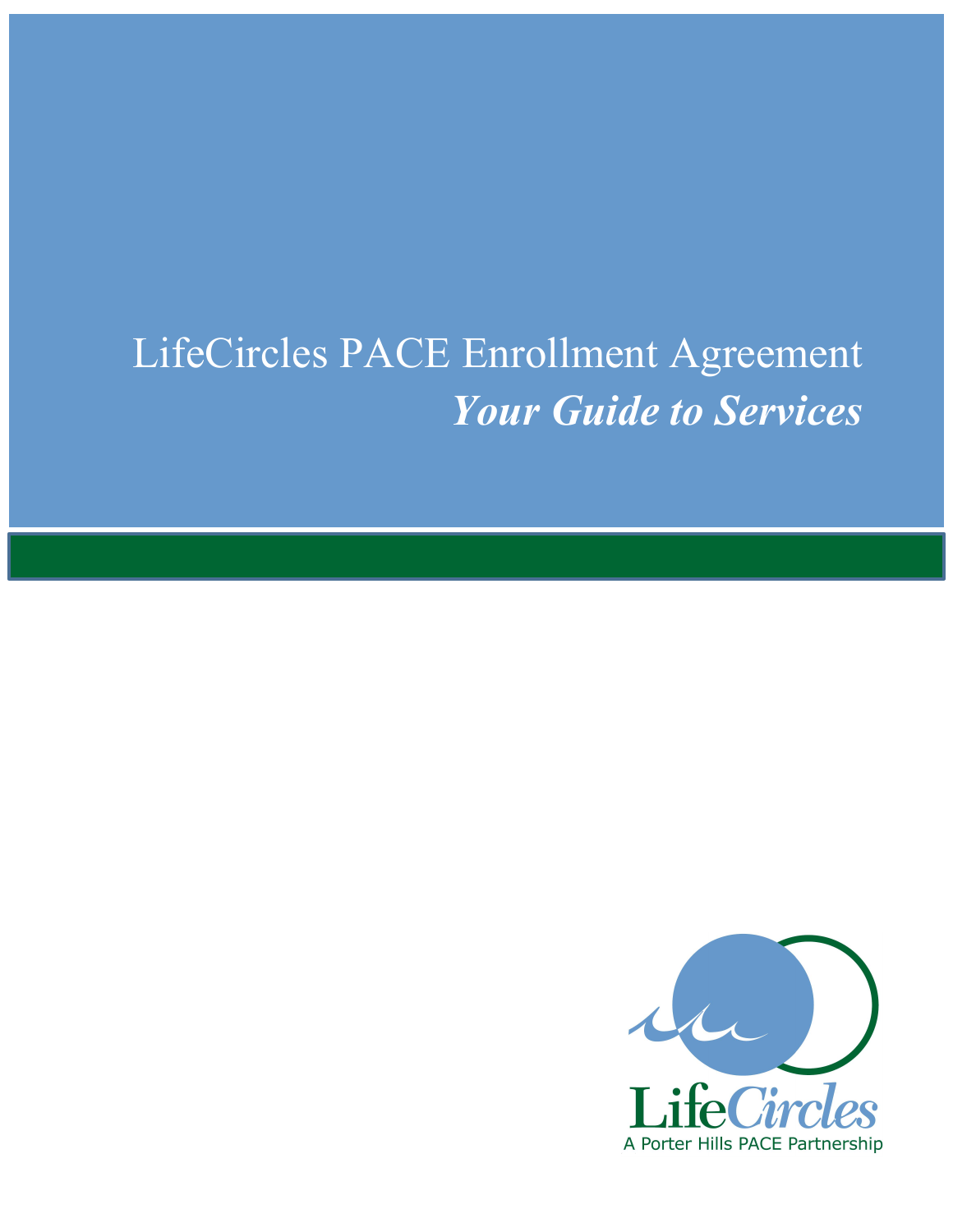# LifeCircles PACE Enrollment Agreement *Your Guide to Services*

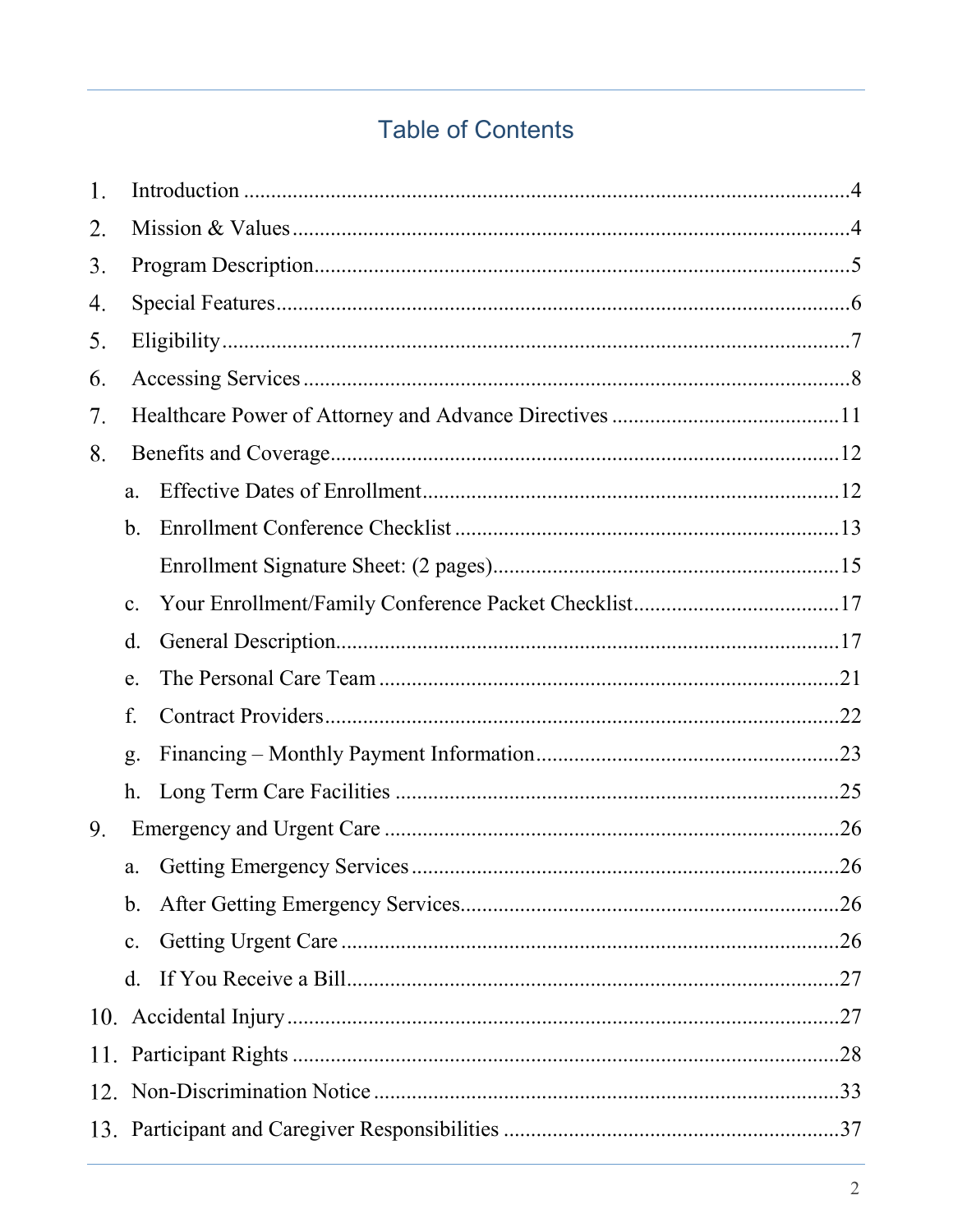# **Table of Contents**

| 1. |                |  |  |  |  |  |  |  |
|----|----------------|--|--|--|--|--|--|--|
| 2. |                |  |  |  |  |  |  |  |
| 3. |                |  |  |  |  |  |  |  |
| 4. |                |  |  |  |  |  |  |  |
| 5. |                |  |  |  |  |  |  |  |
| 6. |                |  |  |  |  |  |  |  |
| 7. |                |  |  |  |  |  |  |  |
| 8. |                |  |  |  |  |  |  |  |
|    | a.             |  |  |  |  |  |  |  |
|    | $\mathbf b$ .  |  |  |  |  |  |  |  |
|    |                |  |  |  |  |  |  |  |
|    | c.             |  |  |  |  |  |  |  |
|    | $\mathbf{d}$ . |  |  |  |  |  |  |  |
|    | e.             |  |  |  |  |  |  |  |
|    | f.             |  |  |  |  |  |  |  |
|    | g.             |  |  |  |  |  |  |  |
|    | h.             |  |  |  |  |  |  |  |
| 9. |                |  |  |  |  |  |  |  |
|    | a.             |  |  |  |  |  |  |  |
|    | $\mathbf{b}$ . |  |  |  |  |  |  |  |
|    | $\mathbf{c}$ . |  |  |  |  |  |  |  |
|    | $\rm d$ .      |  |  |  |  |  |  |  |
|    |                |  |  |  |  |  |  |  |
|    |                |  |  |  |  |  |  |  |
|    |                |  |  |  |  |  |  |  |
|    |                |  |  |  |  |  |  |  |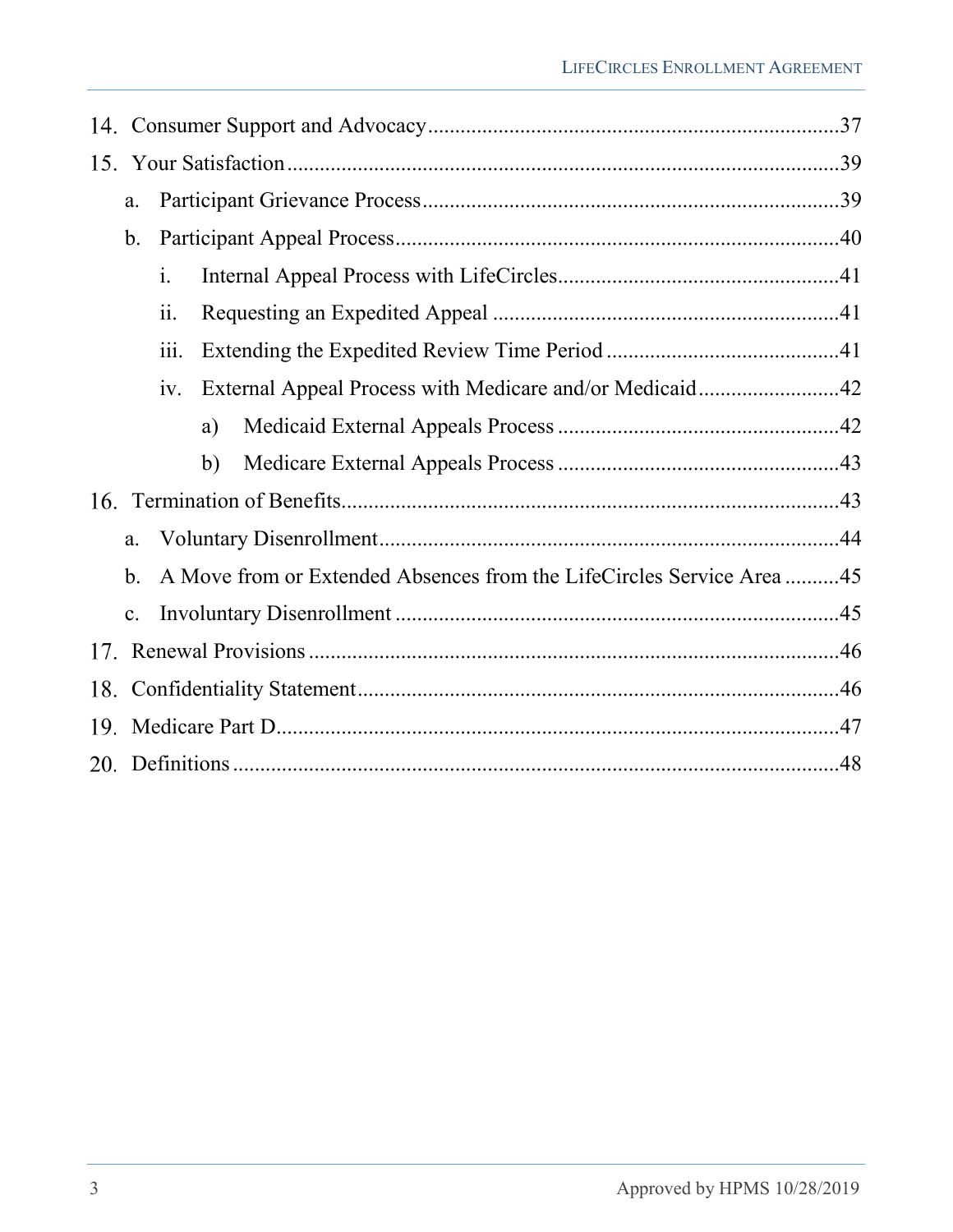|     | a.                                                                         |                |    |                                                         |  |  |  |  |
|-----|----------------------------------------------------------------------------|----------------|----|---------------------------------------------------------|--|--|--|--|
|     | $\mathbf b$ .                                                              |                |    |                                                         |  |  |  |  |
|     |                                                                            | $\mathbf{i}$ . |    |                                                         |  |  |  |  |
|     |                                                                            | ii.            |    |                                                         |  |  |  |  |
|     |                                                                            | 111.           |    |                                                         |  |  |  |  |
|     |                                                                            | iv.            |    | External Appeal Process with Medicare and/or Medicaid42 |  |  |  |  |
|     |                                                                            |                | a) |                                                         |  |  |  |  |
|     |                                                                            |                | b) |                                                         |  |  |  |  |
|     |                                                                            |                |    |                                                         |  |  |  |  |
| a.  |                                                                            |                |    |                                                         |  |  |  |  |
|     | A Move from or Extended Absences from the LifeCircles Service Area45<br>b. |                |    |                                                         |  |  |  |  |
|     | c.                                                                         |                |    |                                                         |  |  |  |  |
|     |                                                                            |                |    |                                                         |  |  |  |  |
| 18. |                                                                            |                |    |                                                         |  |  |  |  |
|     |                                                                            |                |    |                                                         |  |  |  |  |
|     |                                                                            |                |    |                                                         |  |  |  |  |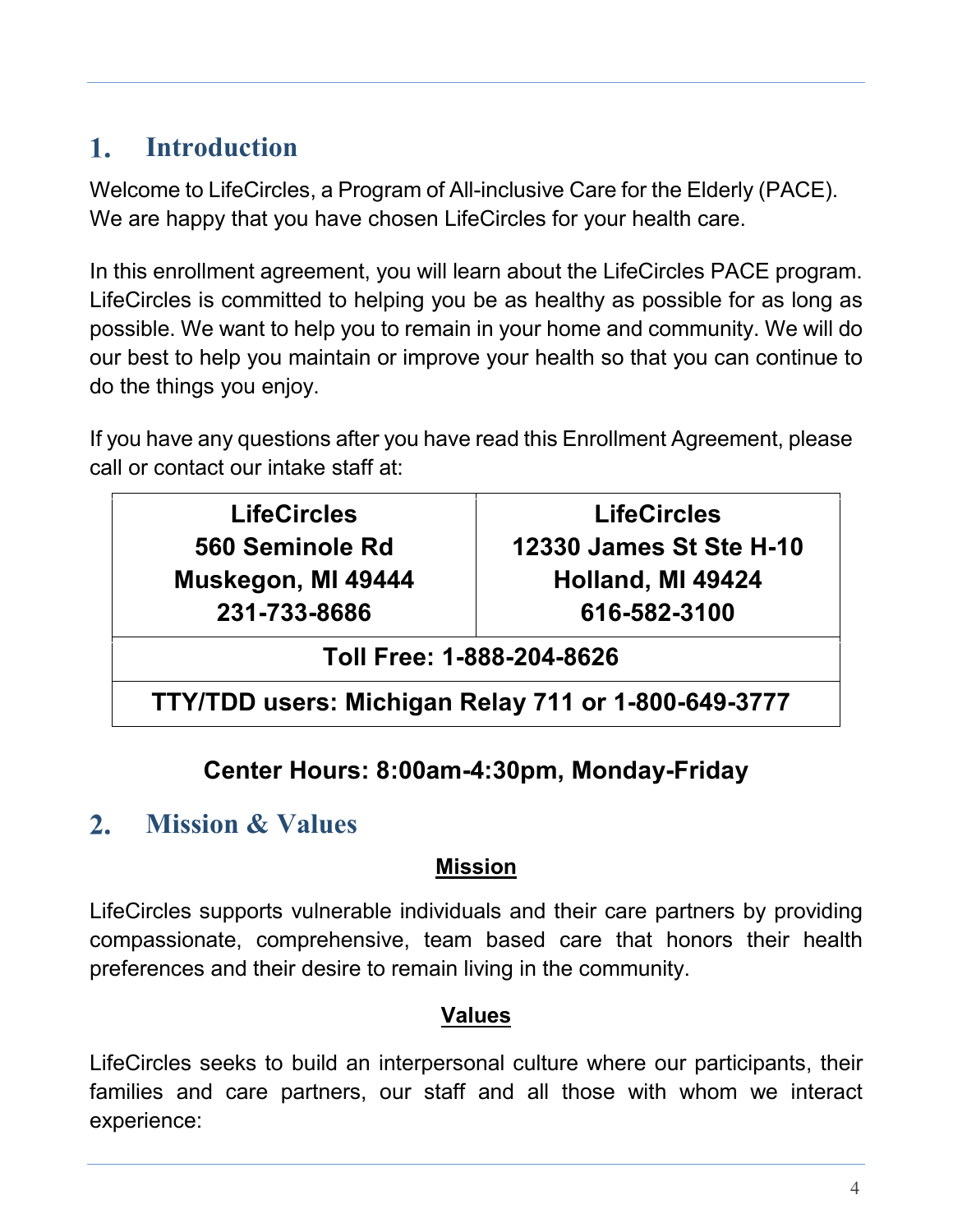#### <span id="page-3-0"></span> $1.$ **Introduction**

Welcome to LifeCircles, a Program of All-inclusive Care for the Elderly (PACE). We are happy that you have chosen LifeCircles for your health care.

In this enrollment agreement, you will learn about the LifeCircles PACE program. LifeCircles is committed to helping you be as healthy as possible for as long as possible. We want to help you to remain in your home and community. We will do our best to help you maintain or improve your health so that you can continue to do the things you enjoy.

If you have any questions after you have read this Enrollment Agreement, please call or contact our intake staff at:

**LifeCircles 560 Seminole Rd Muskegon, MI 49444 231-733-8686**

**LifeCircles 12330 James St Ste H-10 Holland, MI 49424 616-582-3100**

**Toll Free: 1-888-204-8626**

**TTY/TDD users: Michigan Relay 711 or 1-800-649-3777**

# **Center Hours: 8:00am-4:30pm, Monday-Friday**

#### <span id="page-3-1"></span> $2.$ **Mission & Values**

### **Mission**

LifeCircles supports vulnerable individuals and their care partners by providing compassionate, comprehensive, team based care that honors their health preferences and their desire to remain living in the community.

#### **Values**

LifeCircles seeks to build an interpersonal culture where our participants, their families and care partners, our staff and all those with whom we interact experience: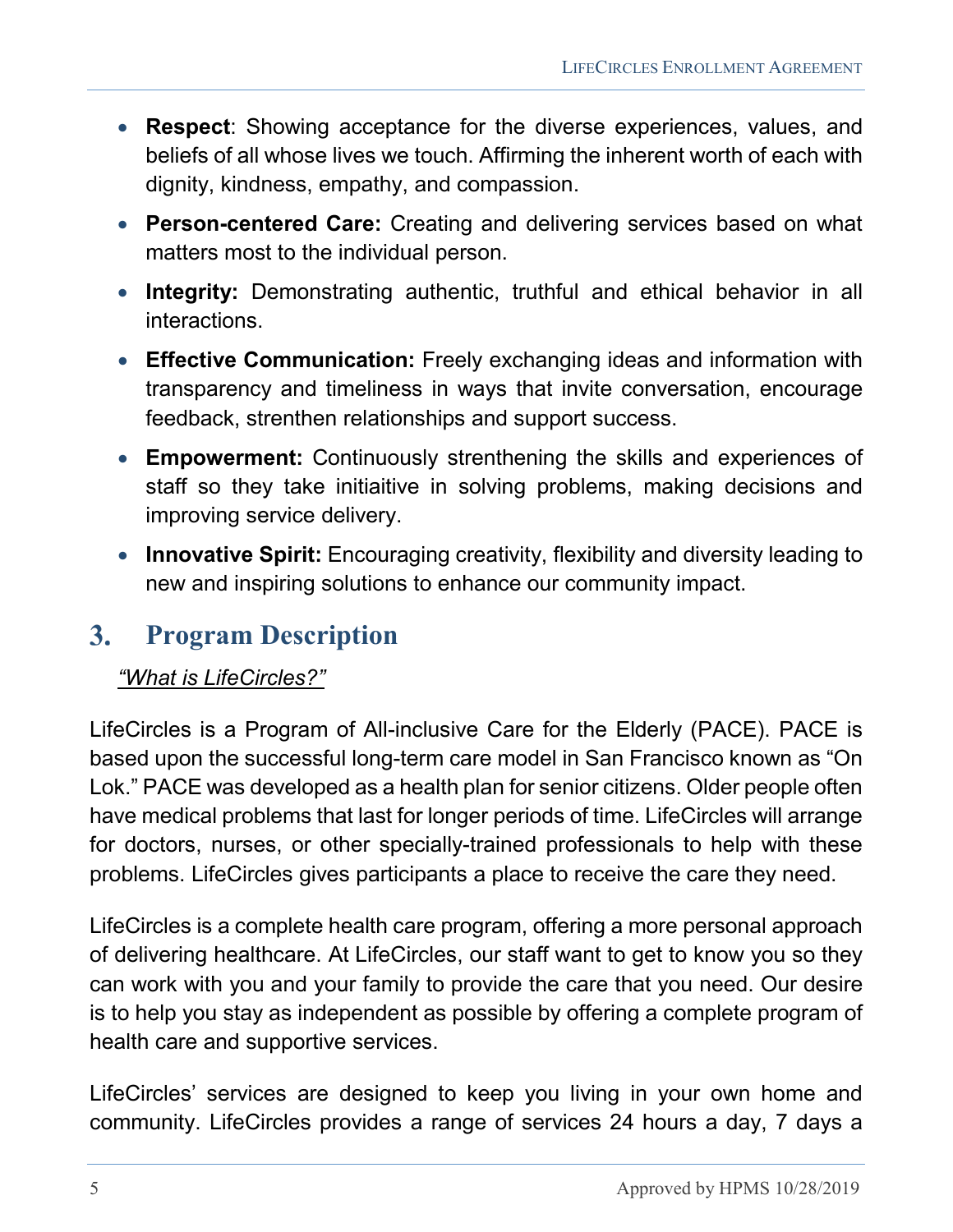- **Respect**: Showing acceptance for the diverse experiences, values, and beliefs of all whose lives we touch. Affirming the inherent worth of each with dignity, kindness, empathy, and compassion.
- **Person-centered Care:** Creating and delivering services based on what matters most to the individual person.
- **Integrity:** Demonstrating authentic, truthful and ethical behavior in all interactions.
- **Effective Communication:** Freely exchanging ideas and information with transparency and timeliness in ways that invite conversation, encourage feedback, strenthen relationships and support success.
- **Empowerment:** Continuously strenthening the skills and experiences of staff so they take initiaitive in solving problems, making decisions and improving service delivery.
- **Innovative Spirit:** Encouraging creativity, flexibility and diversity leading to new and inspiring solutions to enhance our community impact.

#### <span id="page-4-0"></span> $3.$ **Program Description**

#### *"What is LifeCircles?"*

LifeCircles is a Program of All-inclusive Care for the Elderly (PACE). PACE is based upon the successful long-term care model in San Francisco known as "On Lok." PACE was developed as a health plan for senior citizens. Older people often have medical problems that last for longer periods of time. LifeCircles will arrange for doctors, nurses, or other specially-trained professionals to help with these problems. LifeCircles gives participants a place to receive the care they need.

LifeCircles is a complete health care program, offering a more personal approach of delivering healthcare. At LifeCircles, our staff want to get to know you so they can work with you and your family to provide the care that you need. Our desire is to help you stay as independent as possible by offering a complete program of health care and supportive services.

LifeCircles' services are designed to keep you living in your own home and community. LifeCircles provides a range of services 24 hours a day, 7 days a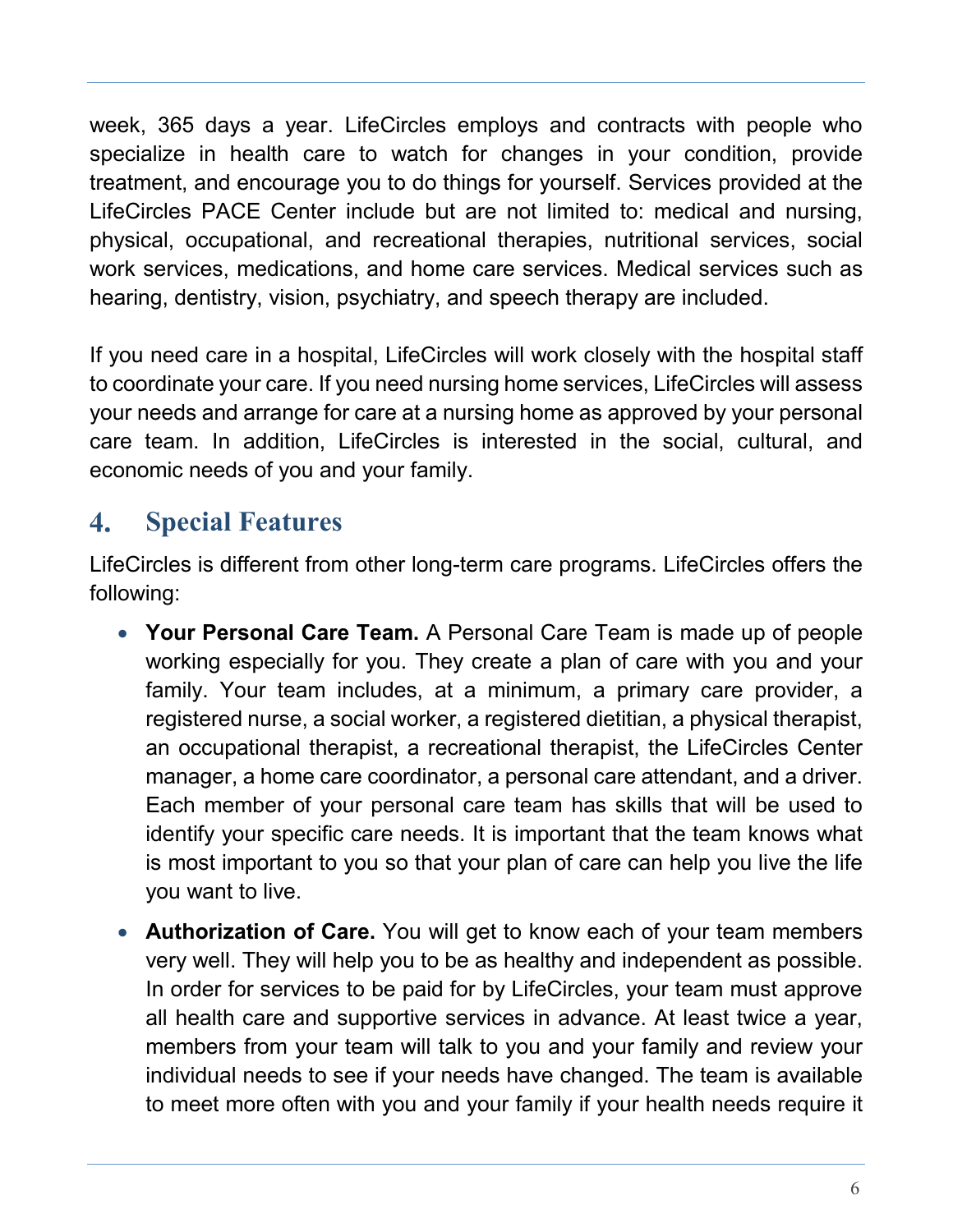week, 365 days a year. LifeCircles employs and contracts with people who specialize in health care to watch for changes in your condition, provide treatment, and encourage you to do things for yourself. Services provided at the LifeCircles PACE Center include but are not limited to: medical and nursing, physical, occupational, and recreational therapies, nutritional services, social work services, medications, and home care services. Medical services such as hearing, dentistry, vision, psychiatry, and speech therapy are included.

If you need care in a hospital, LifeCircles will work closely with the hospital staff to coordinate your care. If you need nursing home services, LifeCircles will assess your needs and arrange for care at a nursing home as approved by your personal care team. In addition, LifeCircles is interested in the social, cultural, and economic needs of you and your family.

#### <span id="page-5-0"></span> $\mathbf{4}_{\cdot}$ **Special Features**

LifeCircles is different from other long-term care programs. LifeCircles offers the following:

- **Your Personal Care Team.** A Personal Care Team is made up of people working especially for you. They create a plan of care with you and your family. Your team includes, at a minimum, a primary care provider, a registered nurse, a social worker, a registered dietitian, a physical therapist, an occupational therapist, a recreational therapist, the LifeCircles Center manager, a home care coordinator, a personal care attendant, and a driver. Each member of your personal care team has skills that will be used to identify your specific care needs. It is important that the team knows what is most important to you so that your plan of care can help you live the life you want to live.
- **Authorization of Care.** You will get to know each of your team members very well. They will help you to be as healthy and independent as possible. In order for services to be paid for by LifeCircles, your team must approve all health care and supportive services in advance. At least twice a year, members from your team will talk to you and your family and review your individual needs to see if your needs have changed. The team is available to meet more often with you and your family if your health needs require it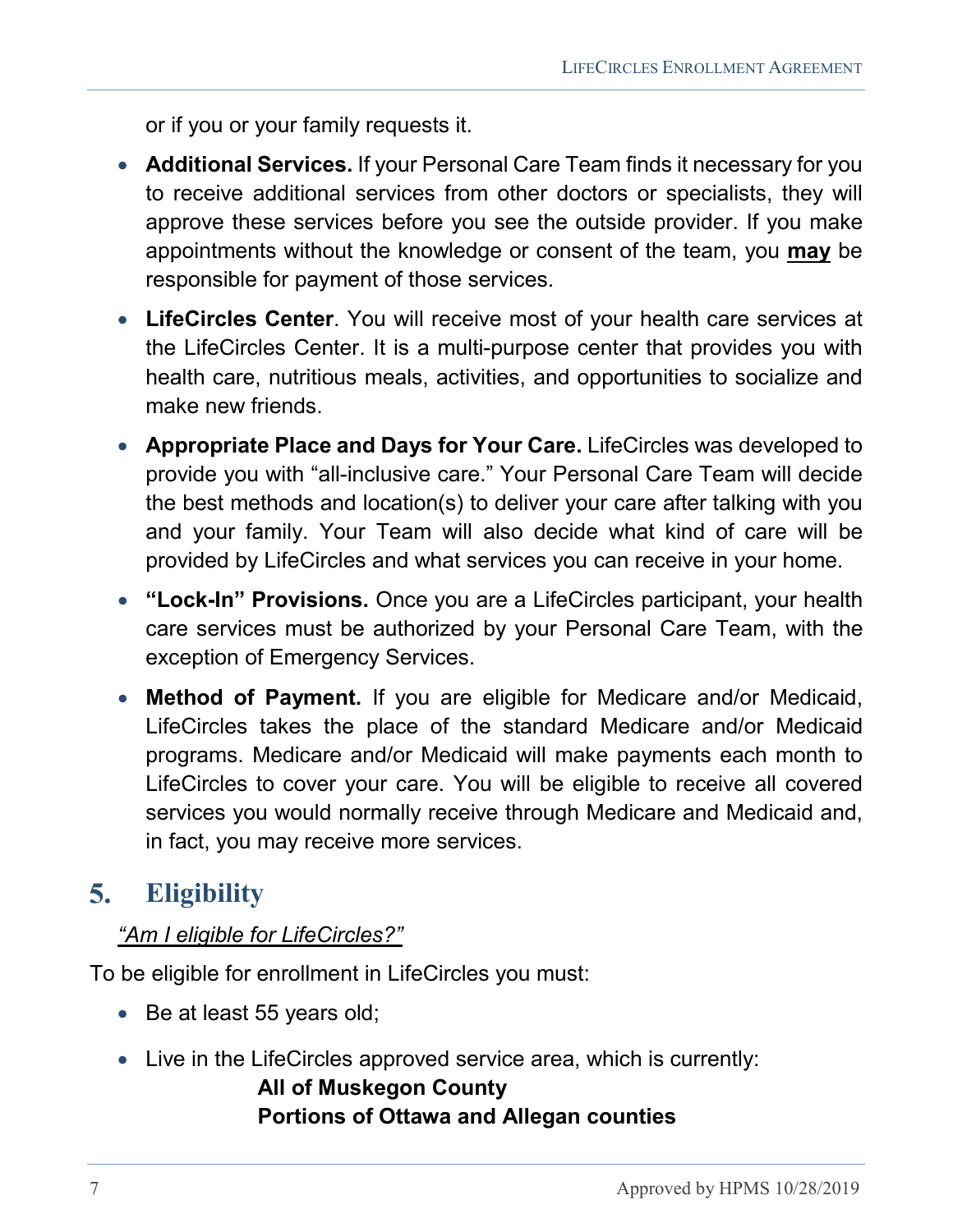or if you or your family requests it.

- **Additional Services.** If your Personal Care Team finds it necessary for you to receive additional services from other doctors or specialists, they will approve these services before you see the outside provider. If you make appointments without the knowledge or consent of the team, you **may** be responsible for payment of those services.
- **LifeCircles Center**. You will receive most of your health care services at the LifeCircles Center. It is a multi-purpose center that provides you with health care, nutritious meals, activities, and opportunities to socialize and make new friends.
- **Appropriate Place and Days for Your Care.** LifeCircles was developed to provide you with "all-inclusive care." Your Personal Care Team will decide the best methods and location(s) to deliver your care after talking with you and your family. Your Team will also decide what kind of care will be provided by LifeCircles and what services you can receive in your home.
- **"Lock-In" Provisions.** Once you are a LifeCircles participant, your health care services must be authorized by your Personal Care Team, with the exception of Emergency Services.
- **Method of Payment.** If you are eligible for Medicare and/or Medicaid, LifeCircles takes the place of the standard Medicare and/or Medicaid programs. Medicare and/or Medicaid will make payments each month to LifeCircles to cover your care. You will be eligible to receive all covered services you would normally receive through Medicare and Medicaid and, in fact, you may receive more services.

#### <span id="page-6-0"></span> $5.$ **Eligibility**

#### *"Am I eligible for LifeCircles?"*

To be eligible for enrollment in LifeCircles you must:

- Be at least 55 years old;
- Live in the LifeCircles approved service area, which is currently:

### **All of Muskegon County Portions of Ottawa and Allegan counties**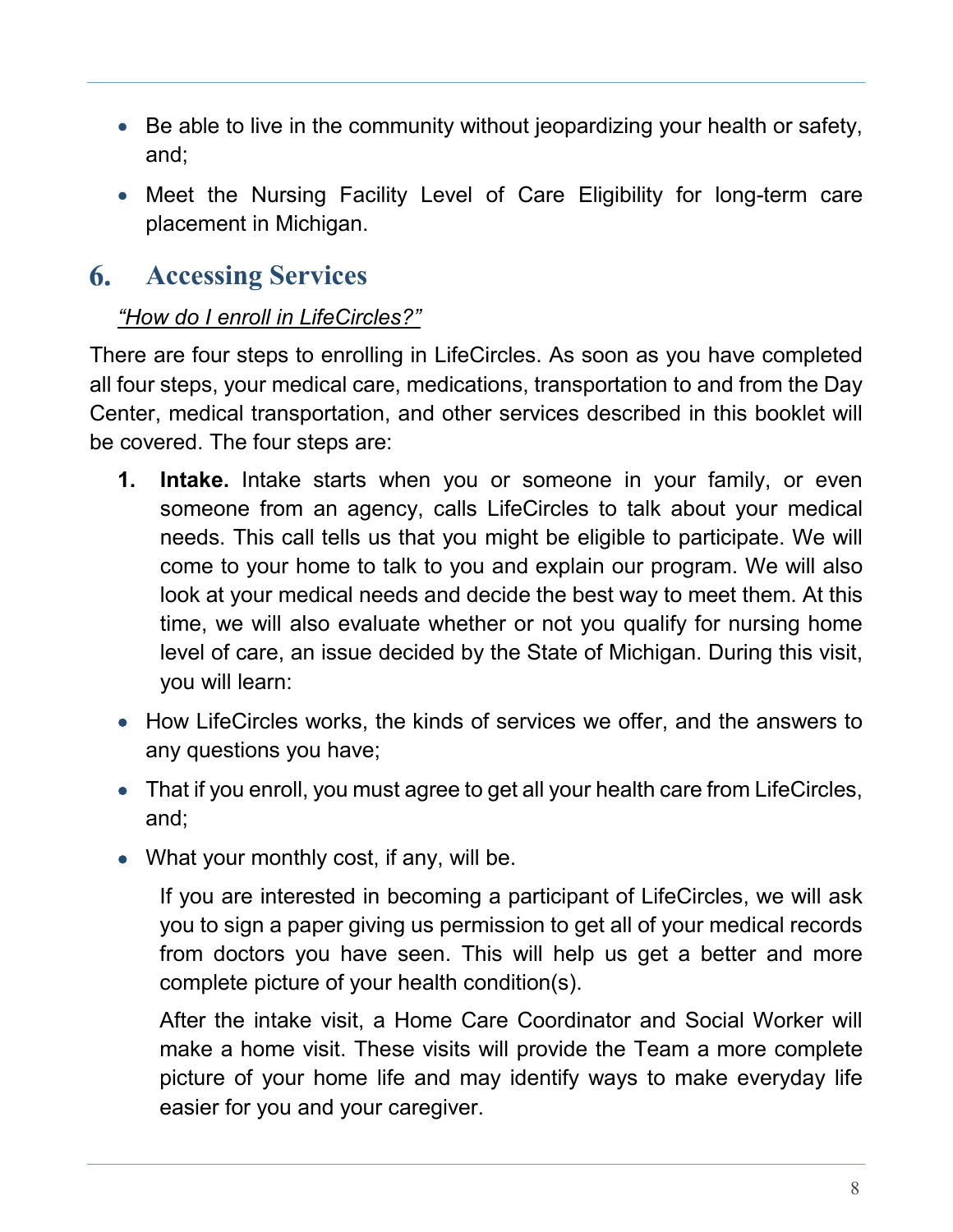- Be able to live in the community without jeopardizing your health or safety, and;
- Meet the Nursing Facility Level of Care Eligibility for long-term care placement in Michigan.

#### <span id="page-7-0"></span>6. **Accessing Services**

#### *"How do I enroll in LifeCircles?"*

There are four steps to enrolling in LifeCircles. As soon as you have completed all four steps, your medical care, medications, transportation to and from the Day Center, medical transportation, and other services described in this booklet will be covered. The four steps are:

- **1. Intake.** Intake starts when you or someone in your family, or even someone from an agency, calls LifeCircles to talk about your medical needs. This call tells us that you might be eligible to participate. We will come to your home to talk to you and explain our program. We will also look at your medical needs and decide the best way to meet them. At this time, we will also evaluate whether or not you qualify for nursing home level of care, an issue decided by the State of Michigan. During this visit, you will learn:
- How LifeCircles works, the kinds of services we offer, and the answers to any questions you have;
- That if you enroll, you must agree to get all your health care from LifeCircles, and;
- What your monthly cost, if any, will be.

If you are interested in becoming a participant of LifeCircles, we will ask you to sign a paper giving us permission to get all of your medical records from doctors you have seen. This will help us get a better and more complete picture of your health condition(s).

After the intake visit, a Home Care Coordinator and Social Worker will make a home visit. These visits will provide the Team a more complete picture of your home life and may identify ways to make everyday life easier for you and your caregiver.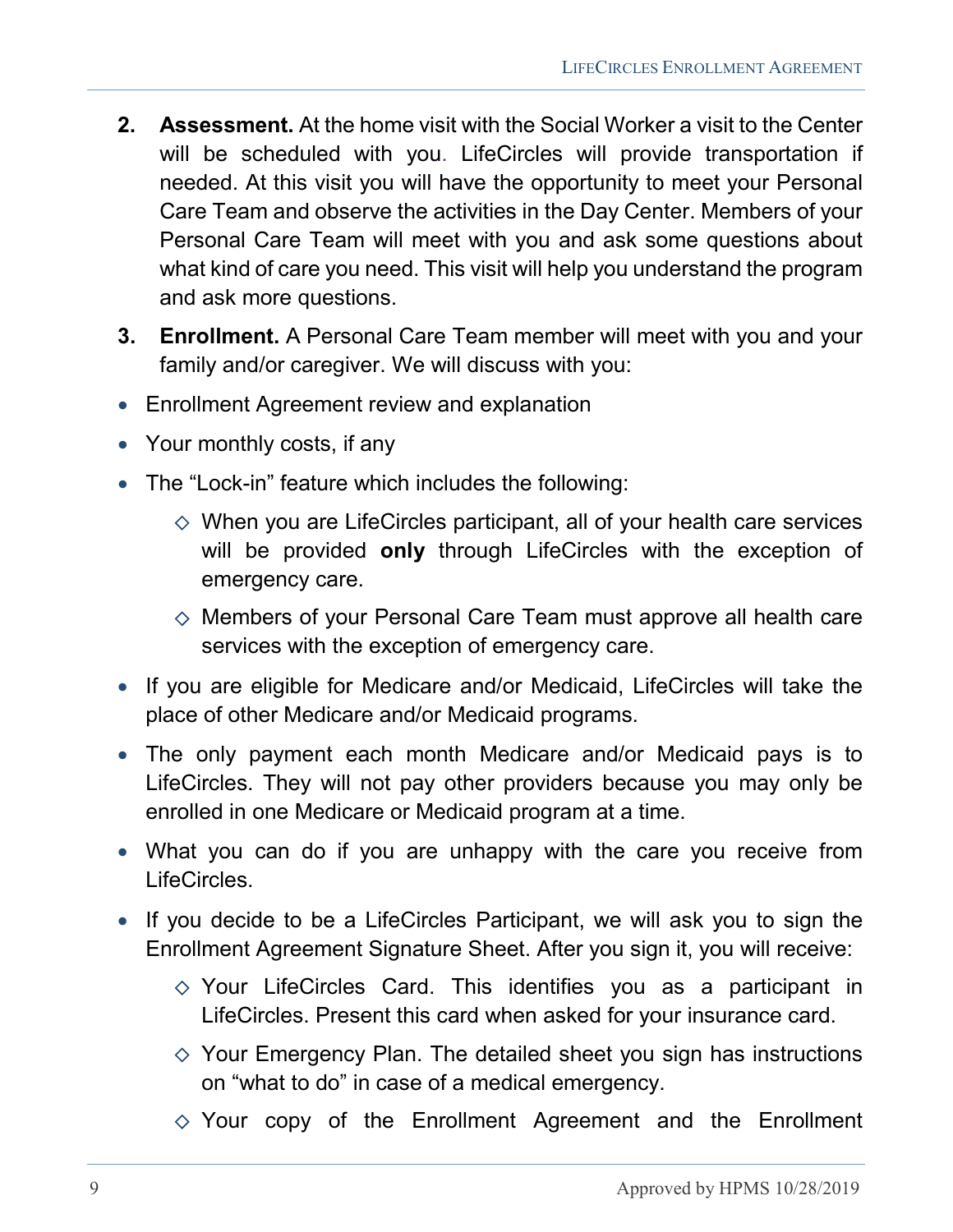- **2. Assessment.** At the home visit with the Social Worker a visit to the Center will be scheduled with you. LifeCircles will provide transportation if needed. At this visit you will have the opportunity to meet your Personal Care Team and observe the activities in the Day Center. Members of your Personal Care Team will meet with you and ask some questions about what kind of care you need. This visit will help you understand the program and ask more questions.
- **3. Enrollment.** A Personal Care Team member will meet with you and your family and/or caregiver. We will discuss with you:
- Enrollment Agreement review and explanation
- Your monthly costs, if any
- The "Lock-in" feature which includes the following:
	- $\Diamond$  When you are LifeCircles participant, all of your health care services will be provided **only** through LifeCircles with the exception of emergency care.
	- $\diamond$  Members of your Personal Care Team must approve all health care services with the exception of emergency care.
- If you are eligible for Medicare and/or Medicaid, LifeCircles will take the place of other Medicare and/or Medicaid programs.
- The only payment each month Medicare and/or Medicaid pays is to LifeCircles. They will not pay other providers because you may only be enrolled in one Medicare or Medicaid program at a time.
- What you can do if you are unhappy with the care you receive from LifeCircles.
- If you decide to be a LifeCircles Participant, we will ask you to sign the Enrollment Agreement Signature Sheet. After you sign it, you will receive:
	- $\diamond$  Your LifeCircles Card. This identifies you as a participant in LifeCircles. Present this card when asked for your insurance card.
	- $\Diamond$  Your Emergency Plan. The detailed sheet you sign has instructions on "what to do" in case of a medical emergency.
	- $\Diamond$  Your copy of the Enrollment Agreement and the Enrollment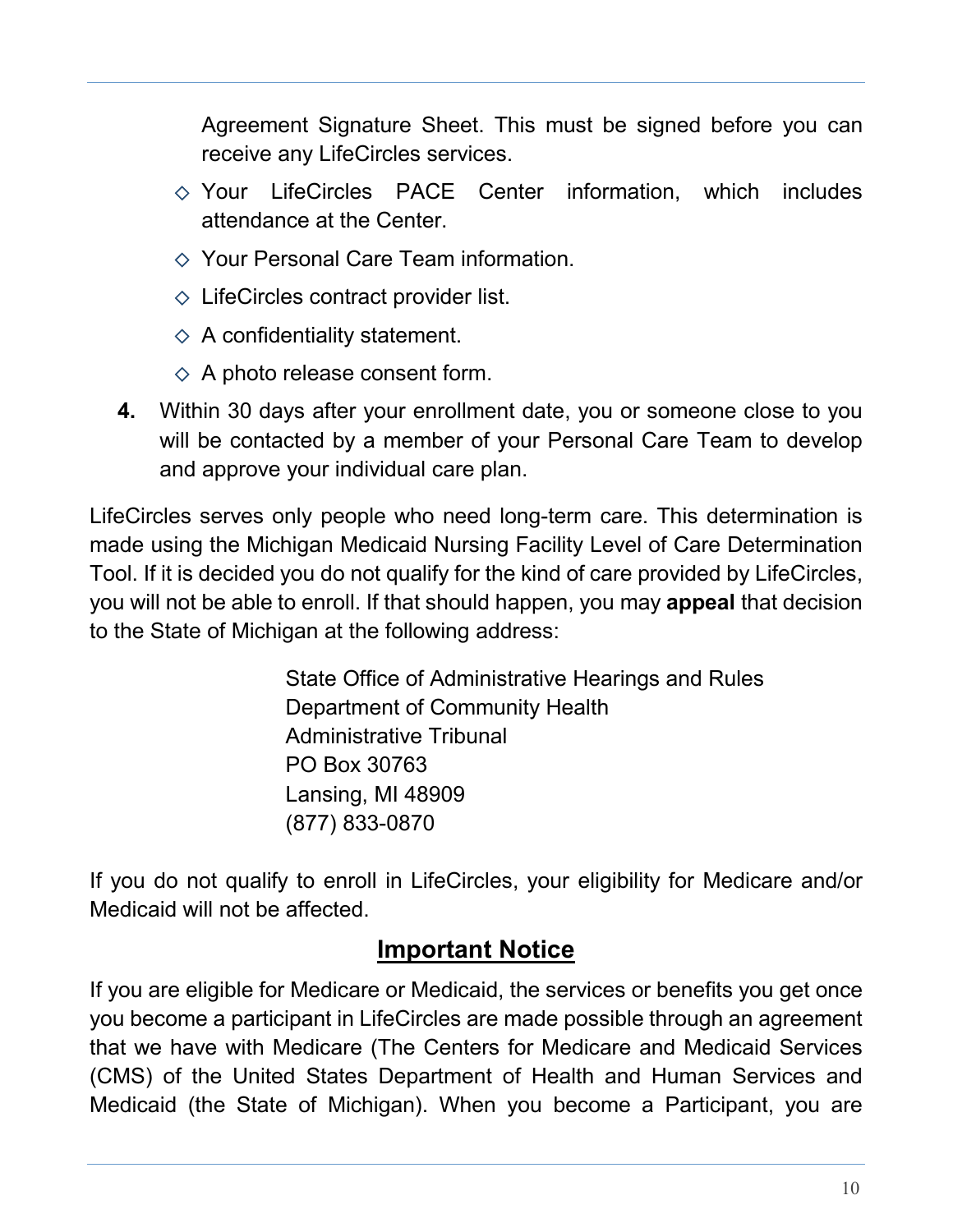Agreement Signature Sheet. This must be signed before you can receive any LifeCircles services.

- $\Diamond$  Your LifeCircles PACE Center information, which includes attendance at the Center.
- $\Diamond$  Your Personal Care Team information.
- $\Diamond$  LifeCircles contract provider list.
- $\Diamond$  A confidentiality statement.
- $\diamond$  A photo release consent form.
- **4.** Within 30 days after your enrollment date, you or someone close to you will be contacted by a member of your Personal Care Team to develop and approve your individual care plan.

LifeCircles serves only people who need long-term care. This determination is made using the Michigan Medicaid Nursing Facility Level of Care Determination Tool. If it is decided you do not qualify for the kind of care provided by LifeCircles, you will not be able to enroll. If that should happen, you may **appeal** that decision to the State of Michigan at the following address:

> State Office of Administrative Hearings and Rules Department of Community Health Administrative Tribunal PO Box 30763 Lansing, MI 48909 (877) 833-0870

If you do not qualify to enroll in LifeCircles, your eligibility for Medicare and/or Medicaid will not be affected.

# **Important Notice**

If you are eligible for Medicare or Medicaid, the services or benefits you get once you become a participant in LifeCircles are made possible through an agreement that we have with Medicare (The Centers for Medicare and Medicaid Services (CMS) of the United States Department of Health and Human Services and Medicaid (the State of Michigan). When you become a Participant, you are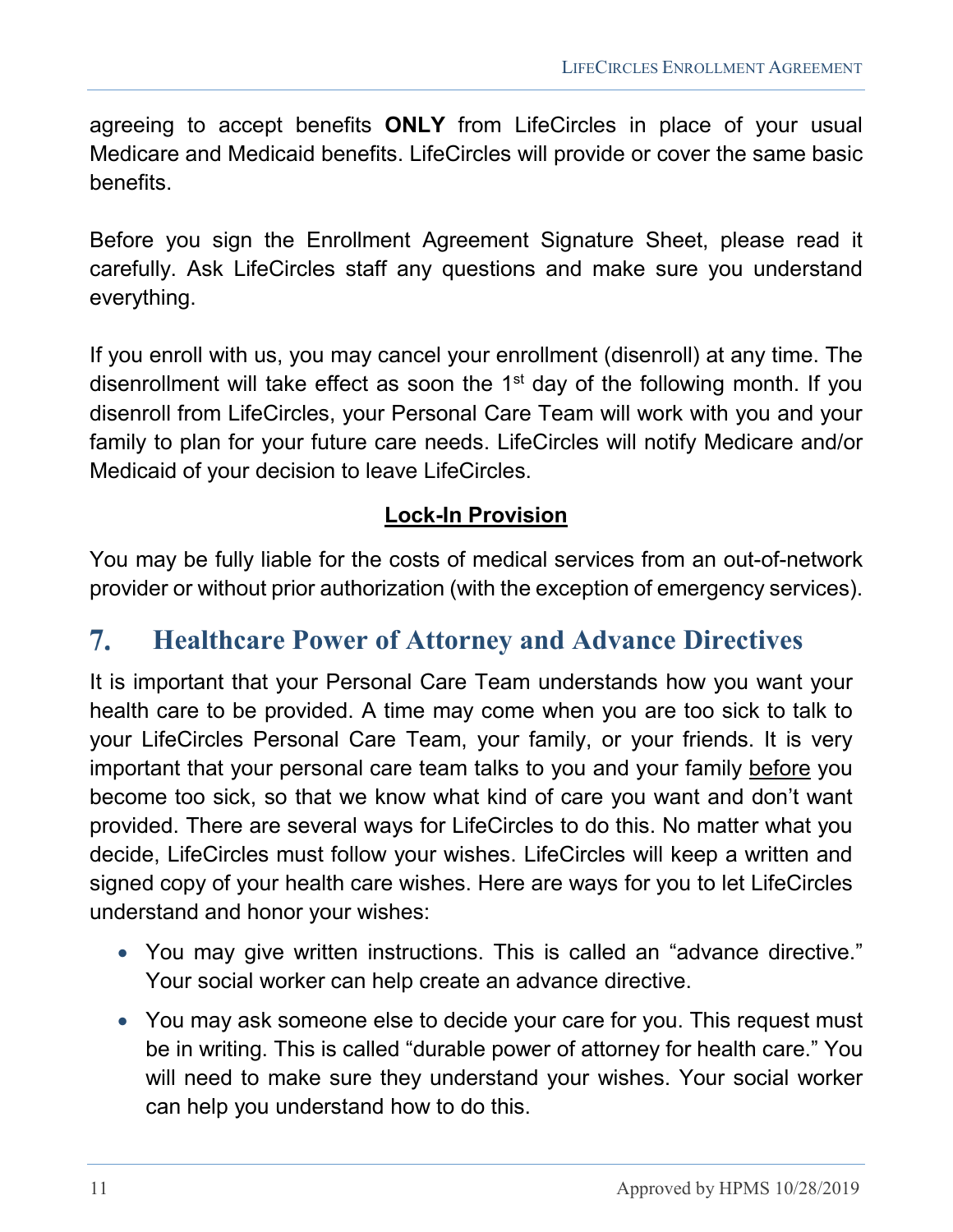agreeing to accept benefits **ONLY** from LifeCircles in place of your usual Medicare and Medicaid benefits. LifeCircles will provide or cover the same basic benefits.

Before you sign the Enrollment Agreement Signature Sheet, please read it carefully. Ask LifeCircles staff any questions and make sure you understand everything.

If you enroll with us, you may cancel your enrollment (disenroll) at any time. The disenrollment will take effect as soon the 1<sup>st</sup> day of the following month. If you disenroll from LifeCircles, your Personal Care Team will work with you and your family to plan for your future care needs. LifeCircles will notify Medicare and/or Medicaid of your decision to leave LifeCircles.

#### **Lock-In Provision**

You may be fully liable for the costs of medical services from an out-of-network provider or without prior authorization (with the exception of emergency services).

#### <span id="page-10-0"></span> $7.$ **Healthcare Power of Attorney and Advance Directives**

It is important that your Personal Care Team understands how you want your health care to be provided. A time may come when you are too sick to talk to your LifeCircles Personal Care Team, your family, or your friends. It is very important that your personal care team talks to you and your family before you become too sick, so that we know what kind of care you want and don't want provided. There are several ways for LifeCircles to do this. No matter what you decide, LifeCircles must follow your wishes. LifeCircles will keep a written and signed copy of your health care wishes. Here are ways for you to let LifeCircles understand and honor your wishes:

- You may give written instructions. This is called an "advance directive." Your social worker can help create an advance directive.
- You may ask someone else to decide your care for you. This request must be in writing. This is called "durable power of attorney for health care." You will need to make sure they understand your wishes. Your social worker can help you understand how to do this.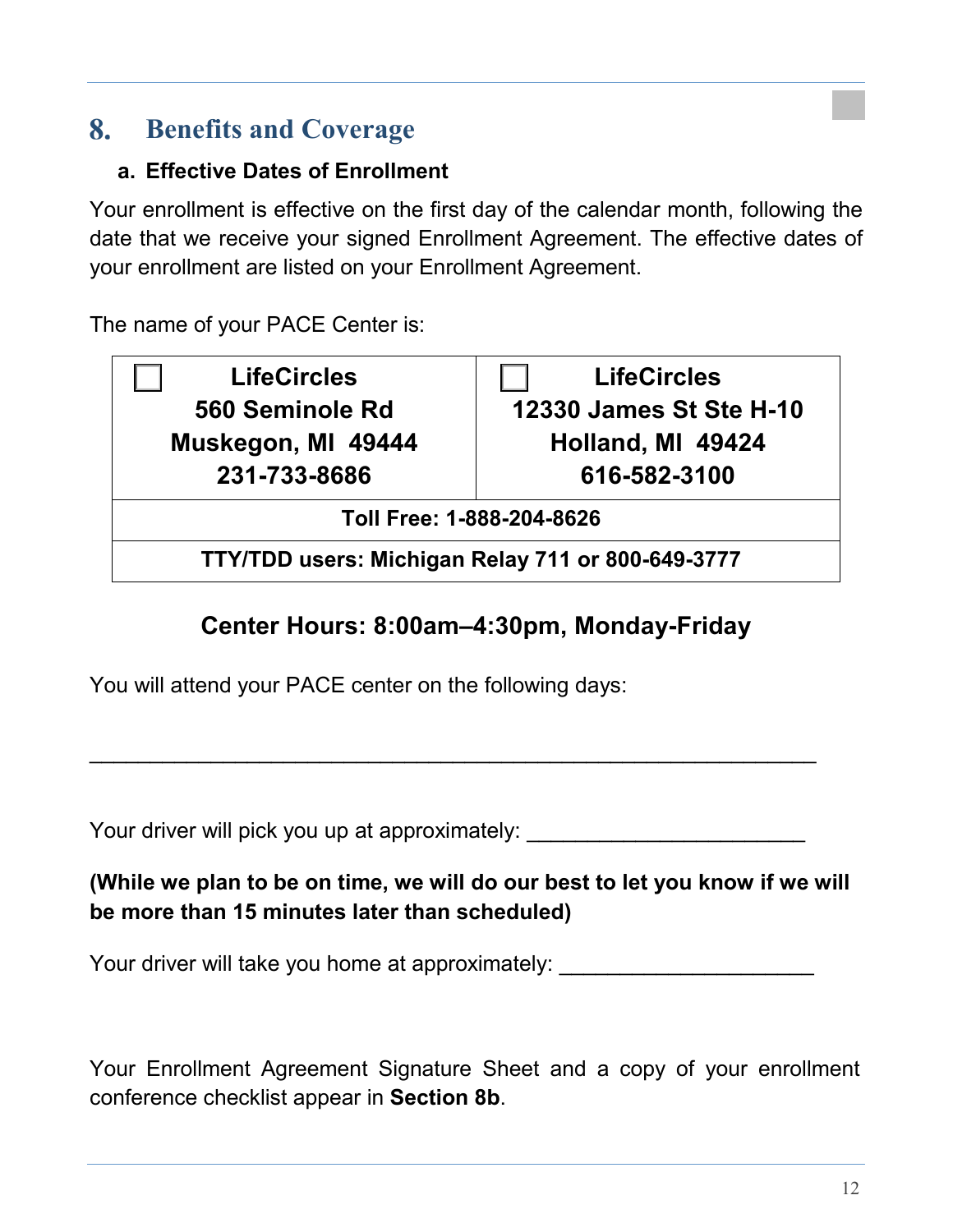#### <span id="page-11-0"></span>8. **Benefits and Coverage**

#### <span id="page-11-1"></span>**a. Effective Dates of Enrollment**

Your enrollment is effective on the first day of the calendar month, following the date that we receive your signed Enrollment Agreement. The effective dates of your enrollment are listed on your Enrollment Agreement.

The name of your PACE Center is:

**LifeCircles 560 Seminole Rd Muskegon, MI 49444 231-733-8686**

**LifeCircles 12330 James St Ste H-10 Holland, MI 49424 616-582-3100**

**Toll Free: 1-888-204-8626**

**TTY/TDD users: Michigan Relay 711 or 800-649-3777**

# **Center Hours: 8:00am–4:30pm, Monday-Friday**

You will attend your PACE center on the following days:

Your driver will pick you up at approximately:

### **(While we plan to be on time, we will do our best to let you know if we will be more than 15 minutes later than scheduled)**

 $\overline{\phantom{a}}$  , and the contribution of the contribution of the contribution of the contribution of the contribution of the contribution of the contribution of the contribution of the contribution of the contribution of the

Your driver will take you home at approximately:

Your Enrollment Agreement Signature Sheet and a copy of your enrollment conference checklist appear in **Section 8b**.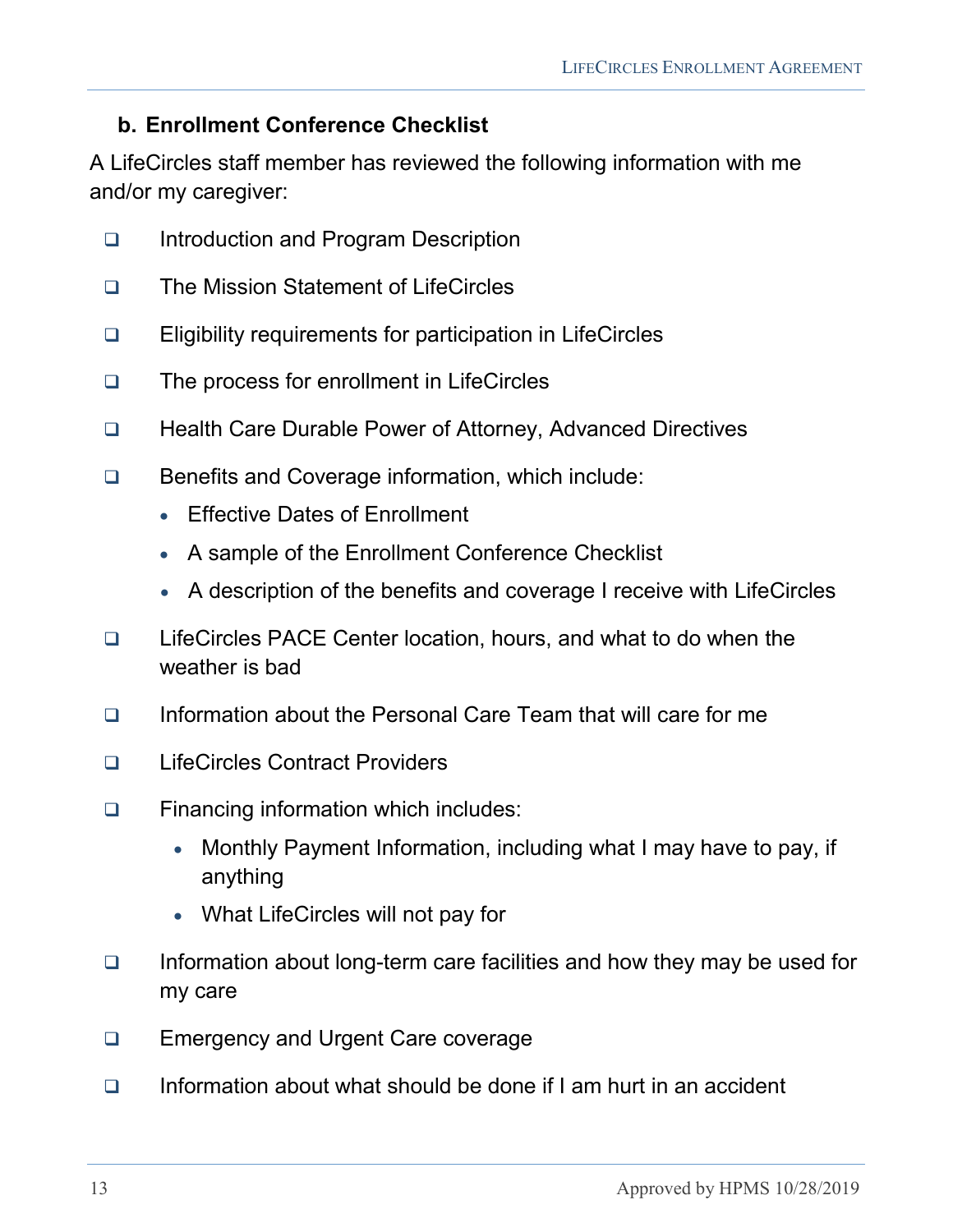#### <span id="page-12-0"></span>**b. Enrollment Conference Checklist**

A LifeCircles staff member has reviewed the following information with me and/or my caregiver:

- □ Introduction and Program Description
- □ The Mission Statement of LifeCircles
- Eligibility requirements for participation in LifeCircles
- □ The process for enrollment in LifeCircles
- □ Health Care Durable Power of Attorney, Advanced Directives
- Benefits and Coverage information, which include:
	- Effective Dates of Enrollment
	- A sample of the Enrollment Conference Checklist
	- A description of the benefits and coverage I receive with LifeCircles
- LifeCircles PACE Center location, hours, and what to do when the weather is bad
- □ Information about the Personal Care Team that will care for me
- □ LifeCircles Contract Providers
- □ Financing information which includes:
	- Monthly Payment Information, including what I may have to pay, if anything
	- What LifeCircles will not pay for
- $\Box$  Information about long-term care facilities and how they may be used for my care
- □ Emergency and Urgent Care coverage
- $\Box$  Information about what should be done if I am hurt in an accident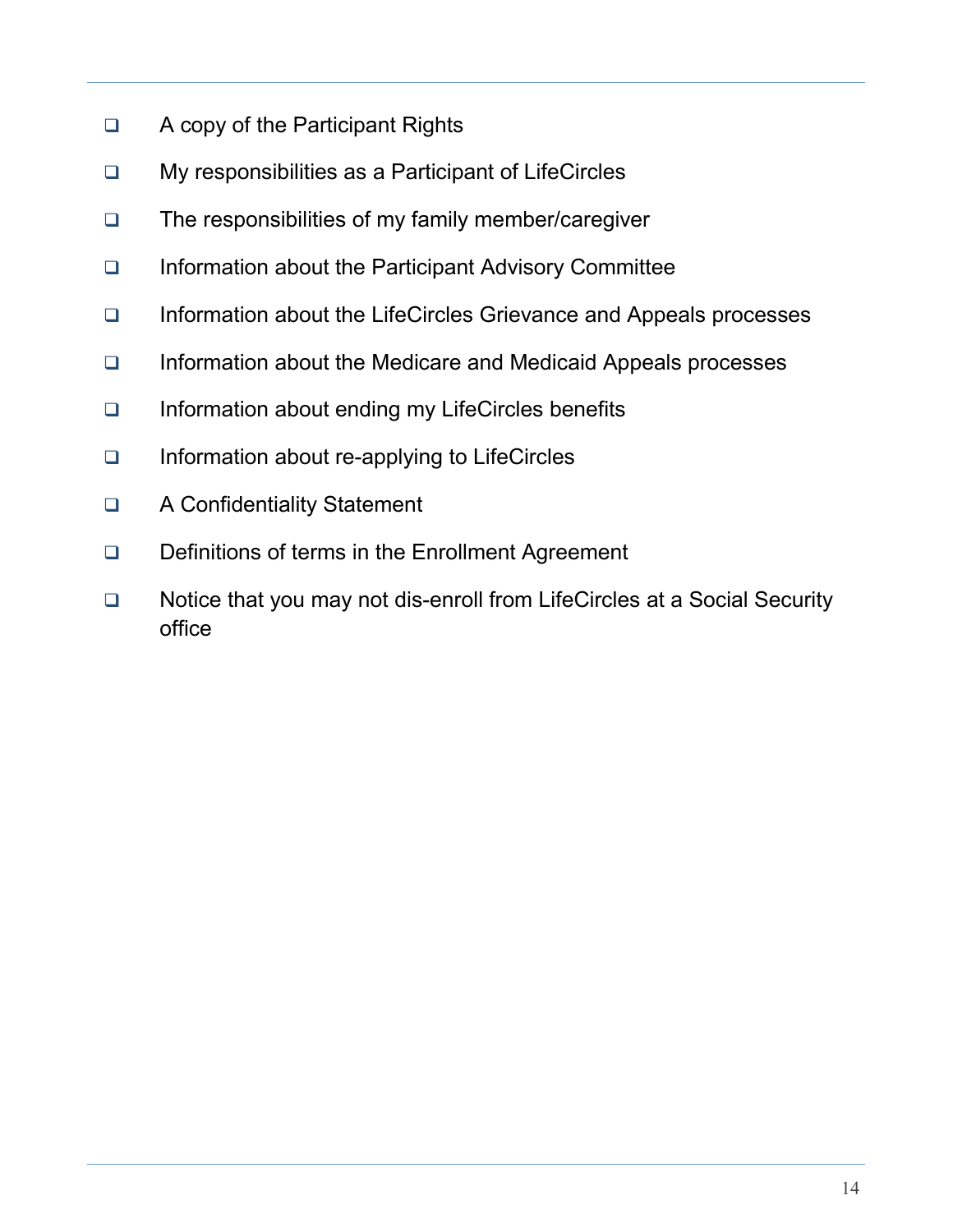- □ A copy of the Participant Rights
- □ My responsibilities as a Participant of LifeCircles
- □ The responsibilities of my family member/caregiver
- □ Information about the Participant Advisory Committee
- □ Information about the LifeCircles Grievance and Appeals processes
- □ Information about the Medicare and Medicaid Appeals processes
- □ Information about ending my LifeCircles benefits
- □ Information about re-applying to LifeCircles
- □ A Confidentiality Statement
- Definitions of terms in the Enrollment Agreement
- □ Notice that you may not dis-enroll from LifeCircles at a Social Security office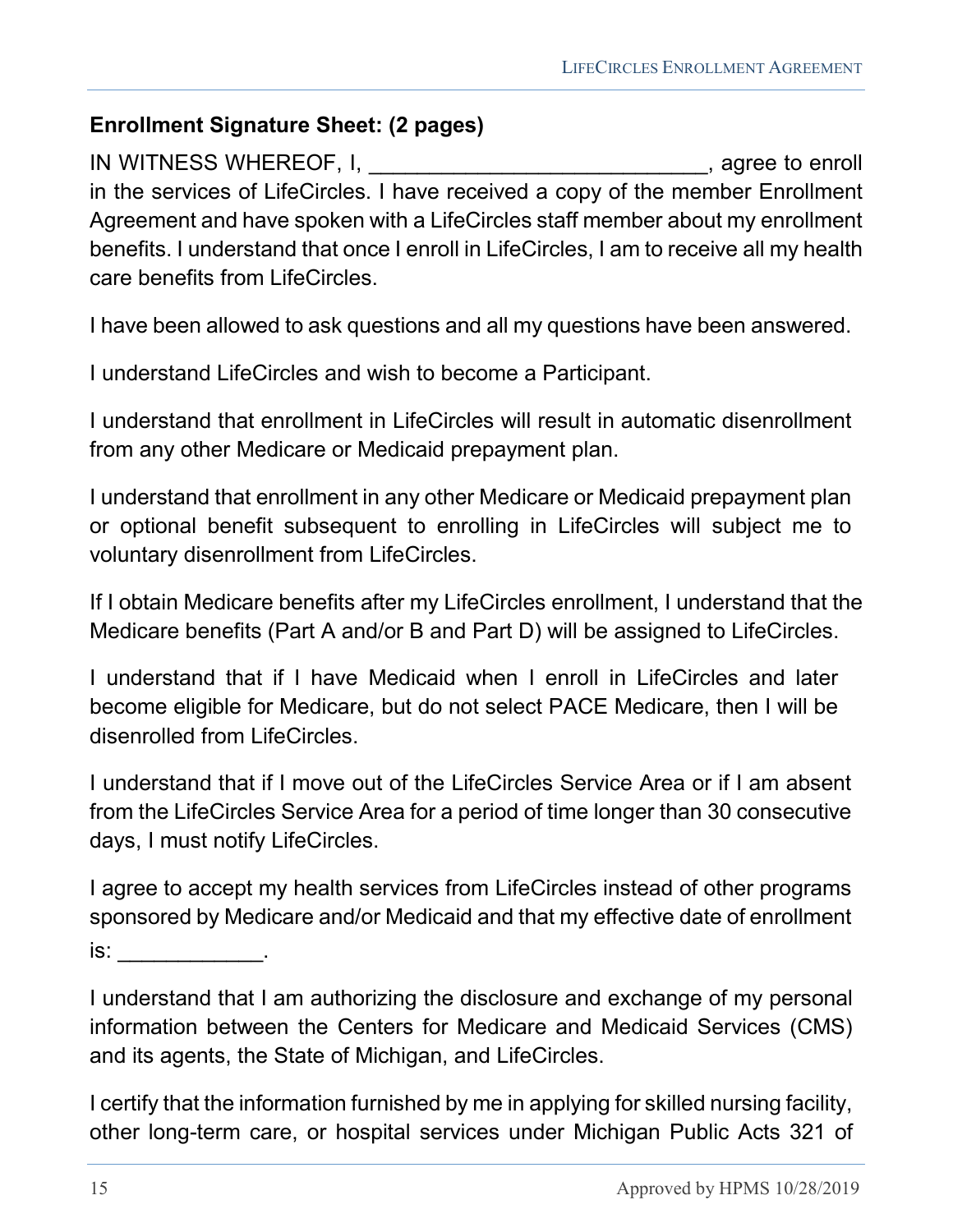#### <span id="page-14-0"></span>**Enrollment Signature Sheet: (2 pages)**

IN WITNESS WHEREOF, I, \_\_\_\_\_\_\_\_\_\_\_\_\_\_\_\_\_\_\_\_\_\_\_\_\_\_\_\_\_\_, agree to enroll in the services of LifeCircles. I have received a copy of the member Enrollment Agreement and have spoken with a LifeCircles staff member about my enrollment benefits. I understand that once I enroll in LifeCircles, I am to receive all my health care benefits from LifeCircles.

I have been allowed to ask questions and all my questions have been answered.

I understand LifeCircles and wish to become a Participant.

I understand that enrollment in LifeCircles will result in automatic disenrollment from any other Medicare or Medicaid prepayment plan.

I understand that enrollment in any other Medicare or Medicaid prepayment plan or optional benefit subsequent to enrolling in LifeCircles will subject me to voluntary disenrollment from LifeCircles.

If I obtain Medicare benefits after my LifeCircles enrollment, I understand that the Medicare benefits (Part A and/or B and Part D) will be assigned to LifeCircles.

I understand that if I have Medicaid when I enroll in LifeCircles and later become eligible for Medicare, but do not select PACE Medicare, then I will be disenrolled from LifeCircles.

I understand that if I move out of the LifeCircles Service Area or if I am absent from the LifeCircles Service Area for a period of time longer than 30 consecutive days, I must notify LifeCircles.

I agree to accept my health services from LifeCircles instead of other programs sponsored by Medicare and/or Medicaid and that my effective date of enrollment  $is:$ 

I understand that I am authorizing the disclosure and exchange of my personal information between the Centers for Medicare and Medicaid Services (CMS) and its agents, the State of Michigan, and LifeCircles.

I certify that the information furnished by me in applying for skilled nursing facility, other long-term care, or hospital services under Michigan Public Acts 321 of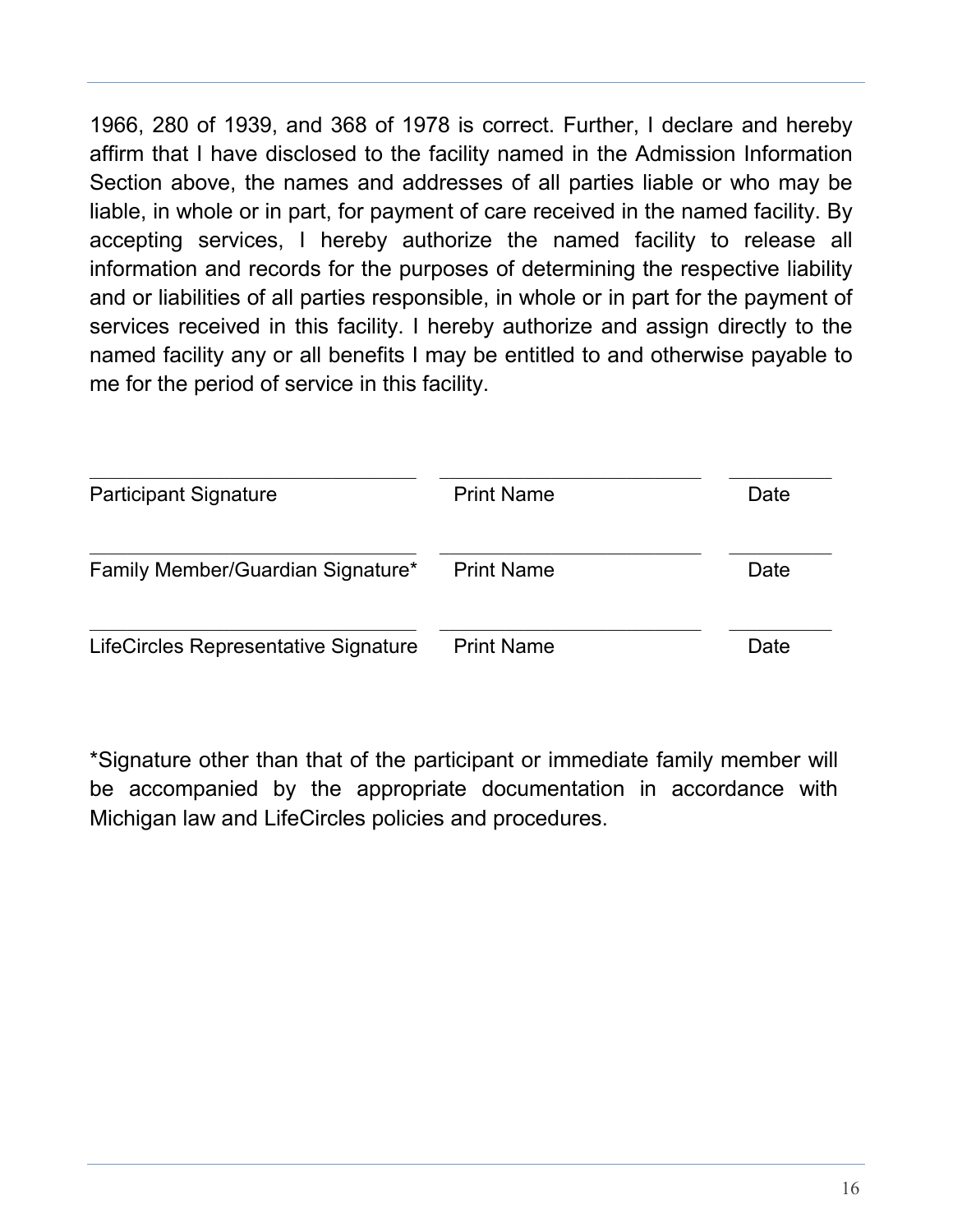1966, 280 of 1939, and 368 of 1978 is correct. Further, I declare and hereby affirm that I have disclosed to the facility named in the Admission Information Section above, the names and addresses of all parties liable or who may be liable, in whole or in part, for payment of care received in the named facility. By accepting services, I hereby authorize the named facility to release all information and records for the purposes of determining the respective liability and or liabilities of all parties responsible, in whole or in part for the payment of services received in this facility. I hereby authorize and assign directly to the named facility any or all benefits I may be entitled to and otherwise payable to me for the period of service in this facility.

| <b>Participant Signature</b>         | <b>Print Name</b> | Date |
|--------------------------------------|-------------------|------|
| Family Member/Guardian Signature*    | <b>Print Name</b> | Date |
| LifeCircles Representative Signature | <b>Print Name</b> | Date |

\*Signature other than that of the participant or immediate family member will be accompanied by the appropriate documentation in accordance with Michigan law and LifeCircles policies and procedures.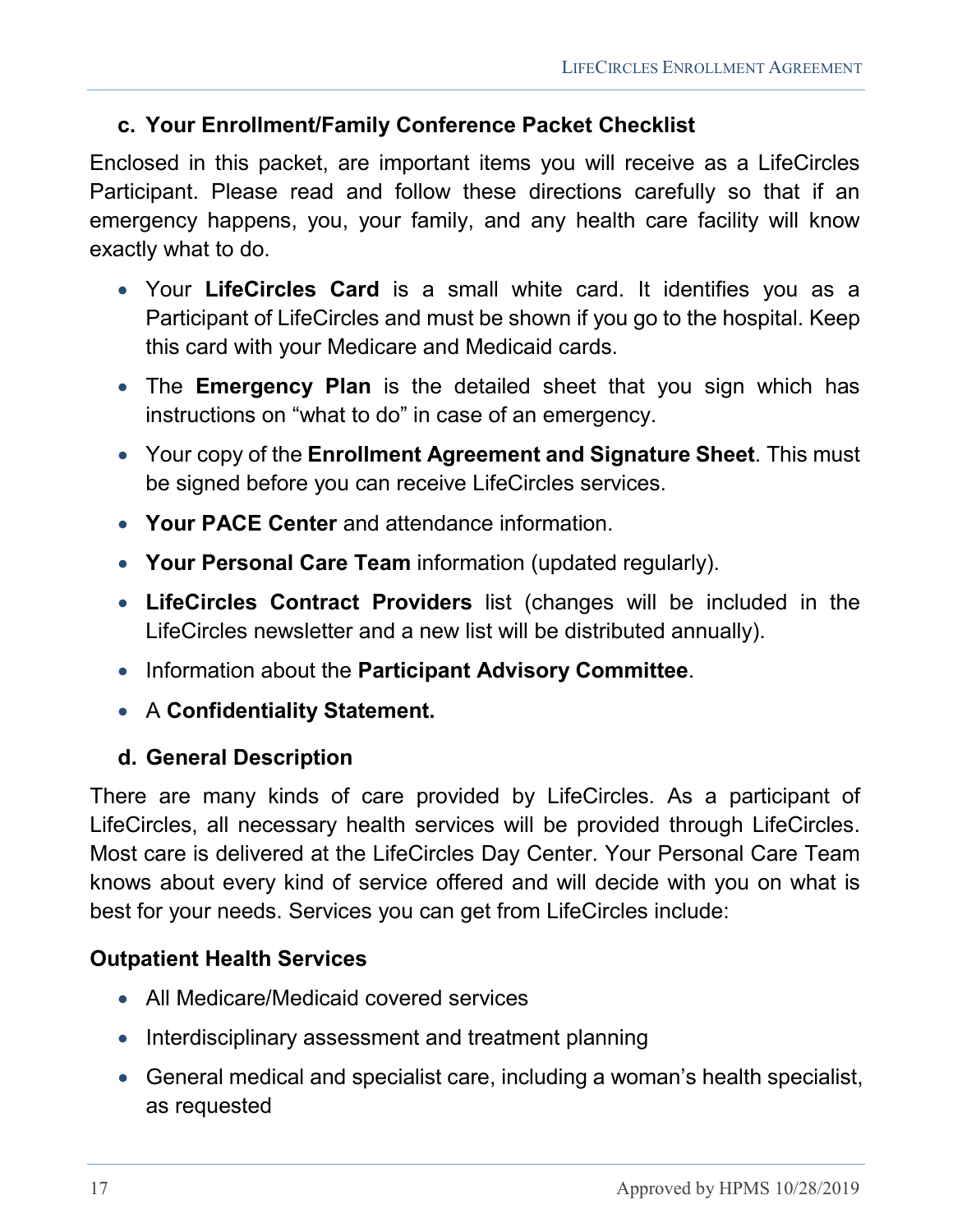#### <span id="page-16-0"></span>**c. Your Enrollment/Family Conference Packet Checklist**

Enclosed in this packet, are important items you will receive as a LifeCircles Participant. Please read and follow these directions carefully so that if an emergency happens, you, your family, and any health care facility will know exactly what to do.

- Your **LifeCircles Card** is a small white card. It identifies you as a Participant of LifeCircles and must be shown if you go to the hospital. Keep this card with your Medicare and Medicaid cards.
- The **Emergency Plan** is the detailed sheet that you sign which has instructions on "what to do" in case of an emergency.
- Your copy of the **Enrollment Agreement and Signature Sheet**. This must be signed before you can receive LifeCircles services.
- **Your PACE Center** and attendance information.
- **Your Personal Care Team** information (updated regularly).
- **LifeCircles Contract Providers** list (changes will be included in the LifeCircles newsletter and a new list will be distributed annually).
- Information about the **Participant Advisory Committee**.
- A **Confidentiality Statement.**

#### <span id="page-16-1"></span>**d. General Description**

There are many kinds of care provided by LifeCircles. As a participant of LifeCircles, all necessary health services will be provided through LifeCircles. Most care is delivered at the LifeCircles Day Center. Your Personal Care Team knows about every kind of service offered and will decide with you on what is best for your needs. Services you can get from LifeCircles include:

#### **Outpatient Health Services**

- All Medicare/Medicaid covered services
- Interdisciplinary assessment and treatment planning
- General medical and specialist care, including a woman's health specialist, as requested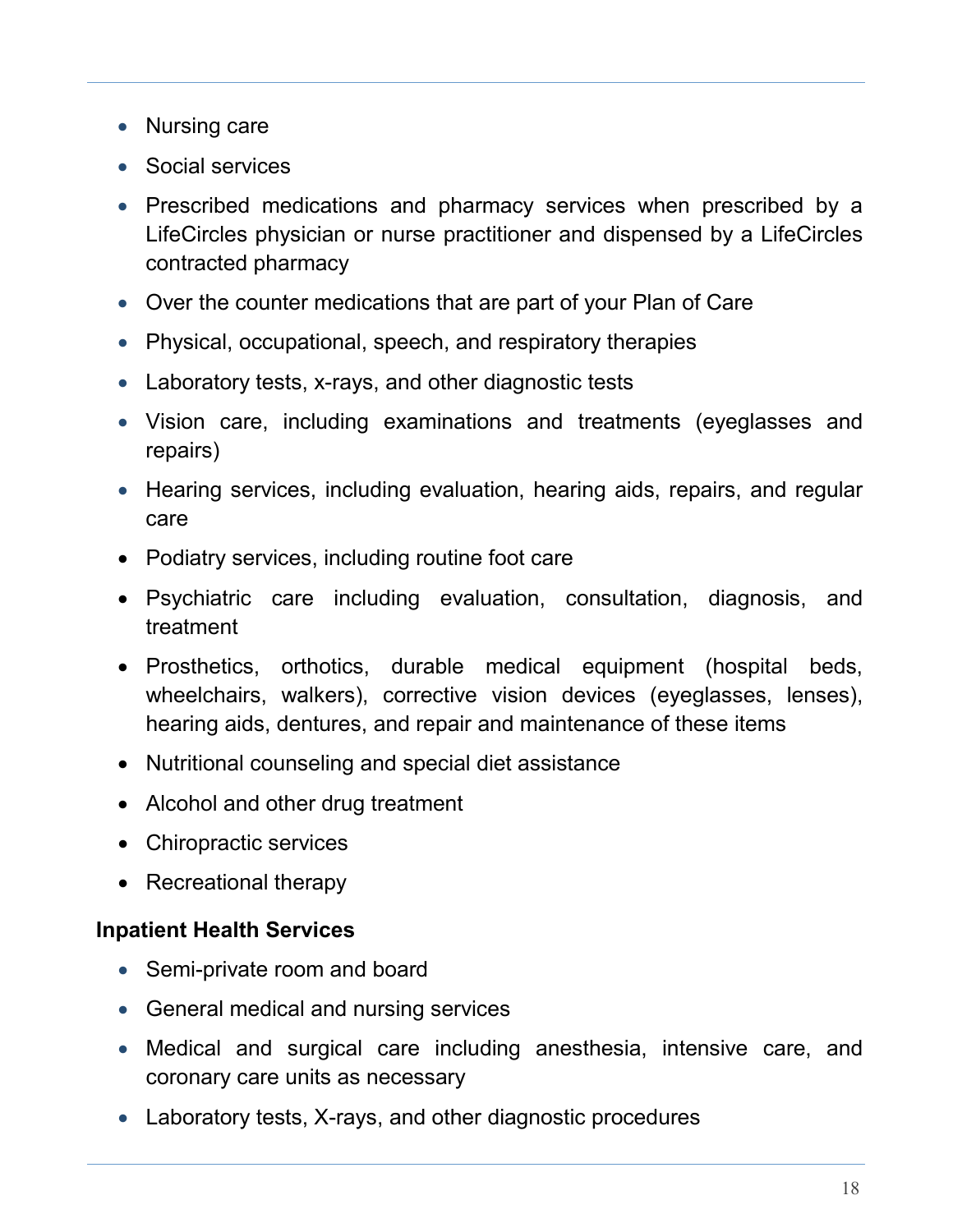- Nursing care
- Social services
- Prescribed medications and pharmacy services when prescribed by a LifeCircles physician or nurse practitioner and dispensed by a LifeCircles contracted pharmacy
- Over the counter medications that are part of your Plan of Care
- Physical, occupational, speech, and respiratory therapies
- Laboratory tests, x-rays, and other diagnostic tests
- Vision care, including examinations and treatments (eyeglasses and repairs)
- Hearing services, including evaluation, hearing aids, repairs, and regular care
- Podiatry services, including routine foot care
- Psychiatric care including evaluation, consultation, diagnosis, and treatment
- Prosthetics, orthotics, durable medical equipment (hospital beds, wheelchairs, walkers), corrective vision devices (eyeglasses, lenses), hearing aids, dentures, and repair and maintenance of these items
- Nutritional counseling and special diet assistance
- Alcohol and other drug treatment
- Chiropractic services
- Recreational therapy

#### **Inpatient Health Services**

- Semi-private room and board
- General medical and nursing services
- Medical and surgical care including anesthesia, intensive care, and coronary care units as necessary
- Laboratory tests, X-rays, and other diagnostic procedures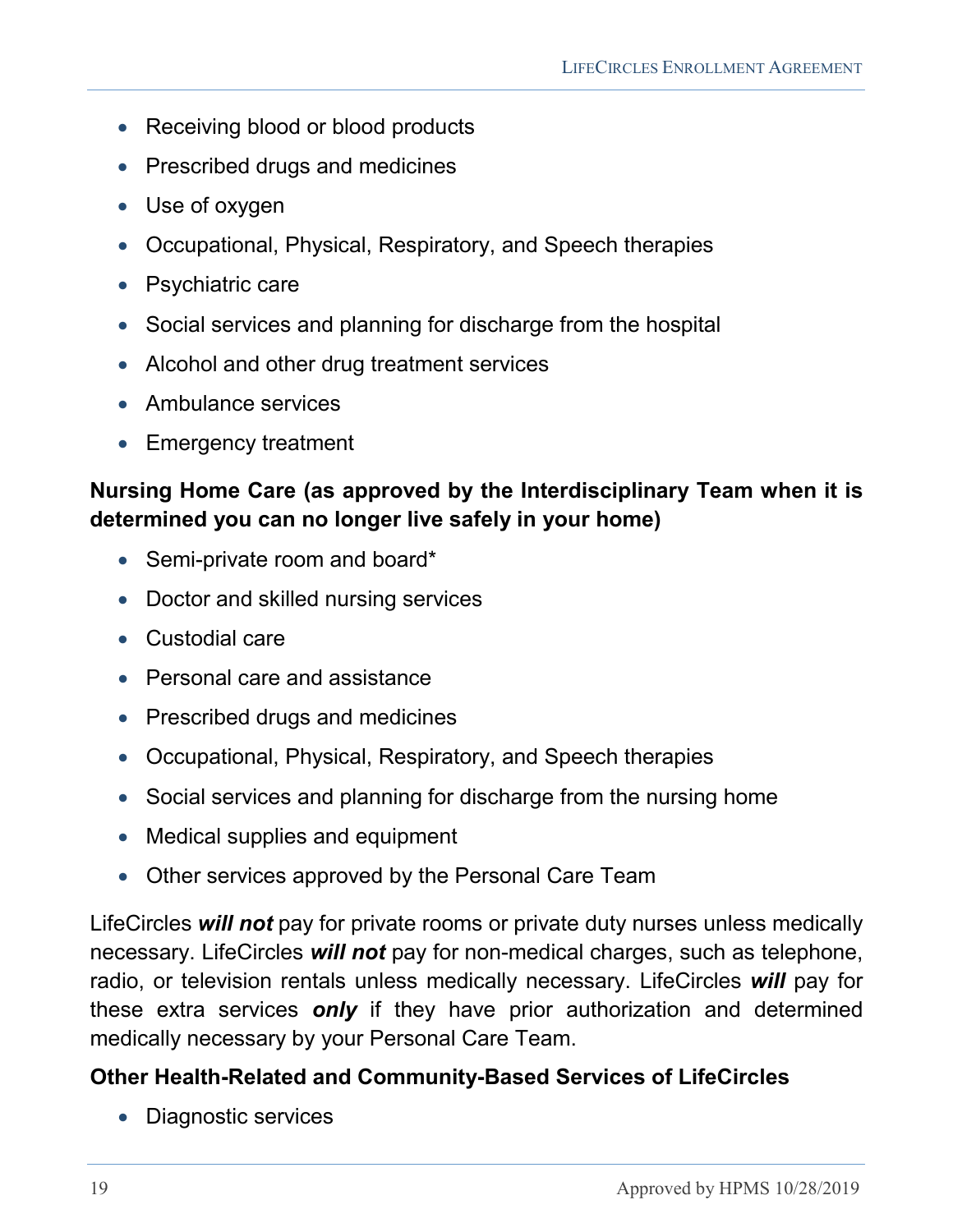- Receiving blood or blood products
- Prescribed drugs and medicines
- Use of oxygen
- Occupational, Physical, Respiratory, and Speech therapies
- Psychiatric care
- Social services and planning for discharge from the hospital
- Alcohol and other drug treatment services
- Ambulance services
- Emergency treatment

#### **Nursing Home Care (as approved by the Interdisciplinary Team when it is determined you can no longer live safely in your home)**

- Semi-private room and board\*
- Doctor and skilled nursing services
- Custodial care
- Personal care and assistance
- Prescribed drugs and medicines
- Occupational, Physical, Respiratory, and Speech therapies
- Social services and planning for discharge from the nursing home
- Medical supplies and equipment
- Other services approved by the Personal Care Team

LifeCircles *will not* pay for private rooms or private duty nurses unless medically necessary. LifeCircles *will not* pay for non-medical charges, such as telephone, radio, or television rentals unless medically necessary. LifeCircles *will* pay for these extra services *only* if they have prior authorization and determined medically necessary by your Personal Care Team.

### **Other Health-Related and Community-Based Services of LifeCircles**

• Diagnostic services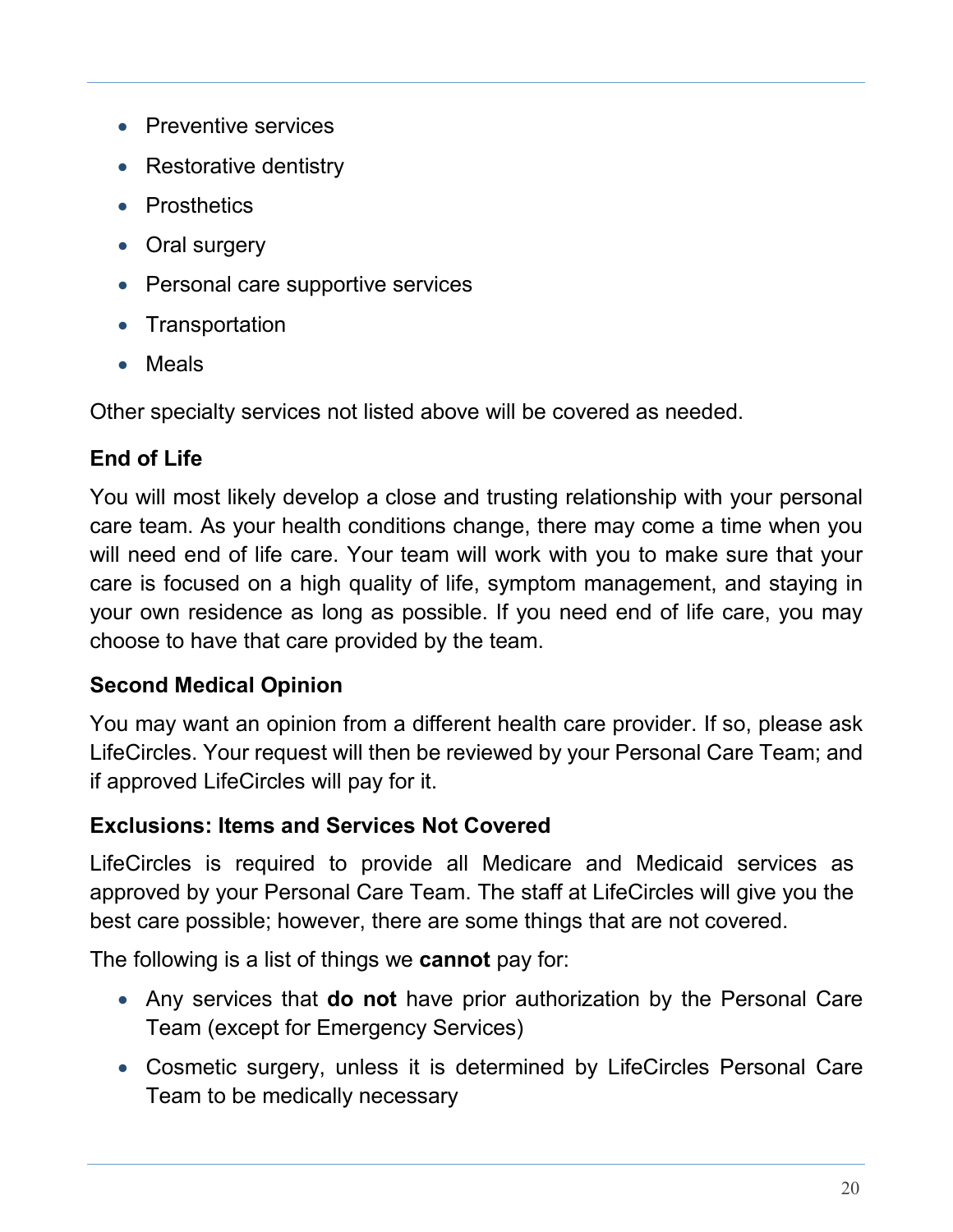- Preventive services
- Restorative dentistry
- Prosthetics
- Oral surgery
- Personal care supportive services
- Transportation
- Meals

Other specialty services not listed above will be covered as needed.

### **End of Life**

You will most likely develop a close and trusting relationship with your personal care team. As your health conditions change, there may come a time when you will need end of life care. Your team will work with you to make sure that your care is focused on a high quality of life, symptom management, and staying in your own residence as long as possible. If you need end of life care, you may choose to have that care provided by the team.

#### **Second Medical Opinion**

You may want an opinion from a different health care provider. If so, please ask LifeCircles. Your request will then be reviewed by your Personal Care Team; and if approved LifeCircles will pay for it.

#### **Exclusions: Items and Services Not Covered**

LifeCircles is required to provide all Medicare and Medicaid services as approved by your Personal Care Team. The staff at LifeCircles will give you the best care possible; however, there are some things that are not covered.

The following is a list of things we **cannot** pay for:

- Any services that **do not** have prior authorization by the Personal Care Team (except for Emergency Services)
- Cosmetic surgery, unless it is determined by LifeCircles Personal Care Team to be medically necessary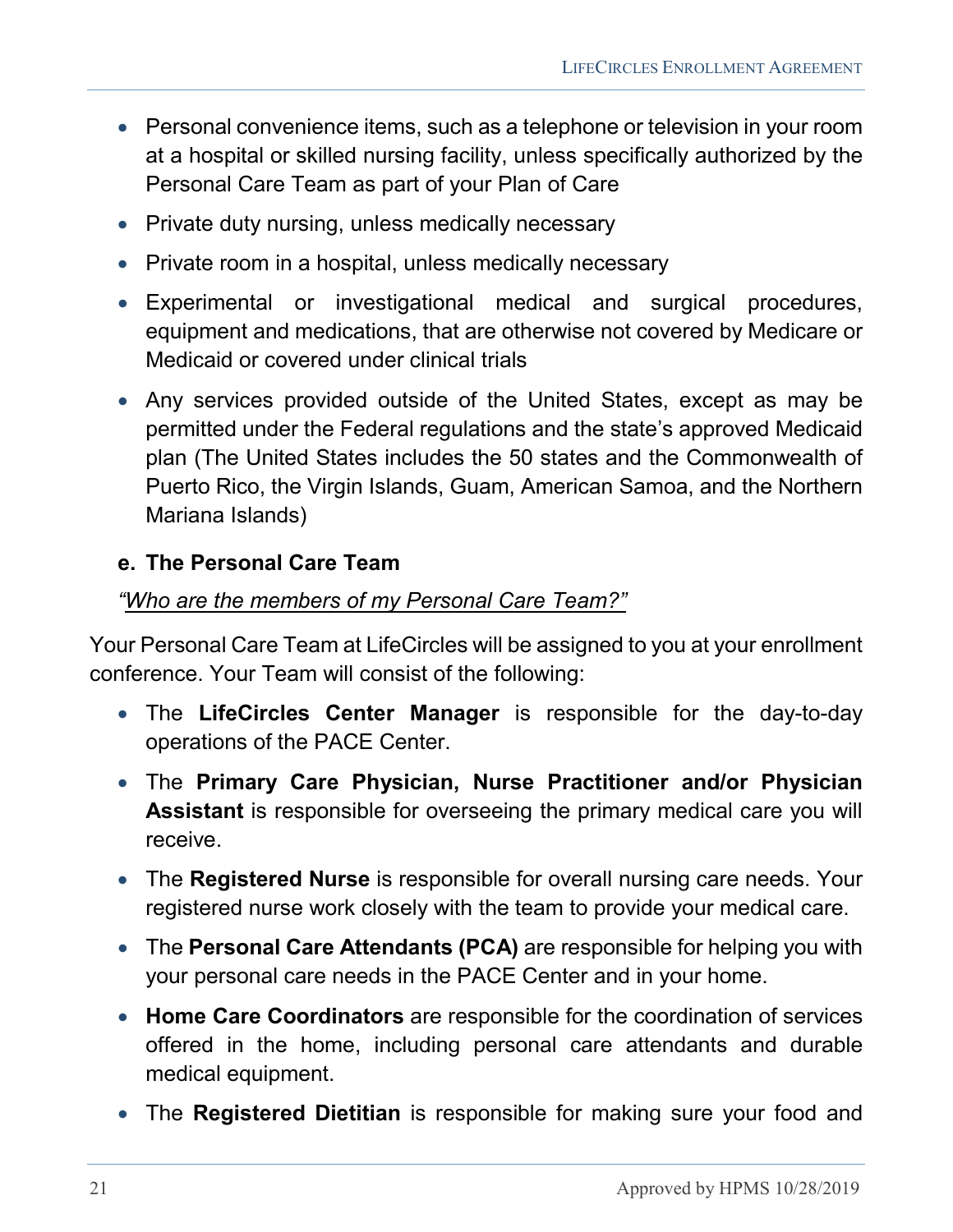- Personal convenience items, such as a telephone or television in your room at a hospital or skilled nursing facility, unless specifically authorized by the Personal Care Team as part of your Plan of Care
- Private duty nursing, unless medically necessary
- Private room in a hospital, unless medically necessary
- Experimental or investigational medical and surgical procedures, equipment and medications, that are otherwise not covered by Medicare or Medicaid or covered under clinical trials
- Any services provided outside of the United States, except as may be permitted under the Federal regulations and the state's approved Medicaid plan (The United States includes the 50 states and the Commonwealth of Puerto Rico, the Virgin Islands, Guam, American Samoa, and the Northern Mariana Islands)

#### <span id="page-20-0"></span>**e. The Personal Care Team**

#### *"Who are the members of my Personal Care Team?"*

Your Personal Care Team at LifeCircles will be assigned to you at your enrollment conference. Your Team will consist of the following:

- The **LifeCircles Center Manager** is responsible for the day-to-day operations of the PACE Center.
- The **Primary Care Physician, Nurse Practitioner and/or Physician Assistant** is responsible for overseeing the primary medical care you will receive.
- The **Registered Nurse** is responsible for overall nursing care needs. Your registered nurse work closely with the team to provide your medical care.
- The **Personal Care Attendants (PCA)** are responsible for helping you with your personal care needs in the PACE Center and in your home.
- **Home Care Coordinators** are responsible for the coordination of services offered in the home, including personal care attendants and durable medical equipment.
- The **Registered Dietitian** is responsible for making sure your food and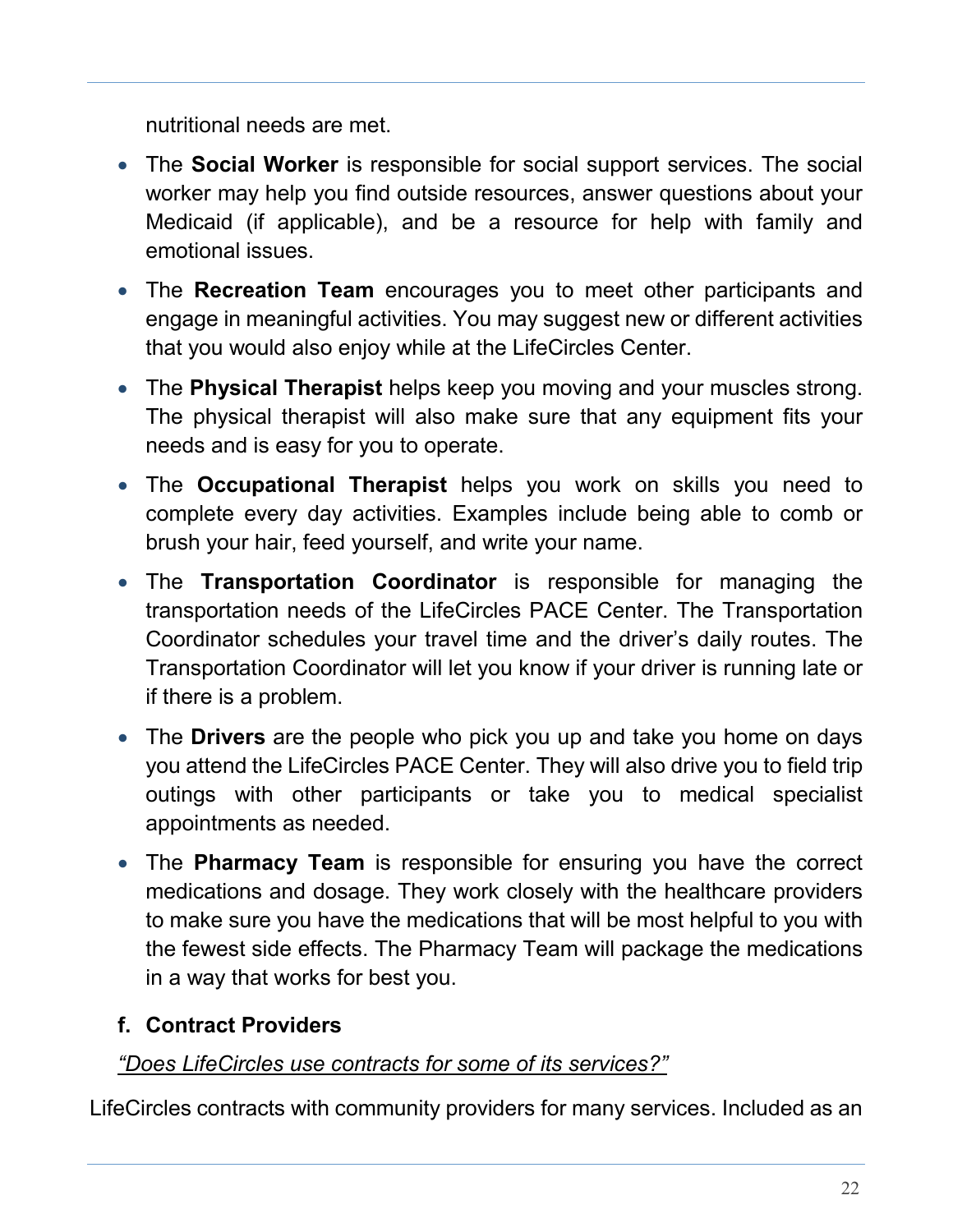nutritional needs are met.

- The **Social Worker** is responsible for social support services. The social worker may help you find outside resources, answer questions about your Medicaid (if applicable), and be a resource for help with family and emotional issues.
- The **Recreation Team** encourages you to meet other participants and engage in meaningful activities. You may suggest new or different activities that you would also enjoy while at the LifeCircles Center.
- The **Physical Therapist** helps keep you moving and your muscles strong. The physical therapist will also make sure that any equipment fits your needs and is easy for you to operate.
- The **Occupational Therapist** helps you work on skills you need to complete every day activities. Examples include being able to comb or brush your hair, feed yourself, and write your name.
- The **Transportation Coordinator** is responsible for managing the transportation needs of the LifeCircles PACE Center. The Transportation Coordinator schedules your travel time and the driver's daily routes. The Transportation Coordinator will let you know if your driver is running late or if there is a problem.
- The **Drivers** are the people who pick you up and take you home on days you attend the LifeCircles PACE Center. They will also drive you to field trip outings with other participants or take you to medical specialist appointments as needed.
- The **Pharmacy Team** is responsible for ensuring you have the correct medications and dosage. They work closely with the healthcare providers to make sure you have the medications that will be most helpful to you with the fewest side effects. The Pharmacy Team will package the medications in a way that works for best you.

# <span id="page-21-0"></span>**f. Contract Providers**

#### *"Does LifeCircles use contracts for some of its services?"*

LifeCircles contracts with community providers for many services. Included as an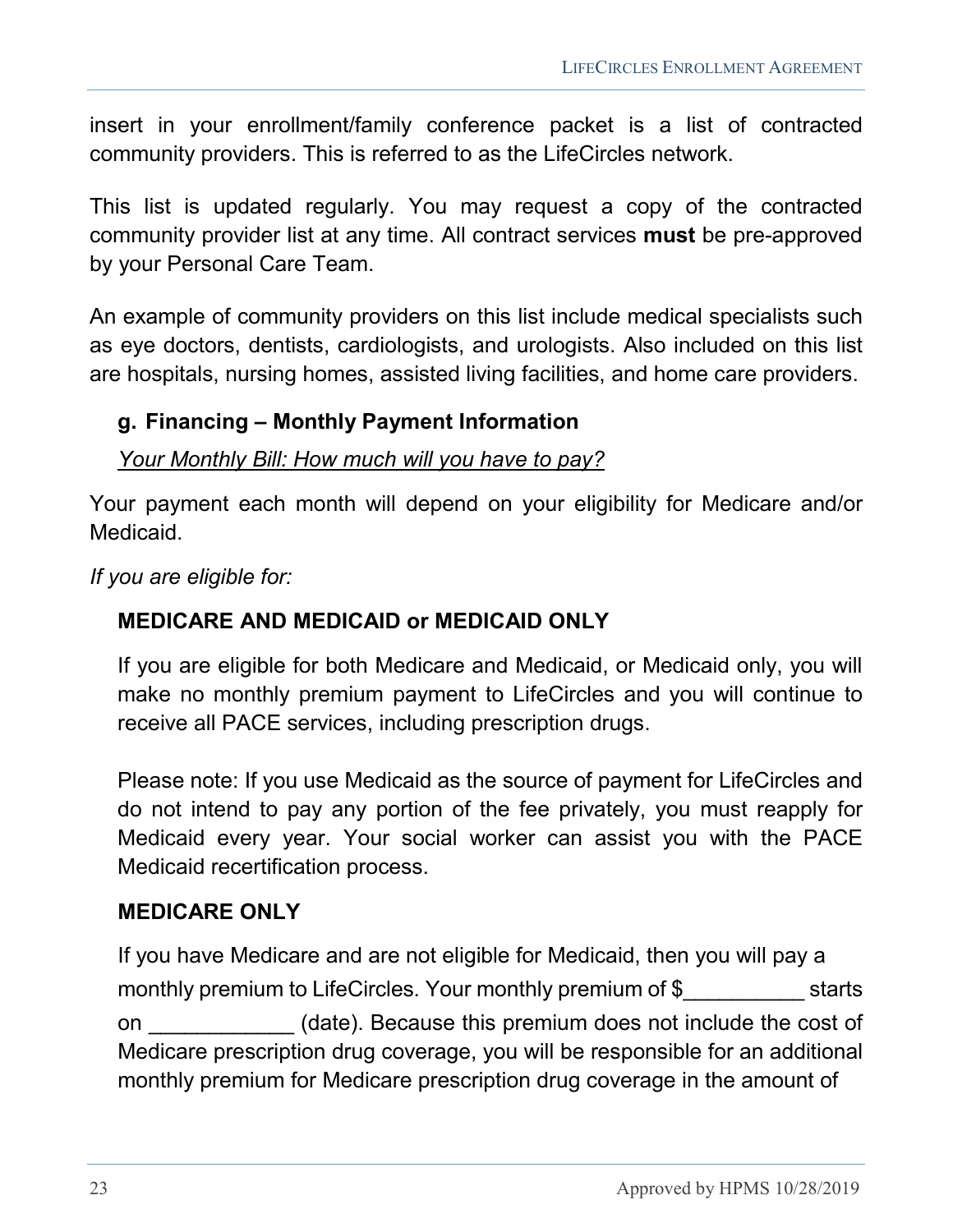insert in your enrollment/family conference packet is a list of contracted community providers. This is referred to as the LifeCircles network.

This list is updated regularly. You may request a copy of the contracted community provider list at any time. All contract services **must** be pre-approved by your Personal Care Team.

An example of community providers on this list include medical specialists such as eye doctors, dentists, cardiologists, and urologists. Also included on this list are hospitals, nursing homes, assisted living facilities, and home care providers.

#### <span id="page-22-0"></span>**g. Financing – Monthly Payment Information**

#### *Your Monthly Bill: How much will you have to pay?*

Your payment each month will depend on your eligibility for Medicare and/or Medicaid.

*If you are eligible for:*

#### **MEDICARE AND MEDICAID or MEDICAID ONLY**

If you are eligible for both Medicare and Medicaid, or Medicaid only, you will make no monthly premium payment to LifeCircles and you will continue to receive all PACE services, including prescription drugs.

Please note: If you use Medicaid as the source of payment for LifeCircles and do not intend to pay any portion of the fee privately, you must reapply for Medicaid every year. Your social worker can assist you with the PACE Medicaid recertification process.

#### **MEDICARE ONLY**

If you have Medicare and are not eligible for Medicaid, then you will pay a monthly premium to LifeCircles. Your monthly premium of \$ starts on **Example 20** (date). Because this premium does not include the cost of Medicare prescription drug coverage, you will be responsible for an additional monthly premium for Medicare prescription drug coverage in the amount of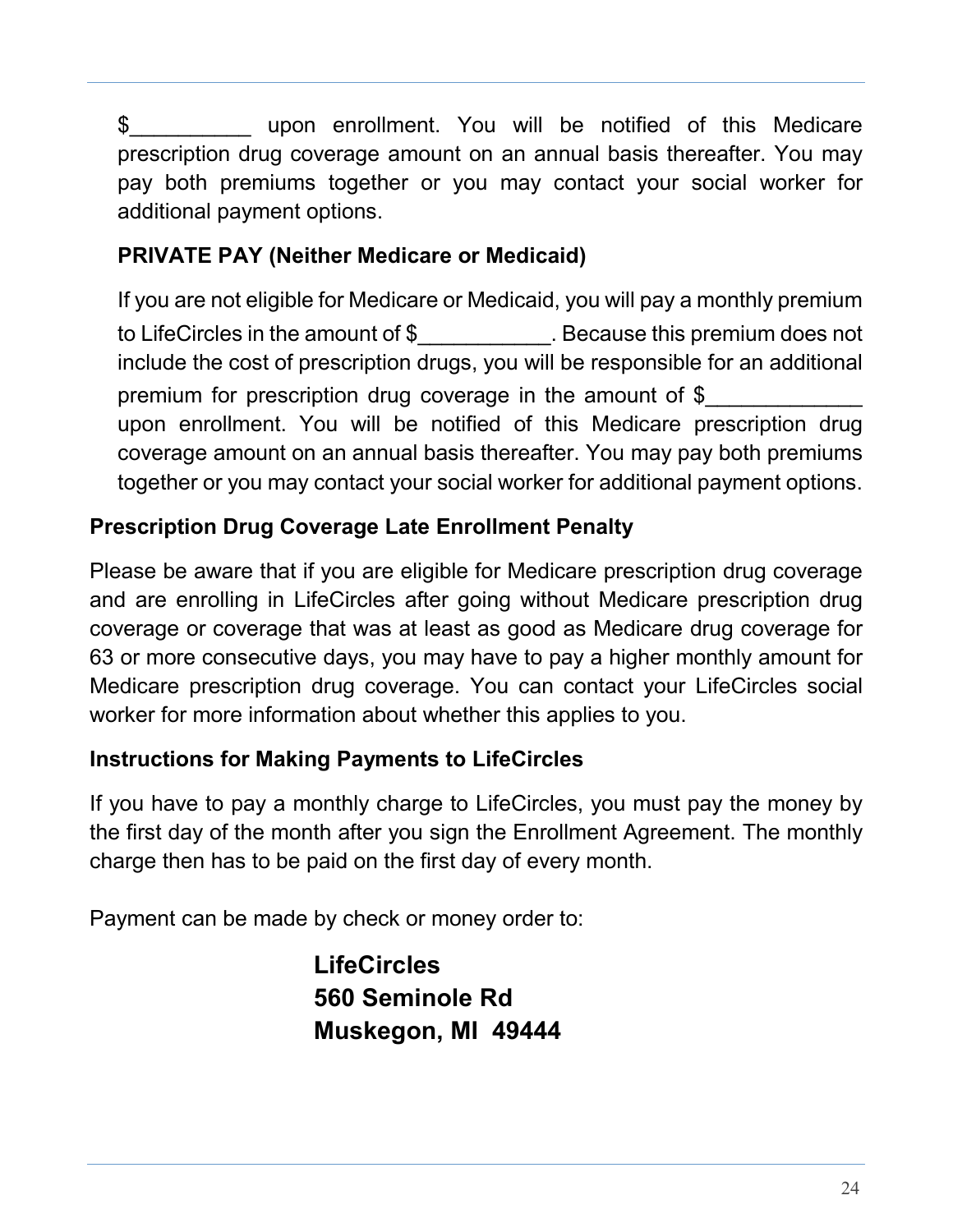\$ upon enrollment. You will be notified of this Medicare prescription drug coverage amount on an annual basis thereafter. You may pay both premiums together or you may contact your social worker for additional payment options.

#### **PRIVATE PAY (Neither Medicare or Medicaid)**

If you are not eligible for Medicare or Medicaid, you will pay a monthly premium to LifeCircles in the amount of \$\_\_\_\_\_\_\_\_\_\_\_. Because this premium does not include the cost of prescription drugs, you will be responsible for an additional premium for prescription drug coverage in the amount of \$ upon enrollment. You will be notified of this Medicare prescription drug coverage amount on an annual basis thereafter. You may pay both premiums together or you may contact your social worker for additional payment options.

#### **Prescription Drug Coverage Late Enrollment Penalty**

Please be aware that if you are eligible for Medicare prescription drug coverage and are enrolling in LifeCircles after going without Medicare prescription drug coverage or coverage that was at least as good as Medicare drug coverage for 63 or more consecutive days, you may have to pay a higher monthly amount for Medicare prescription drug coverage. You can contact your LifeCircles social worker for more information about whether this applies to you.

#### **Instructions for Making Payments to LifeCircles**

If you have to pay a monthly charge to LifeCircles, you must pay the money by the first day of the month after you sign the Enrollment Agreement. The monthly charge then has to be paid on the first day of every month.

Payment can be made by check or money order to:

**LifeCircles 560 Seminole Rd Muskegon, MI 49444**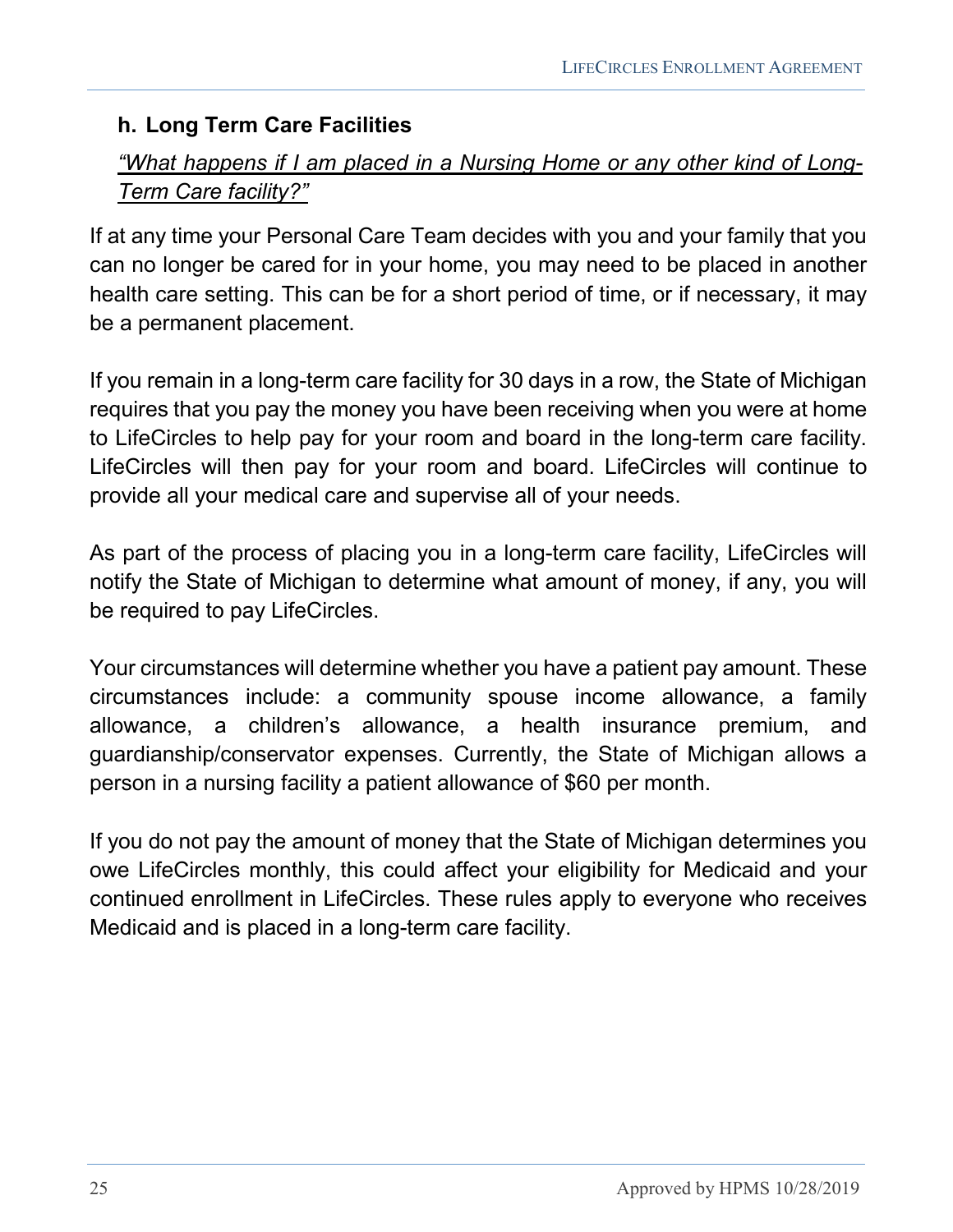#### <span id="page-24-0"></span>**h. Long Term Care Facilities**

#### *"What happens if I am placed in a Nursing Home or any other kind of Long-Term Care facility?"*

If at any time your Personal Care Team decides with you and your family that you can no longer be cared for in your home, you may need to be placed in another health care setting. This can be for a short period of time, or if necessary, it may be a permanent placement.

If you remain in a long-term care facility for 30 days in a row, the State of Michigan requires that you pay the money you have been receiving when you were at home to LifeCircles to help pay for your room and board in the long-term care facility. LifeCircles will then pay for your room and board. LifeCircles will continue to provide all your medical care and supervise all of your needs.

As part of the process of placing you in a long-term care facility, LifeCircles will notify the State of Michigan to determine what amount of money, if any, you will be required to pay LifeCircles.

Your circumstances will determine whether you have a patient pay amount. These circumstances include: a community spouse income allowance, a family allowance, a children's allowance, a health insurance premium, and guardianship/conservator expenses. Currently, the State of Michigan allows a person in a nursing facility a patient allowance of \$60 per month.

If you do not pay the amount of money that the State of Michigan determines you owe LifeCircles monthly, this could affect your eligibility for Medicaid and your continued enrollment in LifeCircles. These rules apply to everyone who receives Medicaid and is placed in a long-term care facility.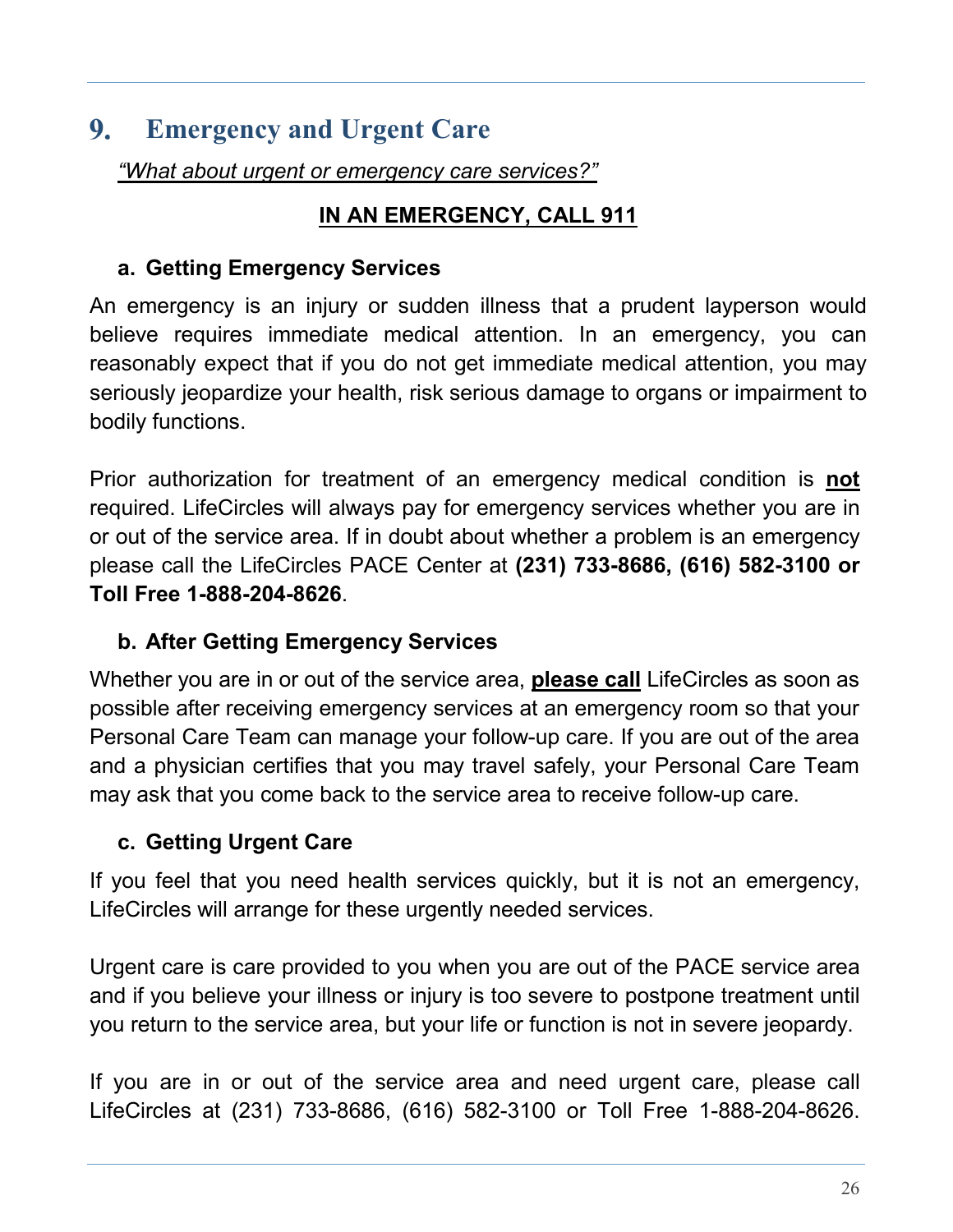#### <span id="page-25-0"></span>9. **Emergency and Urgent Care**

*"What about urgent or emergency care services?"*

### **IN AN EMERGENCY, CALL 911**

#### <span id="page-25-1"></span>**a. Getting Emergency Services**

An emergency is an injury or sudden illness that a prudent layperson would believe requires immediate medical attention. In an emergency, you can reasonably expect that if you do not get immediate medical attention, you may seriously jeopardize your health, risk serious damage to organs or impairment to bodily functions.

Prior authorization for treatment of an emergency medical condition is **not** required. LifeCircles will always pay for emergency services whether you are in or out of the service area. If in doubt about whether a problem is an emergency please call the LifeCircles PACE Center at **(231) 733-8686, (616) 582-3100 or Toll Free 1-888-204-8626**.

### <span id="page-25-2"></span>**b. After Getting Emergency Services**

Whether you are in or out of the service area, **please call** LifeCircles as soon as possible after receiving emergency services at an emergency room so that your Personal Care Team can manage your follow-up care. If you are out of the area and a physician certifies that you may travel safely, your Personal Care Team may ask that you come back to the service area to receive follow-up care.

### <span id="page-25-3"></span>**c. Getting Urgent Care**

If you feel that you need health services quickly, but it is not an emergency, LifeCircles will arrange for these urgently needed services.

Urgent care is care provided to you when you are out of the PACE service area and if you believe your illness or injury is too severe to postpone treatment until you return to the service area, but your life or function is not in severe jeopardy.

If you are in or out of the service area and need urgent care, please call LifeCircles at (231) 733-8686, (616) 582-3100 or Toll Free 1-888-204-8626.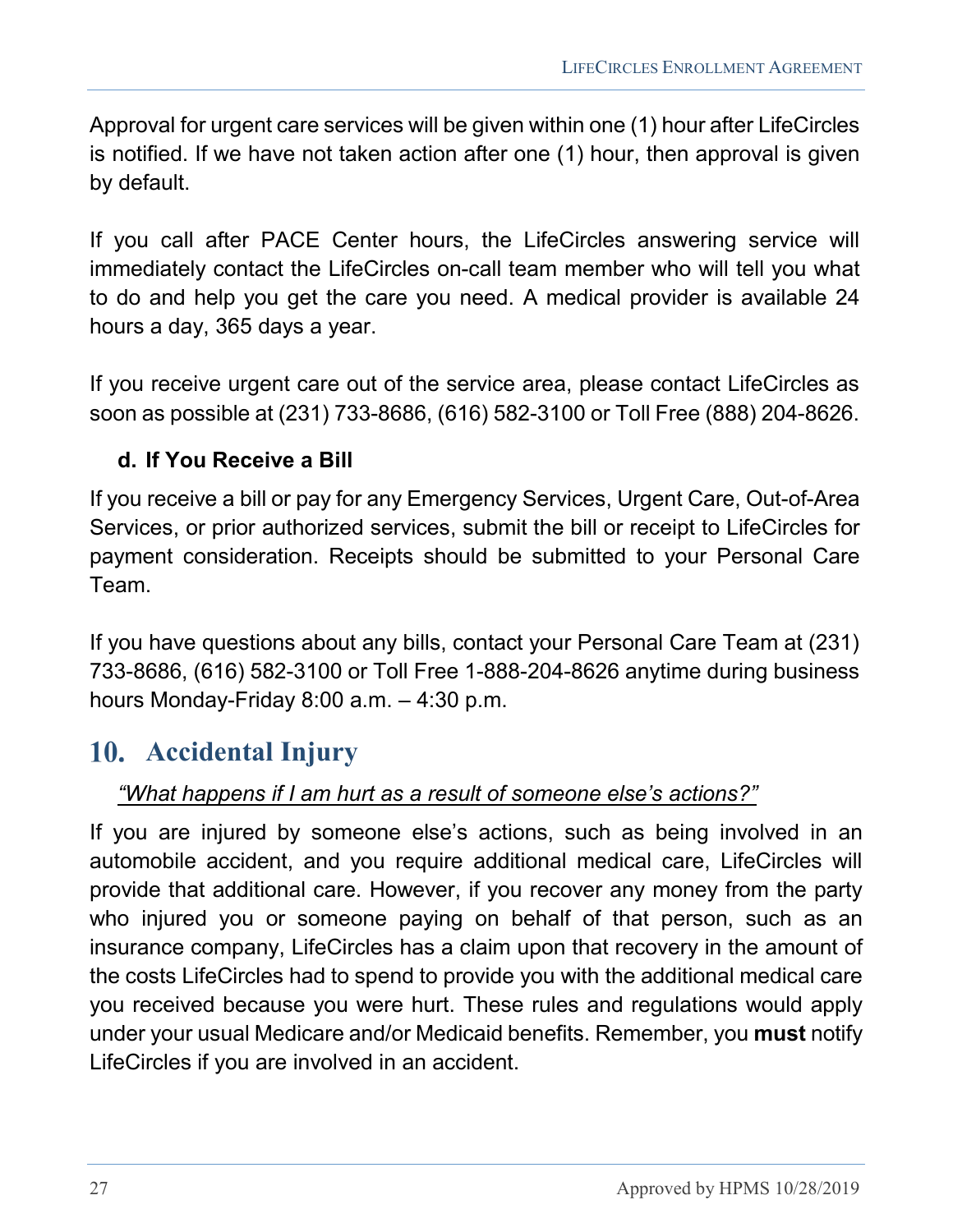Approval for urgent care services will be given within one (1) hour after LifeCircles is notified. If we have not taken action after one (1) hour, then approval is given by default.

If you call after PACE Center hours, the LifeCircles answering service will immediately contact the LifeCircles on-call team member who will tell you what to do and help you get the care you need. A medical provider is available 24 hours a day, 365 days a year.

If you receive urgent care out of the service area, please contact LifeCircles as soon as possible at (231) 733-8686, (616) 582-3100 or Toll Free (888) 204-8626.

#### <span id="page-26-0"></span>**d. If You Receive a Bill**

If you receive a bill or pay for any Emergency Services, Urgent Care, Out-of-Area Services, or prior authorized services, submit the bill or receipt to LifeCircles for payment consideration. Receipts should be submitted to your Personal Care Team.

If you have questions about any bills, contact your Personal Care Team at (231) 733-8686, (616) 582-3100 or Toll Free 1-888-204-8626 anytime during business hours Monday-Friday 8:00 a.m. – 4:30 p.m.

# <span id="page-26-1"></span>**Accidental Injury**

#### *"What happens if I am hurt as a result of someone else's actions?"*

If you are injured by someone else's actions, such as being involved in an automobile accident, and you require additional medical care, LifeCircles will provide that additional care. However, if you recover any money from the party who injured you or someone paying on behalf of that person, such as an insurance company, LifeCircles has a claim upon that recovery in the amount of the costs LifeCircles had to spend to provide you with the additional medical care you received because you were hurt. These rules and regulations would apply under your usual Medicare and/or Medicaid benefits. Remember, you **must** notify LifeCircles if you are involved in an accident.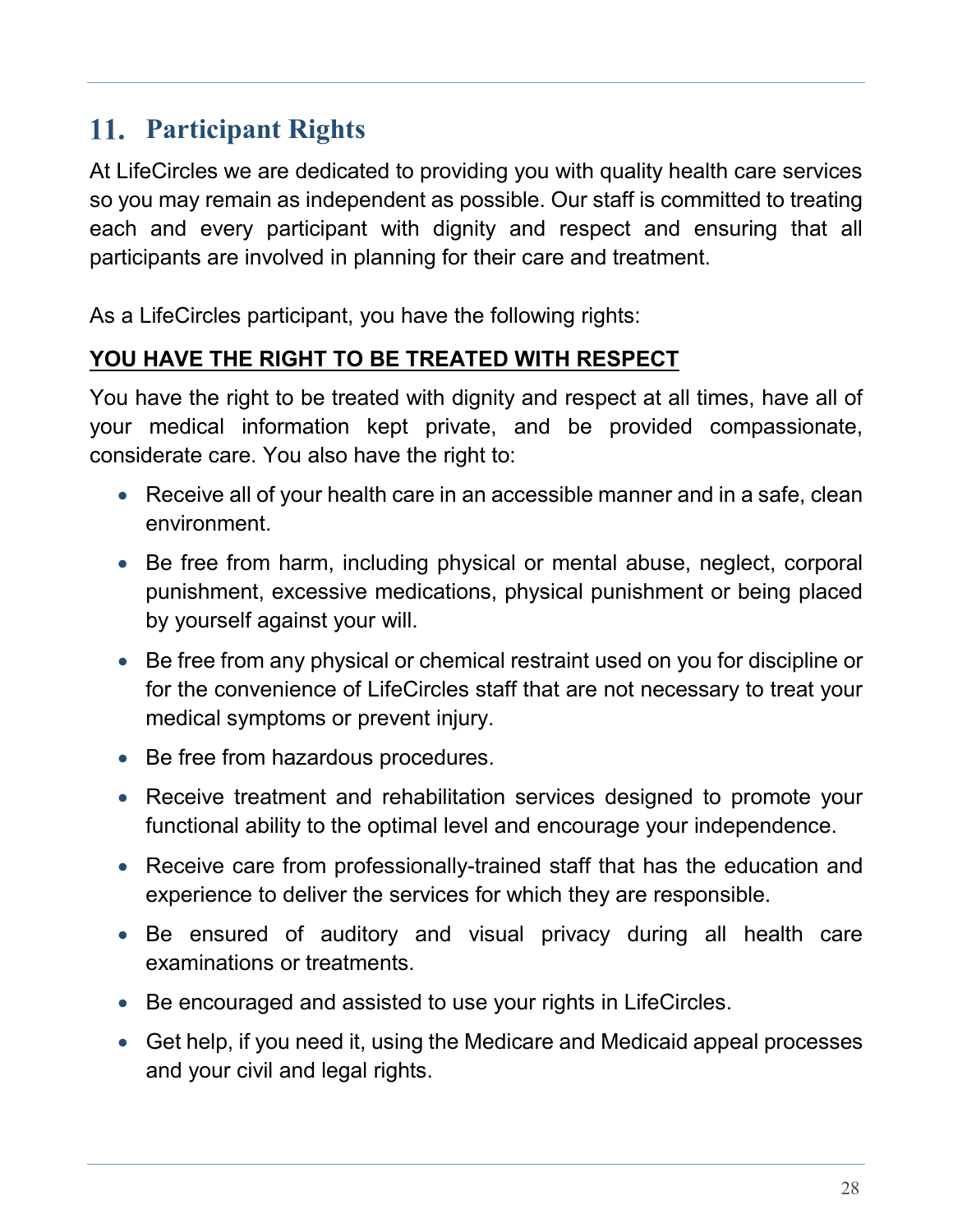# <span id="page-27-0"></span>**Participant Rights**

At LifeCircles we are dedicated to providing you with quality health care services so you may remain as independent as possible. Our staff is committed to treating each and every participant with dignity and respect and ensuring that all participants are involved in planning for their care and treatment.

As a LifeCircles participant, you have the following rights:

#### **YOU HAVE THE RIGHT TO BE TREATED WITH RESPECT**

You have the right to be treated with dignity and respect at all times, have all of your medical information kept private, and be provided compassionate, considerate care. You also have the right to:

- Receive all of your health care in an accessible manner and in a safe, clean environment.
- Be free from harm, including physical or mental abuse, neglect, corporal punishment, excessive medications, physical punishment or being placed by yourself against your will.
- Be free from any physical or chemical restraint used on you for discipline or for the convenience of LifeCircles staff that are not necessary to treat your medical symptoms or prevent injury.
- Be free from hazardous procedures.
- Receive treatment and rehabilitation services designed to promote your functional ability to the optimal level and encourage your independence.
- Receive care from professionally-trained staff that has the education and experience to deliver the services for which they are responsible.
- Be ensured of auditory and visual privacy during all health care examinations or treatments.
- Be encouraged and assisted to use your rights in LifeCircles.
- Get help, if you need it, using the Medicare and Medicaid appeal processes and your civil and legal rights.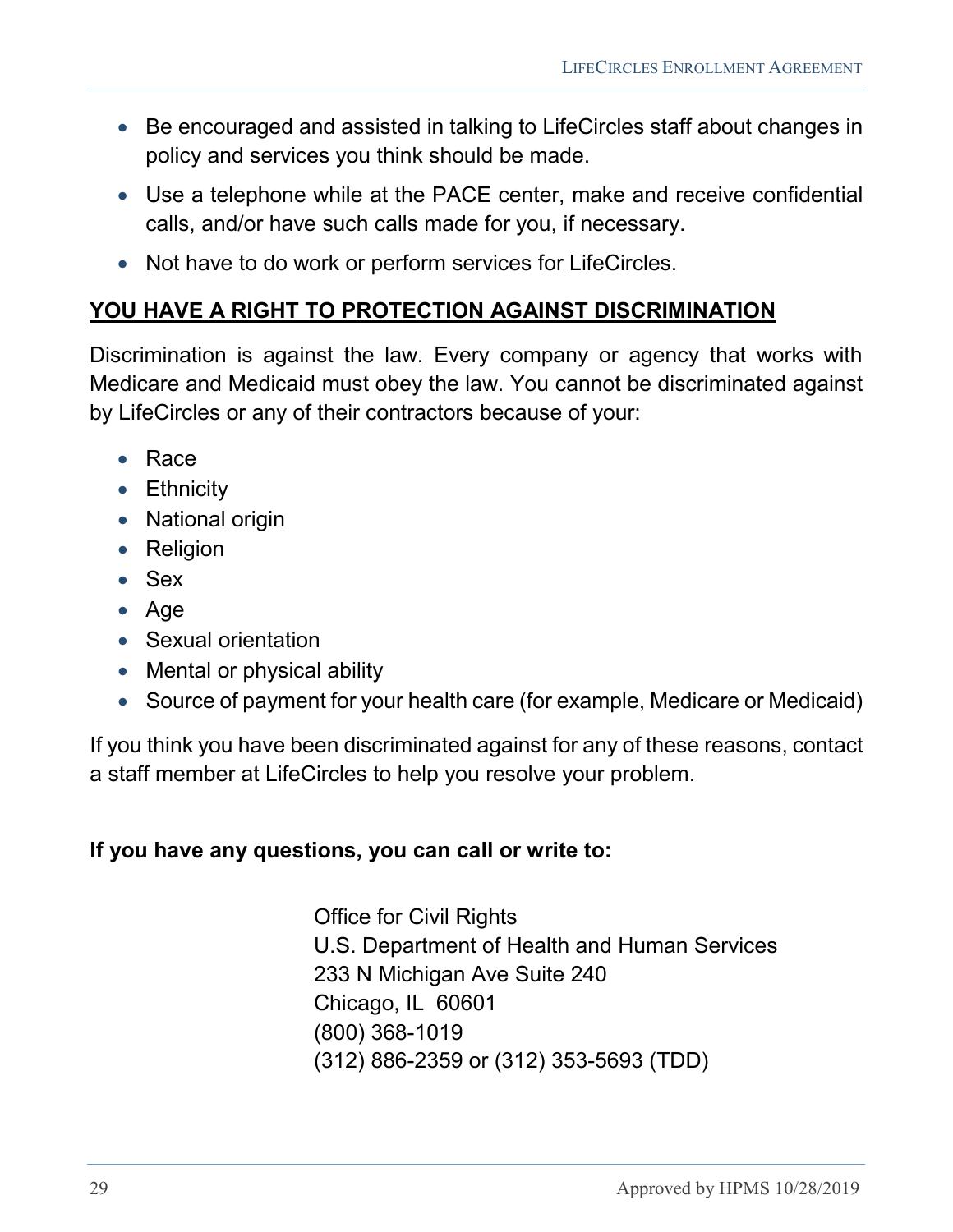- Be encouraged and assisted in talking to LifeCircles staff about changes in policy and services you think should be made.
- Use a telephone while at the PACE center, make and receive confidential calls, and/or have such calls made for you, if necessary.
- Not have to do work or perform services for LifeCircles.

#### **YOU HAVE A RIGHT TO PROTECTION AGAINST DISCRIMINATION**

Discrimination is against the law. Every company or agency that works with Medicare and Medicaid must obey the law. You cannot be discriminated against by LifeCircles or any of their contractors because of your:

- Race
- Ethnicity
- National origin
- Religion
- Sex
- Age
- Sexual orientation
- Mental or physical ability
- Source of payment for your health care (for example, Medicare or Medicaid)

If you think you have been discriminated against for any of these reasons, contact a staff member at LifeCircles to help you resolve your problem.

#### **If you have any questions, you can call or write to:**

Office for Civil Rights U.S. Department of Health and Human Services 233 N Michigan Ave Suite 240 Chicago, IL 60601 (800) 368-1019 (312) 886-2359 or (312) 353-5693 (TDD)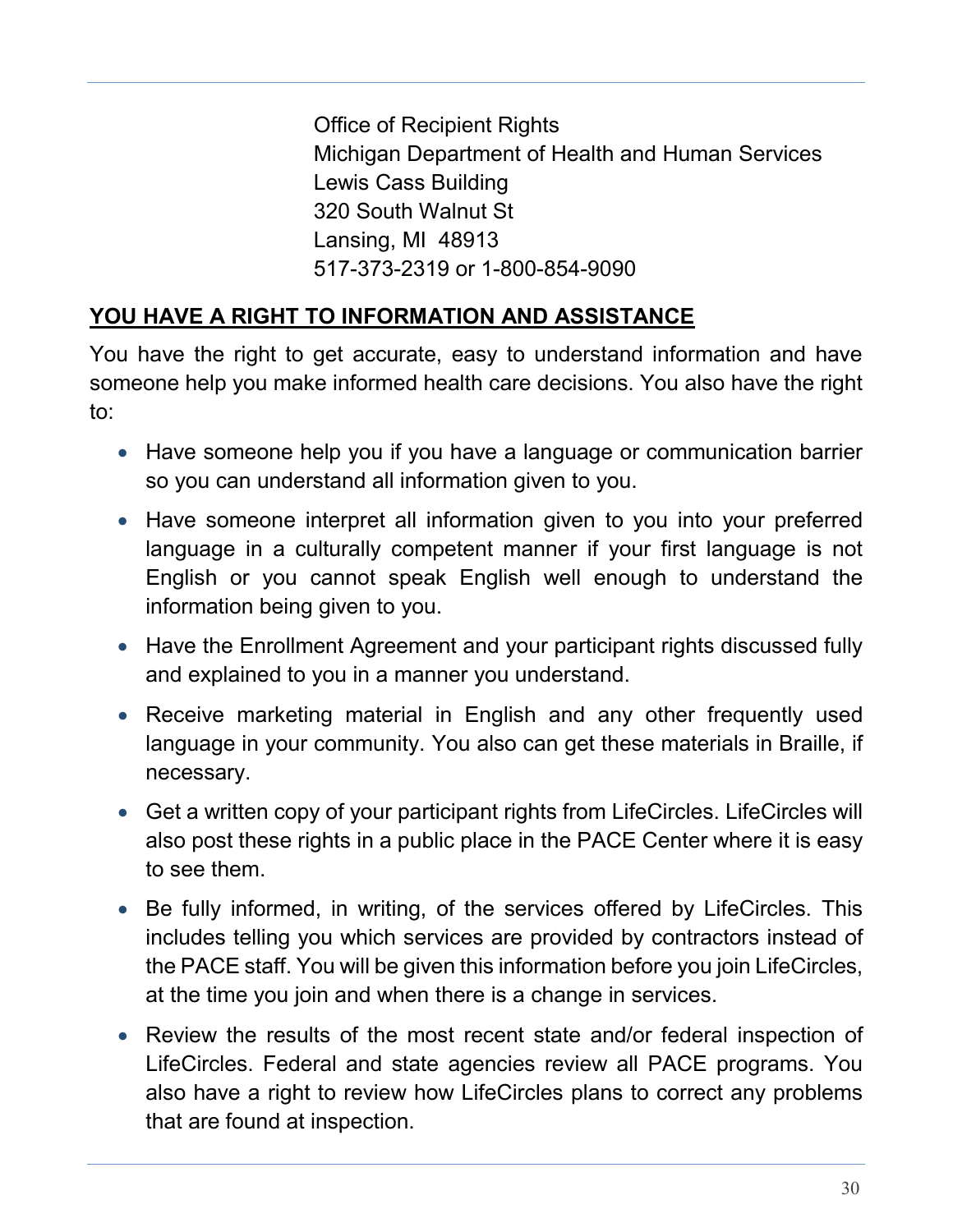Office of Recipient Rights Michigan Department of Health and Human Services Lewis Cass Building 320 South Walnut St Lansing, MI 48913 517-373-2319 or 1-800-854-9090

### **YOU HAVE A RIGHT TO INFORMATION AND ASSISTANCE**

You have the right to get accurate, easy to understand information and have someone help you make informed health care decisions. You also have the right to:

- Have someone help you if you have a language or communication barrier so you can understand all information given to you.
- Have someone interpret all information given to you into your preferred language in a culturally competent manner if your first language is not English or you cannot speak English well enough to understand the information being given to you.
- Have the Enrollment Agreement and your participant rights discussed fully and explained to you in a manner you understand.
- Receive marketing material in English and any other frequently used language in your community. You also can get these materials in Braille, if necessary.
- Get a written copy of your participant rights from LifeCircles. LifeCircles will also post these rights in a public place in the PACE Center where it is easy to see them.
- Be fully informed, in writing, of the services offered by LifeCircles. This includes telling you which services are provided by contractors instead of the PACE staff. You will be given this information before you join LifeCircles, at the time you join and when there is a change in services.
- Review the results of the most recent state and/or federal inspection of LifeCircles. Federal and state agencies review all PACE programs. You also have a right to review how LifeCircles plans to correct any problems that are found at inspection.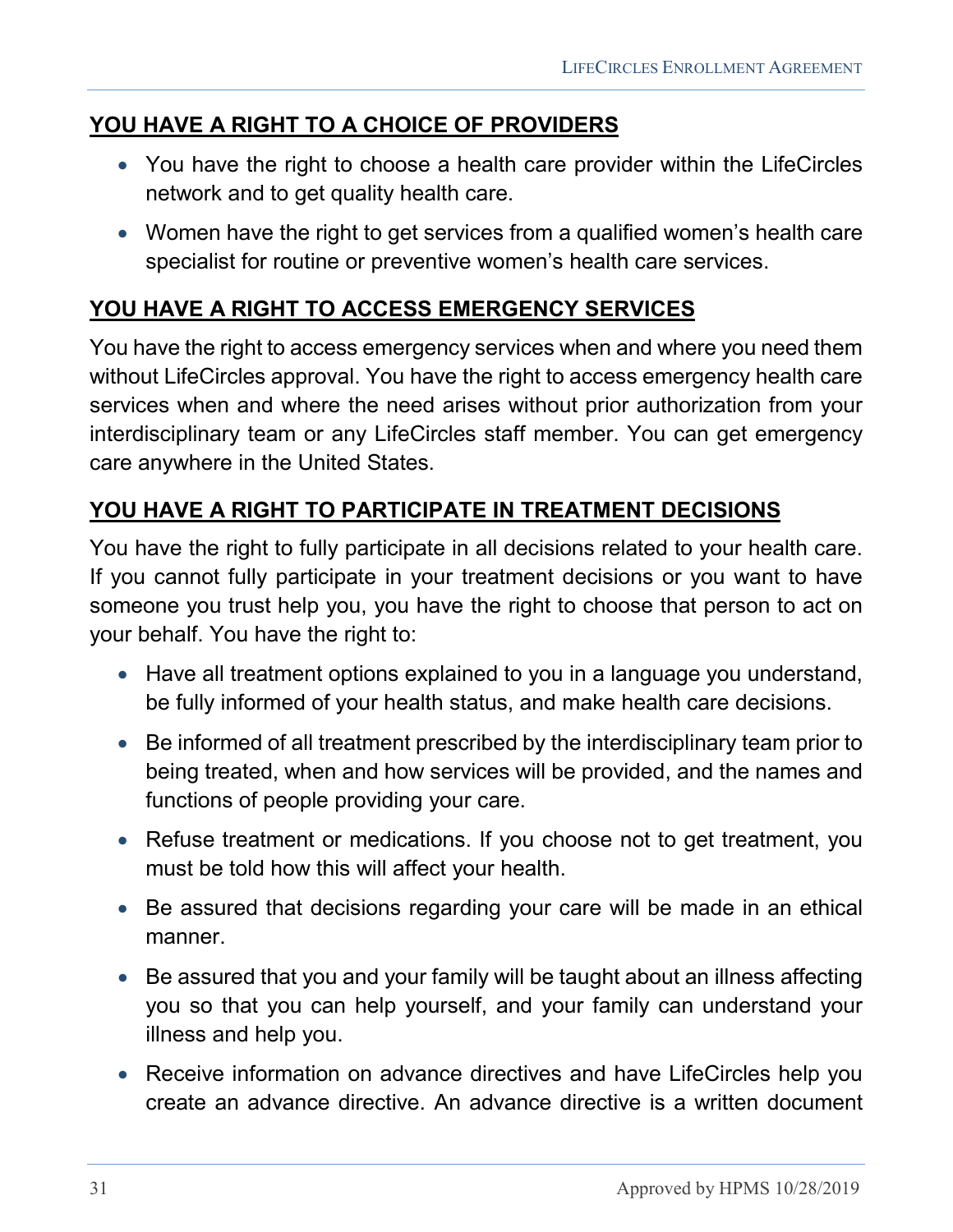#### **YOU HAVE A RIGHT TO A CHOICE OF PROVIDERS**

- You have the right to choose a health care provider within the LifeCircles network and to get quality health care.
- Women have the right to get services from a qualified women's health care specialist for routine or preventive women's health care services.

### **YOU HAVE A RIGHT TO ACCESS EMERGENCY SERVICES**

You have the right to access emergency services when and where you need them without LifeCircles approval. You have the right to access emergency health care services when and where the need arises without prior authorization from your interdisciplinary team or any LifeCircles staff member. You can get emergency care anywhere in the United States.

#### **YOU HAVE A RIGHT TO PARTICIPATE IN TREATMENT DECISIONS**

You have the right to fully participate in all decisions related to your health care. If you cannot fully participate in your treatment decisions or you want to have someone you trust help you, you have the right to choose that person to act on your behalf. You have the right to:

- Have all treatment options explained to you in a language you understand, be fully informed of your health status, and make health care decisions.
- Be informed of all treatment prescribed by the interdisciplinary team prior to being treated, when and how services will be provided, and the names and functions of people providing your care.
- Refuse treatment or medications. If you choose not to get treatment, you must be told how this will affect your health.
- Be assured that decisions regarding your care will be made in an ethical manner.
- Be assured that you and your family will be taught about an illness affecting you so that you can help yourself, and your family can understand your illness and help you.
- Receive information on advance directives and have LifeCircles help you create an advance directive. An advance directive is a written document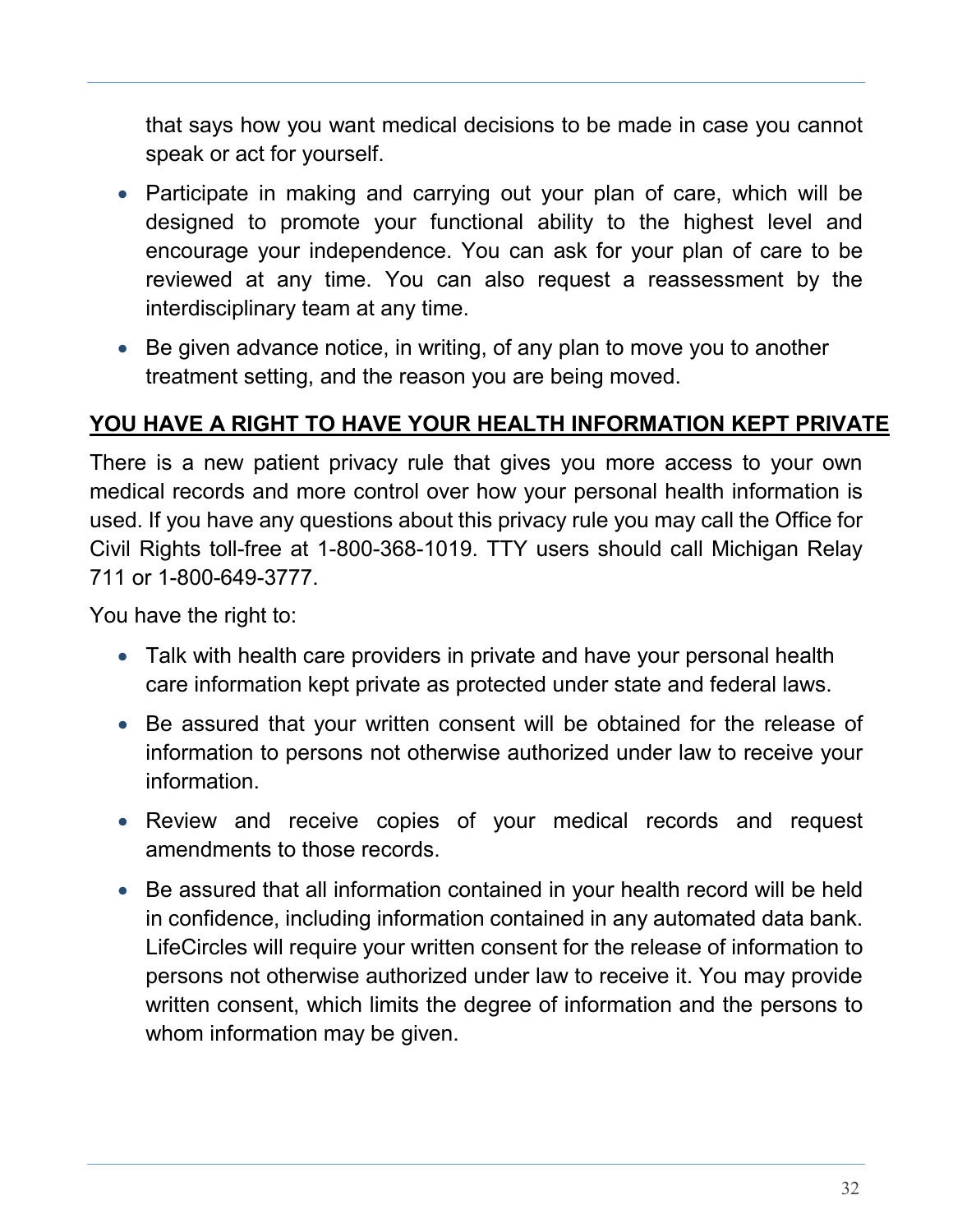that says how you want medical decisions to be made in case you cannot speak or act for yourself.

- Participate in making and carrying out your plan of care, which will be designed to promote your functional ability to the highest level and encourage your independence. You can ask for your plan of care to be reviewed at any time. You can also request a reassessment by the interdisciplinary team at any time.
- Be given advance notice, in writing, of any plan to move you to another treatment setting, and the reason you are being moved.

#### **YOU HAVE A RIGHT TO HAVE YOUR HEALTH INFORMATION KEPT PRIVATE**

There is a new patient privacy rule that gives you more access to your own medical records and more control over how your personal health information is used. If you have any questions about this privacy rule you may call the Office for Civil Rights toll-free at 1-800-368-1019. TTY users should call Michigan Relay 711 or 1-800-649-3777.

You have the right to:

- Talk with health care providers in private and have your personal health care information kept private as protected under state and federal laws.
- Be assured that your written consent will be obtained for the release of information to persons not otherwise authorized under law to receive your information.
- Review and receive copies of your medical records and request amendments to those records.
- Be assured that all information contained in your health record will be held in confidence, including information contained in any automated data bank. LifeCircles will require your written consent for the release of information to persons not otherwise authorized under law to receive it. You may provide written consent, which limits the degree of information and the persons to whom information may be given.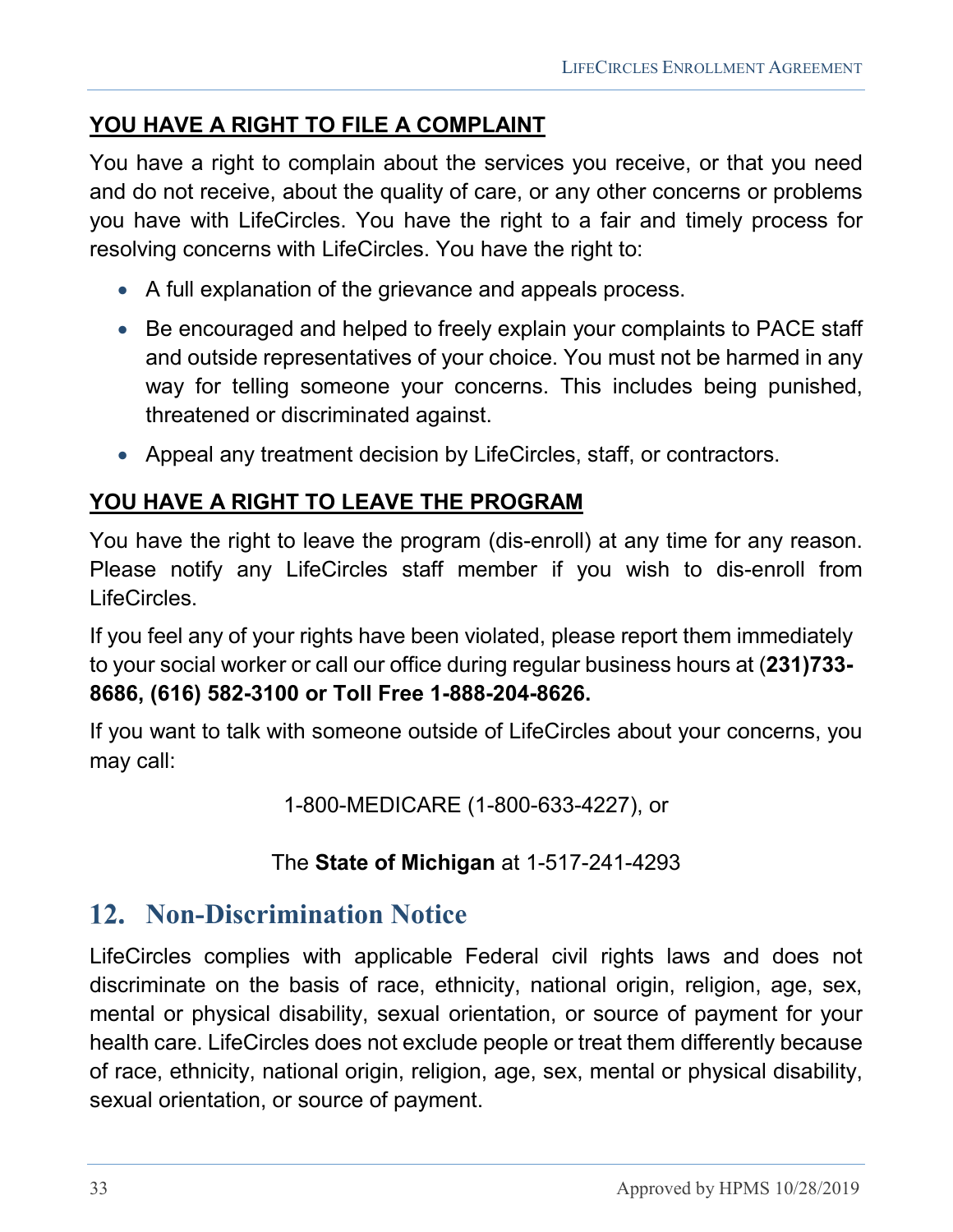#### **YOU HAVE A RIGHT TO FILE A COMPLAINT**

You have a right to complain about the services you receive, or that you need and do not receive, about the quality of care, or any other concerns or problems you have with LifeCircles. You have the right to a fair and timely process for resolving concerns with LifeCircles. You have the right to:

- A full explanation of the grievance and appeals process.
- Be encouraged and helped to freely explain your complaints to PACE staff and outside representatives of your choice. You must not be harmed in any way for telling someone your concerns. This includes being punished, threatened or discriminated against.
- Appeal any treatment decision by LifeCircles, staff, or contractors.

### **YOU HAVE A RIGHT TO LEAVE THE PROGRAM**

You have the right to leave the program (dis-enroll) at any time for any reason. Please notify any LifeCircles staff member if you wish to dis-enroll from LifeCircles.

If you feel any of your rights have been violated, please report them immediately to your social worker or call our office during regular business hours at (**231)733- 8686, (616) 582-3100 or Toll Free 1-888-204-8626.**

If you want to talk with someone outside of LifeCircles about your concerns, you may call:

1-800-MEDICARE (1-800-633-4227), or

#### The **State of Michigan** at 1-517-241-4293

# <span id="page-32-0"></span>**12. Non-Discrimination Notice**

LifeCircles complies with applicable Federal civil rights laws and does not discriminate on the basis of race, ethnicity, national origin, religion, age, sex, mental or physical disability, sexual orientation, or source of payment for your health care. LifeCircles does not exclude people or treat them differently because of race, ethnicity, national origin, religion, age, sex, mental or physical disability, sexual orientation, or source of payment.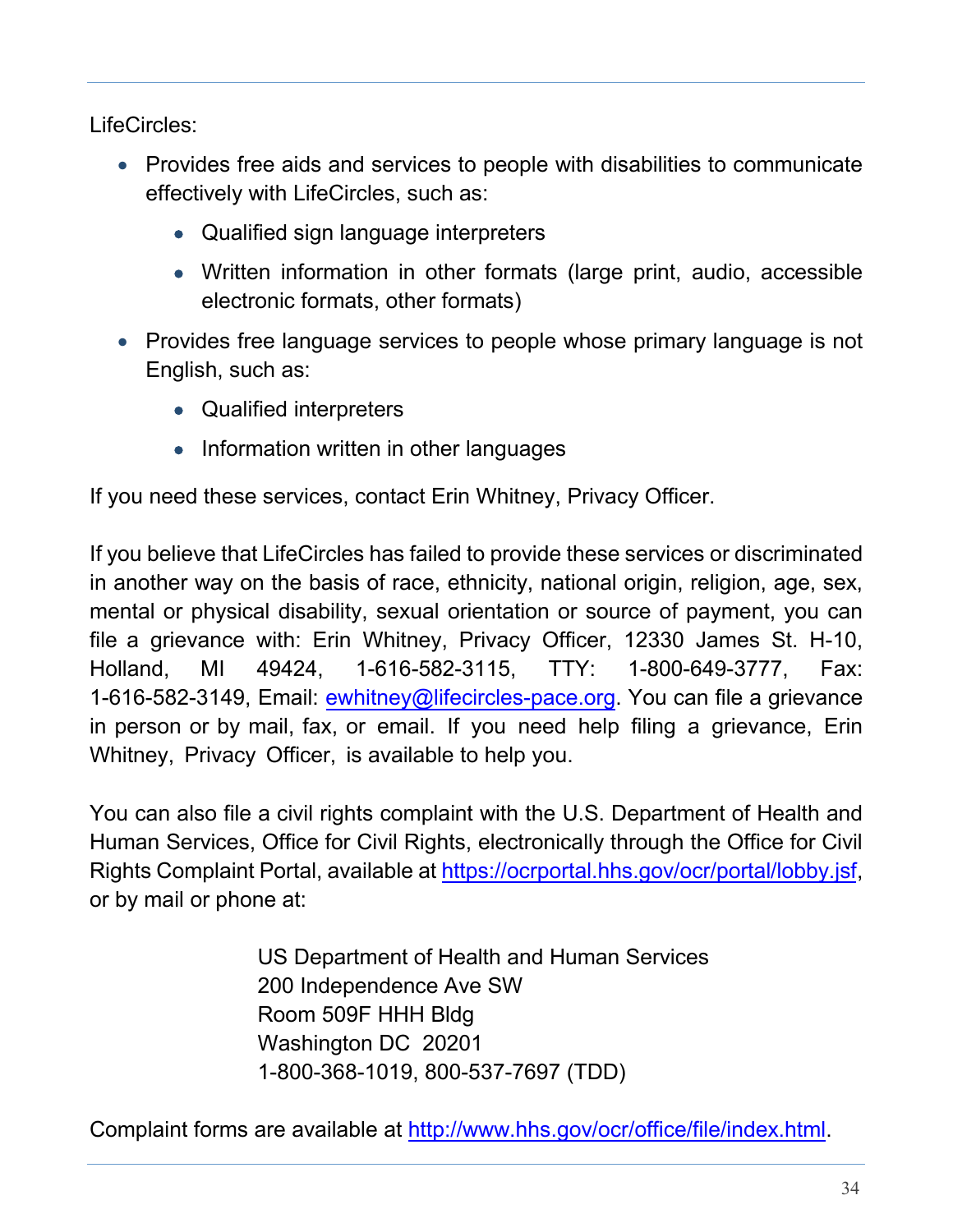LifeCircles:

- Provides free aids and services to people with disabilities to communicate effectively with LifeCircles, such as:
	- Qualified sign language interpreters
	- Written information in other formats (large print, audio, accessible electronic formats, other formats)
- Provides free language services to people whose primary language is not English, such as:
	- Qualified interpreters
	- Information written in other languages

If you need these services, contact Erin Whitney, Privacy Officer.

If you believe that LifeCircles has failed to provide these services or discriminated in another way on the basis of race, ethnicity, national origin, religion, age, sex, mental or physical disability, sexual orientation or source of payment, you can file a grievance with: Erin Whitney, Privacy Officer, 12330 James St. H-10, Holland, MI 49424, 1-616-582-3115, TTY: 1-800-649-3777, Fax: [1-616-582-3149, Email:](file://lcdc02/home$/nblake/Forms/eobbink@lifecircles-pace.org) ewhitney@lifecircles-pace.org. You can file a grievance in person or by mail, fax, or email. If you need help filing a grievance, Erin Whitney, Privacy Officer, is available to help you.

You can also file a civil rights complaint with the U.S. Department of Health and Human Services, Office for Civil Rights, electronically through the Office for Civil Rights Complaint Portal, available at [https://ocrportal.hhs.gov/ocr/portal/lobby.jsf,](https://ocrportal.hhs.gov/ocr/portal/lobby.jsf)  or by mail or phone at:

> US Department of Health and Human Services 200 Independence Ave SW Room 509F HHH Bldg Washington DC 20201 1-800-368-1019, 800-537-7697 (TDD)

Complaint forms are available at [http://www.hhs.gov/ocr/office/file/index.html.](http://www.hhs.gov/ocr/office/file/index.html)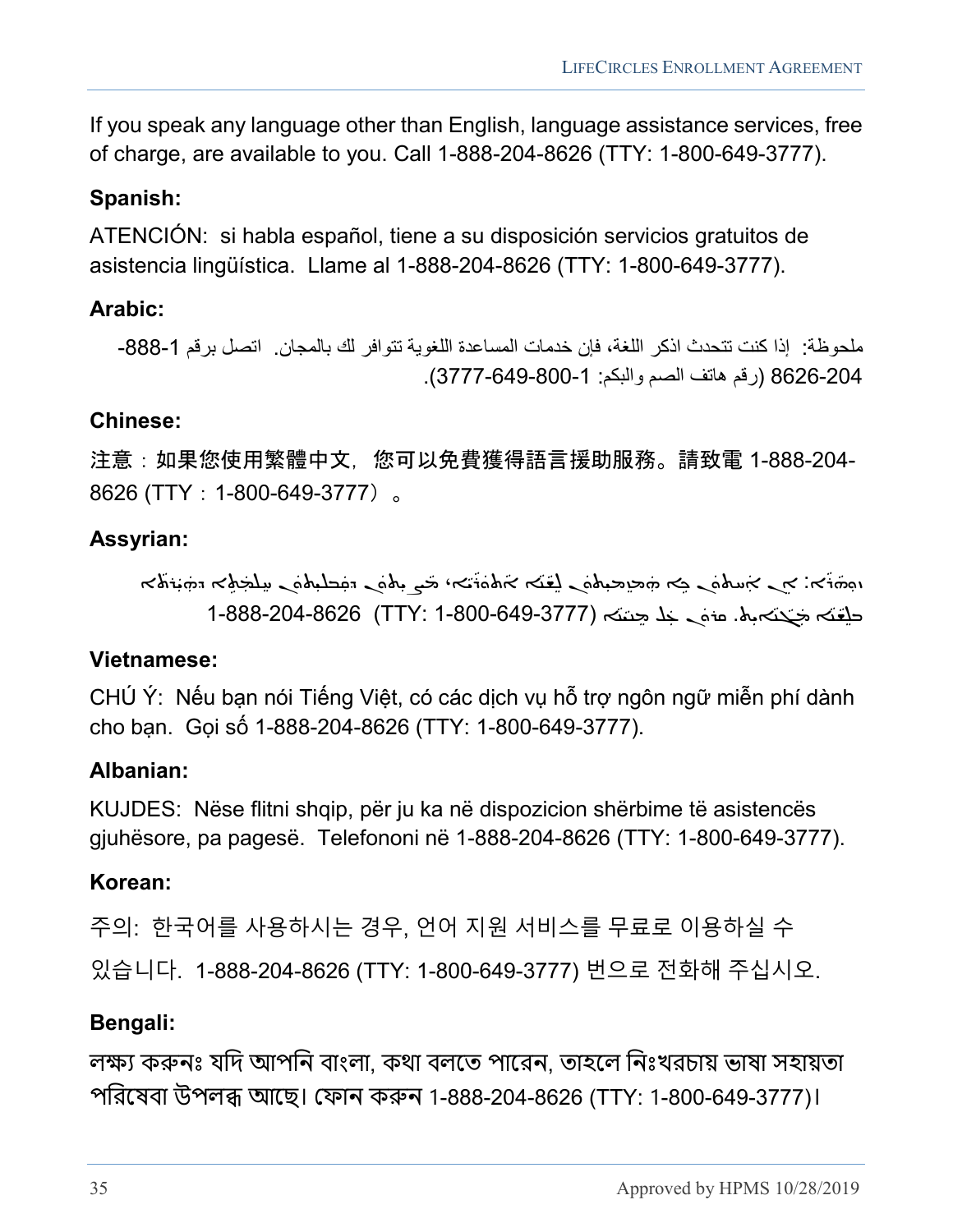If you speak any language other than English, language assistance services, free of charge, are available to you. Call 1-888-204-8626 (TTY: 1-800-649-3777).

#### **Spanish:**

ATENCIÓN: si habla español, tiene a su disposición servicios gratuitos de asistencia lingüística. Llame al 1-888-204-8626 (TTY: 1-800-649-3777).

#### **Arabic:**

ملحوظة: إذا كنت تتحدث اذكر اللغة، فإن خدمات المساعدة اللغوية تتوافر لك بالمجان. اتصل برقم 1-888-8626-204 (رقم ھاتف الصم والبكم: 1- 3777-649-800).

#### **Chinese:**

注意:如果您使用繁體中文,您可以免費獲得語言援助服務。請致電 1-888-204- 8626 (TTY: 1-800-649-3777)。

#### **Assyrian:**

خة ښې ܐ ܝܘܬܘܢ ܟܘ ډܐ ܗܡܢܡܝܬܘܢ ܠܫ̈ܐ ܐشمَه تحي ܢܬܘܢ ܕתִۤڪﻠِܝܬܘܢ سلجرهِ ܐ ܕܘ̈ܝܪܬܐ ܕܘ̈ܝܪܬܐ ܕܘ̈ܝܪܬܐ ׇܿ֘֒ ܵܵܵ ܿܿܿܵܿ ديغته مجحّكه بله. عنه حد حتمته (1-837-649-3777) 1-888-204-8626 . ܵܵ

#### **Vietnamese:**

CHÚ Ý: Nếu bạn nói Tiếng Việt, có các dịch vụ hỗ trợ ngôn ngữ miễn phí dành cho bạn. Gọi số 1-888-204-8626 (TTY: 1-800-649-3777).

#### **Albanian:**

KUJDES: Nëse flitni shqip, për ju ka në dispozicion shërbime të asistencës gjuhësore, pa pagesë. Telefononi në 1-888-204-8626 (TTY: 1-800-649-3777).

#### **Korean:**

주의: 한국어를 사용하시는 경우, 언어 지원 서비스를 무료로 이용하실 수 있습니다. 1-888-204-8626 (TTY: 1-800-649-3777) 번으로 전화해 주십시오.

#### **Bengali:**

লক্ষ্য করুনঃ যদি আপনি বাংলা, কথা বলতে পারেন, তাহলে নিঃখরচায় ভাষা সহায়তা পিরেষবা উপল� আেছ। েফান ক�ন 1-888-204-8626 (TTY: 1-800-649-3777)।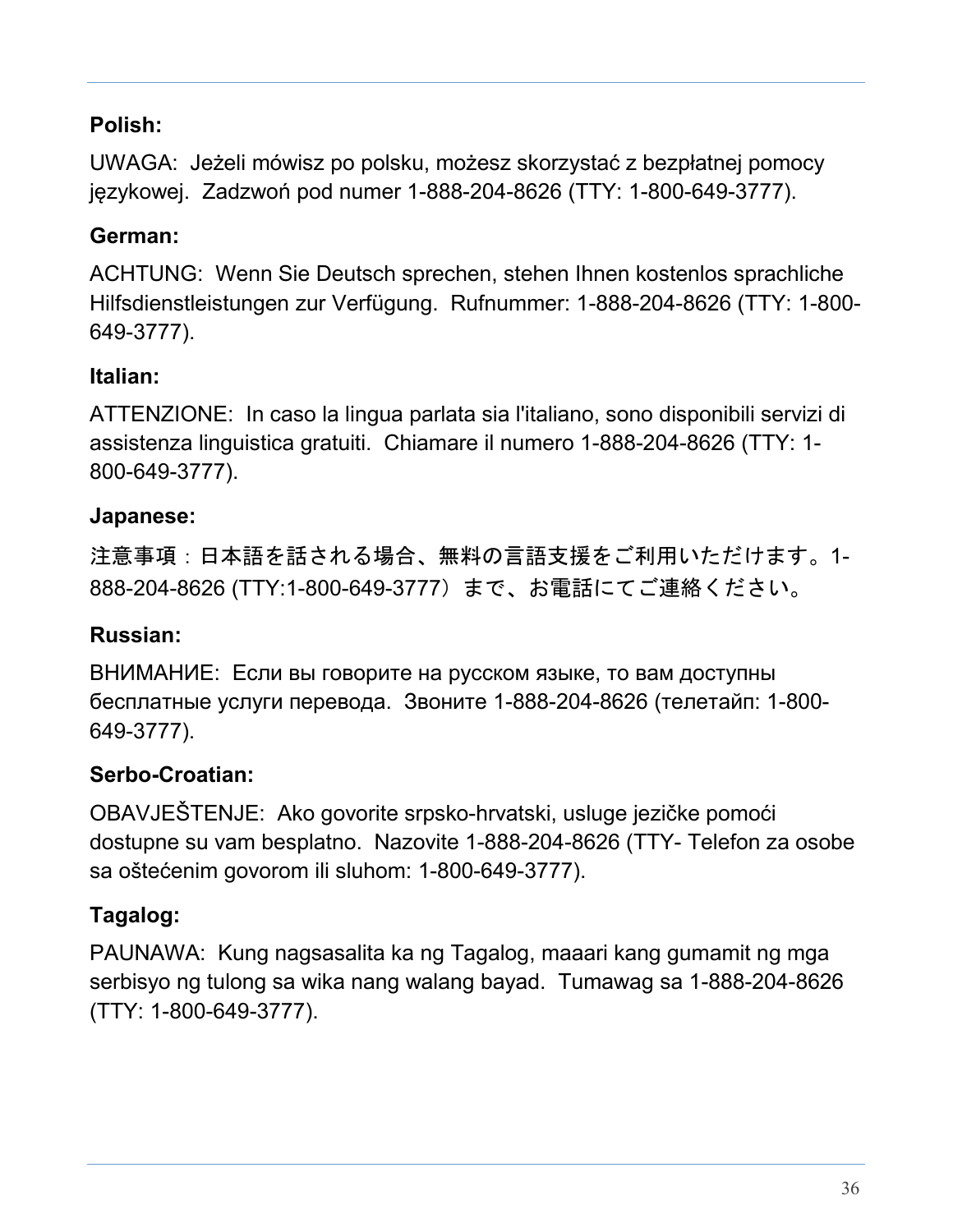#### **Polish:**

UWAGA: Jeżeli mówisz po polsku, możesz skorzystać z bezpłatnej pomocy językowej. Zadzwoń pod numer 1-888-204-8626 (TTY: 1-800-649-3777).

#### **German:**

ACHTUNG: Wenn Sie Deutsch sprechen, stehen Ihnen kostenlos sprachliche Hilfsdienstleistungen zur Verfügung. Rufnummer: 1-888-204-8626 (TTY: 1-800- 649-3777).

#### **Italian:**

ATTENZIONE: In caso la lingua parlata sia l'italiano, sono disponibili servizi di assistenza linguistica gratuiti. Chiamare il numero 1-888-204-8626 (TTY: 1- 800-649-3777).

#### **Japanese:**

注意事項:日本語を話される場合、無料の言語支援をご利用いただけます。1- 888-204-8626 (TTY:1-800-649-3777)まで、お電話にてご連絡ください。

#### **Russian:**

ВНИМАНИЕ: Если вы говорите на русском языке, то вам доступны бесплатные услуги перевода. Звоните 1-888-204-8626 (телетайп: 1-800- 649-3777).

#### **Serbo-Croatian:**

OBAVJEŠTENJE: Ako govorite srpsko-hrvatski, usluge jezičke pomoći dostupne su vam besplatno. Nazovite 1-888-204-8626 (TTY- Telefon za osobe sa oštećenim govorom ili sluhom: 1-800-649-3777).

#### **Tagalog:**

PAUNAWA: Kung nagsasalita ka ng Tagalog, maaari kang gumamit ng mga serbisyo ng tulong sa wika nang walang bayad. Tumawag sa 1-888-204-8626 (TTY: 1-800-649-3777).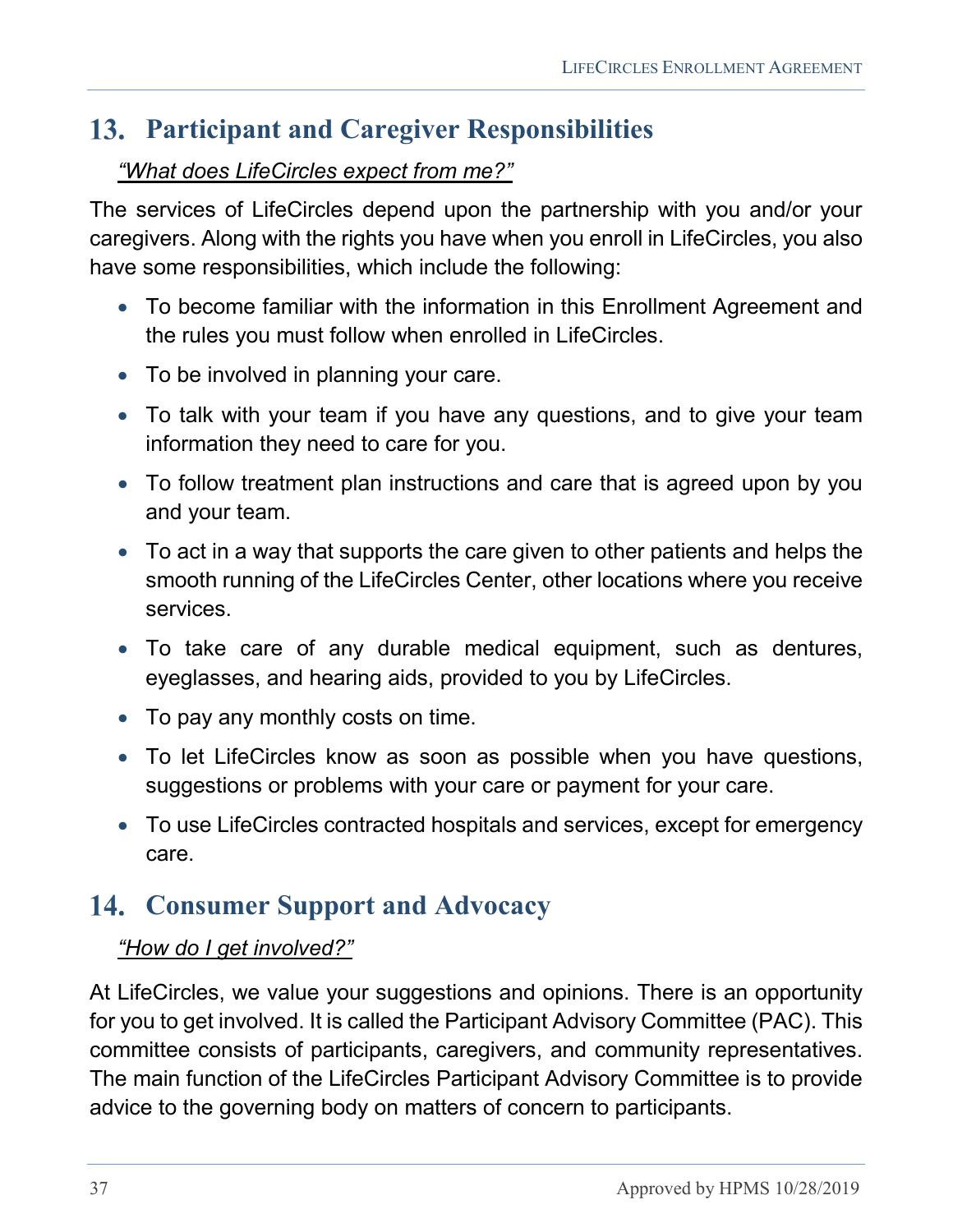# <span id="page-36-0"></span>**Participant and Caregiver Responsibilities**

#### *"What does LifeCircles expect from me?"*

The services of LifeCircles depend upon the partnership with you and/or your caregivers. Along with the rights you have when you enroll in LifeCircles, you also have some responsibilities, which include the following:

- To become familiar with the information in this Enrollment Agreement and the rules you must follow when enrolled in LifeCircles.
- To be involved in planning your care.
- To talk with your team if you have any questions, and to give your team information they need to care for you.
- To follow treatment plan instructions and care that is agreed upon by you and your team.
- To act in a way that supports the care given to other patients and helps the smooth running of the LifeCircles Center, other locations where you receive services.
- To take care of any durable medical equipment, such as dentures, eyeglasses, and hearing aids, provided to you by LifeCircles.
- To pay any monthly costs on time.
- To let LifeCircles know as soon as possible when you have questions, suggestions or problems with your care or payment for your care.
- To use LifeCircles contracted hospitals and services, except for emergency care.

# <span id="page-36-1"></span>**Consumer Support and Advocacy**

#### *"How do I get involved?"*

At LifeCircles, we value your suggestions and opinions. There is an opportunity for you to get involved. It is called the Participant Advisory Committee (PAC). This committee consists of participants, caregivers, and community representatives. The main function of the LifeCircles Participant Advisory Committee is to provide advice to the governing body on matters of concern to participants.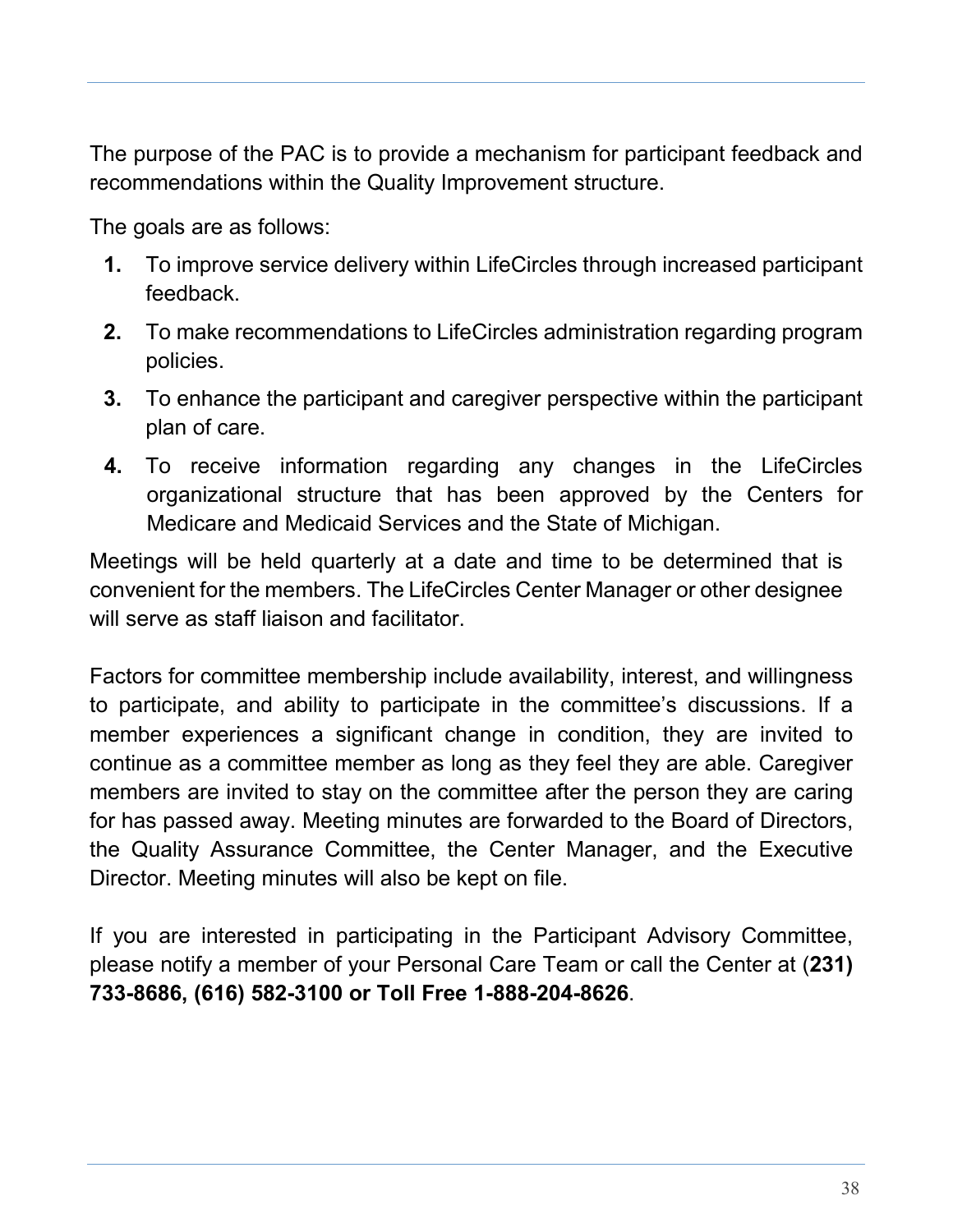The purpose of the PAC is to provide a mechanism for participant feedback and recommendations within the Quality Improvement structure.

The goals are as follows:

- **1.** To improve service delivery within LifeCircles through increased participant feedback.
- **2.** To make recommendations to LifeCircles administration regarding program policies.
- **3.** To enhance the participant and caregiver perspective within the participant plan of care.
- **4.** To receive information regarding any changes in the LifeCircles organizational structure that has been approved by the Centers for Medicare and Medicaid Services and the State of Michigan.

Meetings will be held quarterly at a date and time to be determined that is convenient for the members. The LifeCircles Center Manager or other designee will serve as staff liaison and facilitator.

Factors for committee membership include availability, interest, and willingness to participate, and ability to participate in the committee's discussions. If a member experiences a significant change in condition, they are invited to continue as a committee member as long as they feel they are able. Caregiver members are invited to stay on the committee after the person they are caring for has passed away. Meeting minutes are forwarded to the Board of Directors, the Quality Assurance Committee, the Center Manager, and the Executive Director. Meeting minutes will also be kept on file.

If you are interested in participating in the Participant Advisory Committee, please notify a member of your Personal Care Team or call the Center at (**231) 733-8686, (616) 582-3100 or Toll Free 1-888-204-8626**.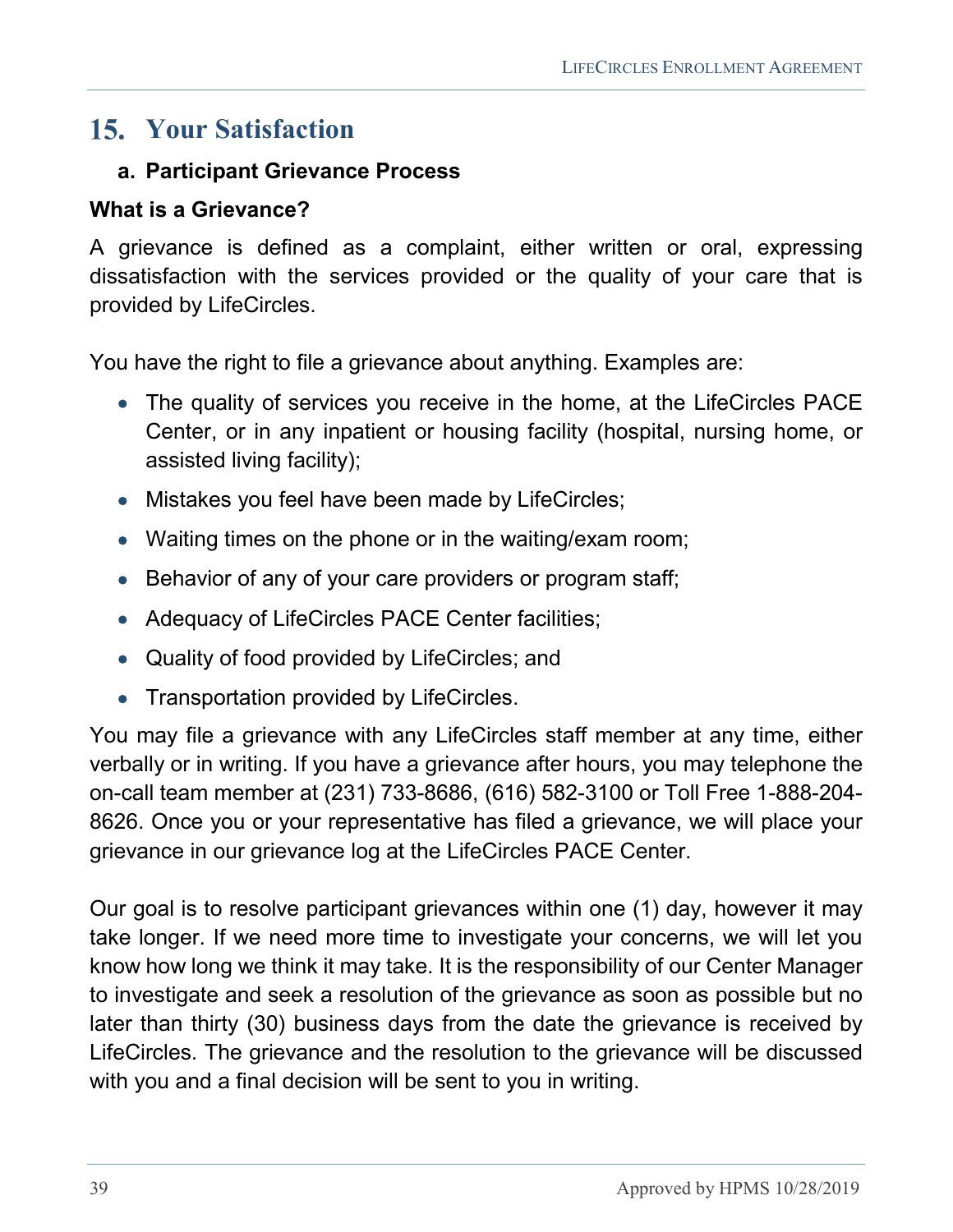# <span id="page-38-0"></span>**Your Satisfaction**

#### <span id="page-38-1"></span>**a. Participant Grievance Process**

#### **What is a Grievance?**

A grievance is defined as a complaint, either written or oral, expressing dissatisfaction with the services provided or the quality of your care that is provided by LifeCircles.

You have the right to file a grievance about anything. Examples are:

- The quality of services you receive in the home, at the LifeCircles PACE Center, or in any inpatient or housing facility (hospital, nursing home, or assisted living facility);
- Mistakes you feel have been made by LifeCircles;
- Waiting times on the phone or in the waiting/exam room;
- Behavior of any of your care providers or program staff;
- Adequacy of LifeCircles PACE Center facilities;
- Quality of food provided by LifeCircles; and
- Transportation provided by LifeCircles.

You may file a grievance with any LifeCircles staff member at any time, either verbally or in writing. If you have a grievance after hours, you may telephone the on-call team member at (231) 733-8686, (616) 582-3100 or Toll Free 1-888-204- 8626. Once you or your representative has filed a grievance, we will place your grievance in our grievance log at the LifeCircles PACE Center.

Our goal is to resolve participant grievances within one (1) day, however it may take longer. If we need more time to investigate your concerns, we will let you know how long we think it may take. It is the responsibility of our Center Manager to investigate and seek a resolution of the grievance as soon as possible but no later than thirty (30) business days from the date the grievance is received by LifeCircles. The grievance and the resolution to the grievance will be discussed with you and a final decision will be sent to you in writing.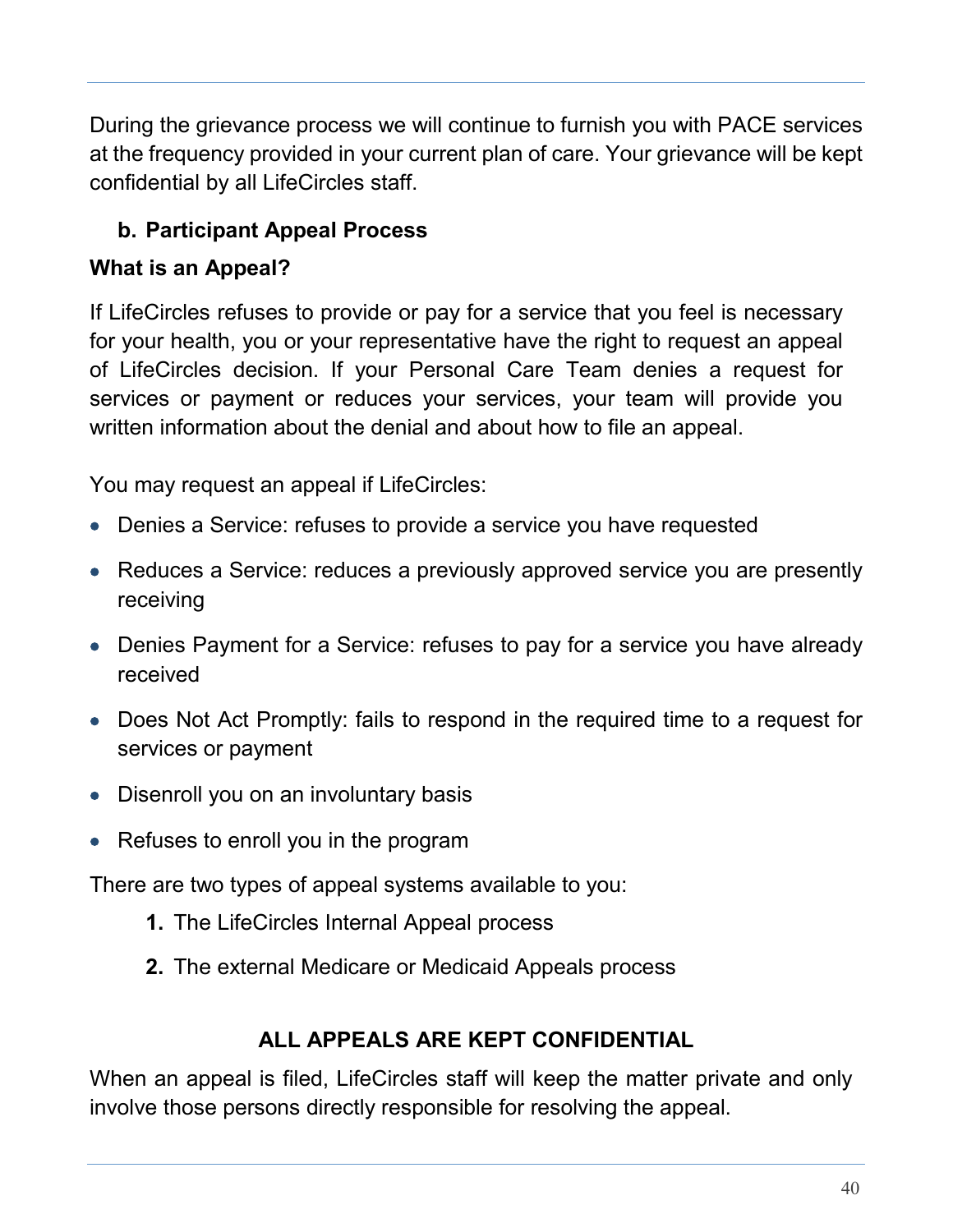During the grievance process we will continue to furnish you with PACE services at the frequency provided in your current plan of care. Your grievance will be kept confidential by all LifeCircles staff.

# <span id="page-39-0"></span>**b. Participant Appeal Process**

#### **What is an Appeal?**

If LifeCircles refuses to provide or pay for a service that you feel is necessary for your health, you or your representative have the right to request an appeal of LifeCircles decision. If your Personal Care Team denies a request for services or payment or reduces your services, your team will provide you written information about the denial and about how to file an appeal.

You may request an appeal if LifeCircles:

- Denies a Service: refuses to provide a service you have requested
- Reduces a Service: reduces a previously approved service you are presently receiving
- Denies Payment for a Service: refuses to pay for a service you have already received
- Does Not Act Promptly: fails to respond in the required time to a request for services or payment
- Disenroll you on an involuntary basis
- Refuses to enroll you in the program

There are two types of appeal systems available to you:

- **1.** The LifeCircles Internal Appeal process
- **2.** The external Medicare or Medicaid Appeals process

#### **ALL APPEALS ARE KEPT CONFIDENTIAL**

When an appeal is filed, LifeCircles staff will keep the matter private and only involve those persons directly responsible for resolving the appeal.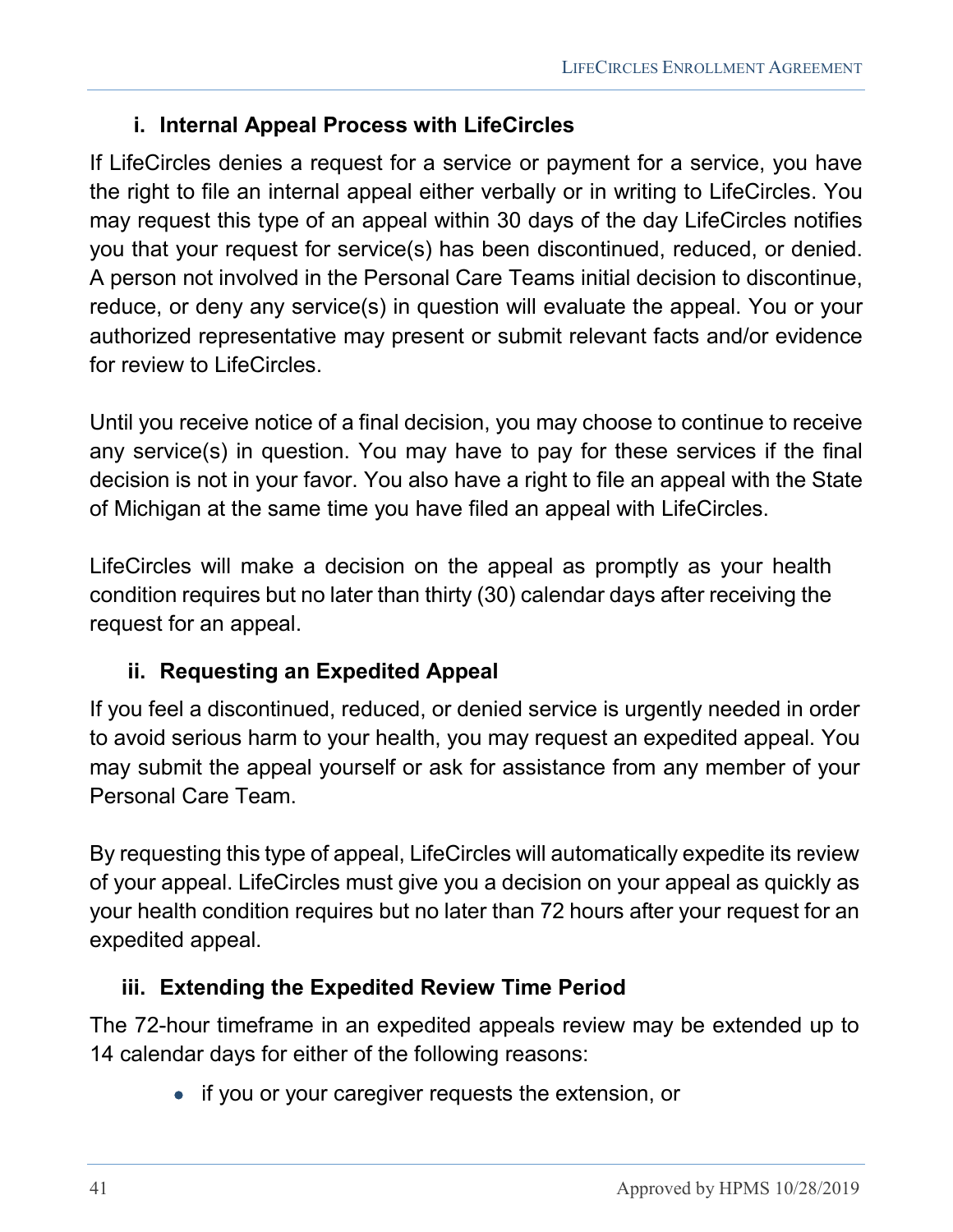#### **i. Internal Appeal Process with LifeCircles**

<span id="page-40-0"></span>If LifeCircles denies a request for a service or payment for a service, you have the right to file an internal appeal either verbally or in writing to LifeCircles. You may request this type of an appeal within 30 days of the day LifeCircles notifies you that your request for service(s) has been discontinued, reduced, or denied. A person not involved in the Personal Care Teams initial decision to discontinue, reduce, or deny any service(s) in question will evaluate the appeal. You or your authorized representative may present or submit relevant facts and/or evidence for review to LifeCircles.

Until you receive notice of a final decision, you may choose to continue to receive any service(s) in question. You may have to pay for these services if the final decision is not in your favor. You also have a right to file an appeal with the State of Michigan at the same time you have filed an appeal with LifeCircles.

LifeCircles will make a decision on the appeal as promptly as your health condition requires but no later than thirty (30) calendar days after receiving the request for an appeal.

#### <span id="page-40-1"></span>**ii. Requesting an Expedited Appeal**

If you feel a discontinued, reduced, or denied service is urgently needed in order to avoid serious harm to your health, you may request an expedited appeal. You may submit the appeal yourself or ask for assistance from any member of your Personal Care Team.

By requesting this type of appeal, LifeCircles will automatically expedite its review of your appeal. LifeCircles must give you a decision on your appeal as quickly as your health condition requires but no later than 72 hours after your request for an expedited appeal.

#### <span id="page-40-2"></span>**iii. Extending the Expedited Review Time Period**

The 72-hour timeframe in an expedited appeals review may be extended up to 14 calendar days for either of the following reasons:

• if you or your caregiver requests the extension, or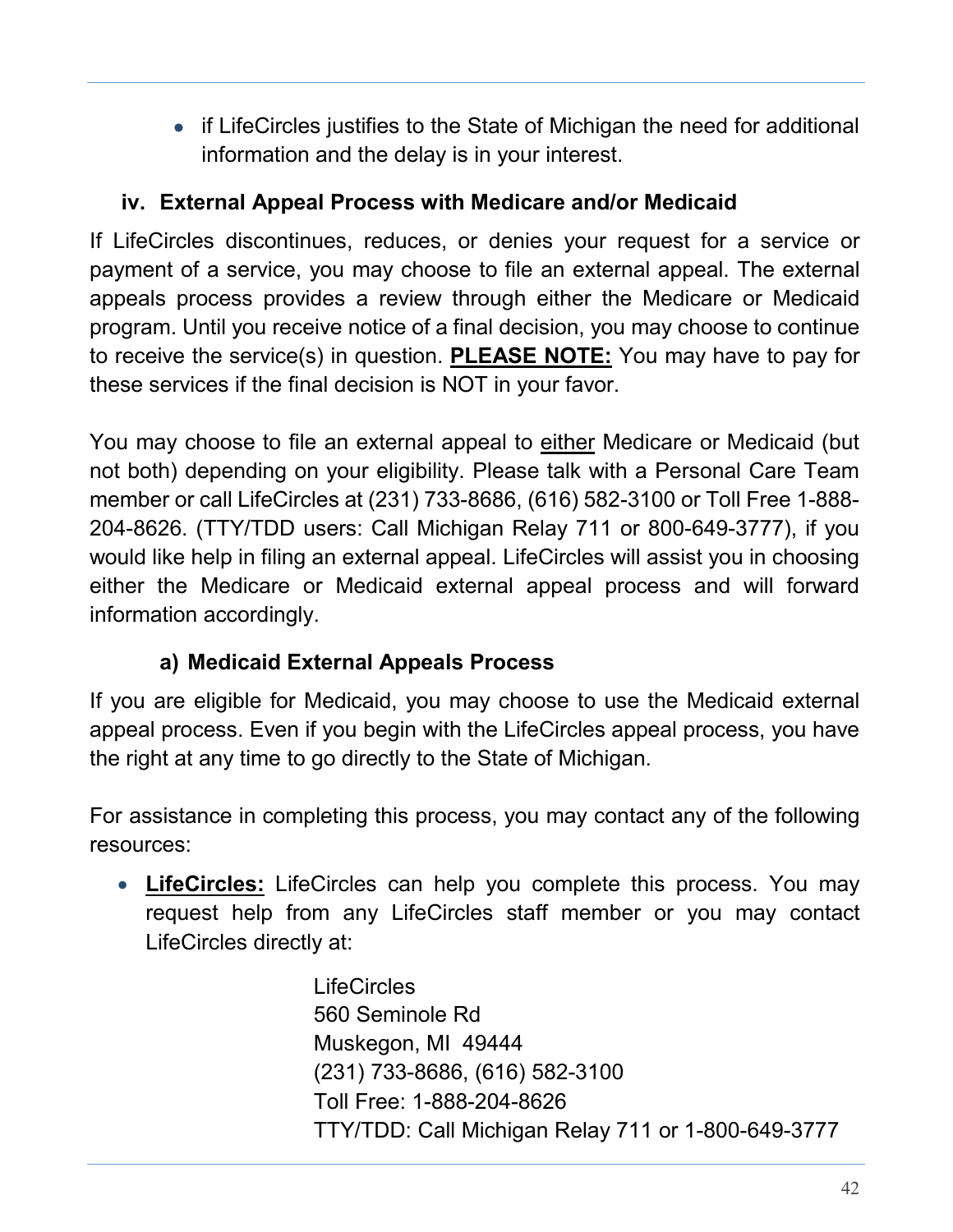• if LifeCircles justifies to the State of Michigan the need for additional information and the delay is in your interest.

#### <span id="page-41-0"></span>**iv. External Appeal Process with Medicare and/or Medicaid**

If LifeCircles discontinues, reduces, or denies your request for a service or payment of a service, you may choose to file an external appeal. The external appeals process provides a review through either the Medicare or Medicaid program. Until you receive notice of a final decision, you may choose to continue to receive the service(s) in question. **PLEASE NOTE:** You may have to pay for these services if the final decision is NOT in your favor.

You may choose to file an external appeal to either Medicare or Medicaid (but not both) depending on your eligibility. Please talk with a Personal Care Team member or call LifeCircles at (231) 733-8686, (616) 582-3100 or Toll Free 1-888- 204-8626. (TTY/TDD users: Call Michigan Relay 711 or 800-649-3777), if you would like help in filing an external appeal. LifeCircles will assist you in choosing either the Medicare or Medicaid external appeal process and will forward information accordingly.

# **a) Medicaid External Appeals Process**

<span id="page-41-1"></span>If you are eligible for Medicaid, you may choose to use the Medicaid external appeal process. Even if you begin with the LifeCircles appeal process, you have the right at any time to go directly to the State of Michigan.

For assistance in completing this process, you may contact any of the following resources:

• **LifeCircles:** LifeCircles can help you complete this process. You may request help from any LifeCircles staff member or you may contact LifeCircles directly at:

> **LifeCircles** 560 Seminole Rd Muskegon, MI 49444 (231) 733-8686, (616) 582-3100 Toll Free: 1-888-204-8626 TTY/TDD: Call Michigan Relay 711 or 1-800-649-3777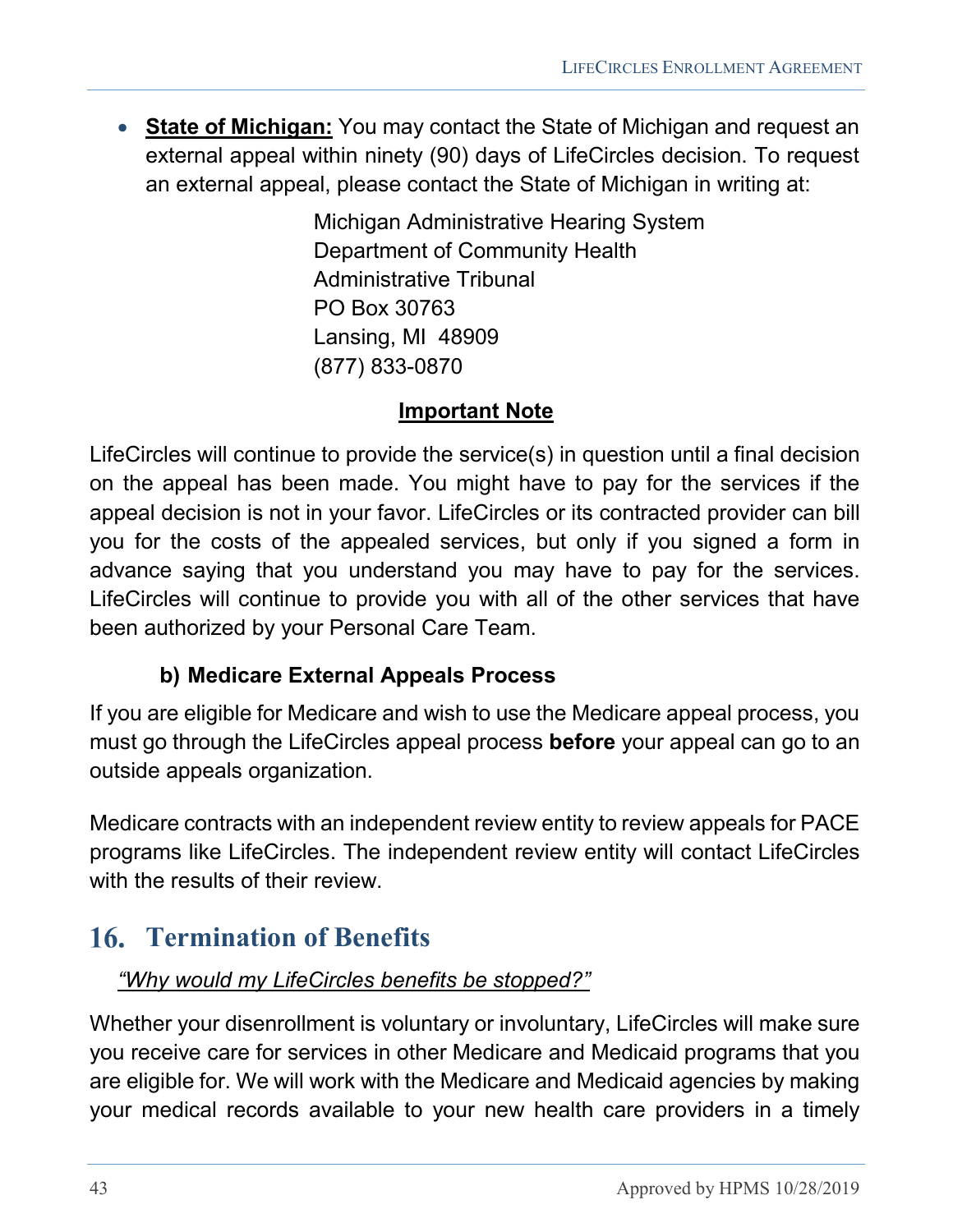• **State of Michigan:** You may contact the State of Michigan and request an external appeal within ninety (90) days of LifeCircles decision. To request an external appeal, please contact the State of Michigan in writing at:

> Michigan Administrative Hearing System Department of Community Health Administrative Tribunal PO Box 30763 Lansing, MI 48909 (877) 833-0870

#### **Important Note**

LifeCircles will continue to provide the service(s) in question until a final decision on the appeal has been made. You might have to pay for the services if the appeal decision is not in your favor. LifeCircles or its contracted provider can bill you for the costs of the appealed services, but only if you signed a form in advance saying that you understand you may have to pay for the services. LifeCircles will continue to provide you with all of the other services that have been authorized by your Personal Care Team.

#### **b) Medicare External Appeals Process**

<span id="page-42-0"></span>If you are eligible for Medicare and wish to use the Medicare appeal process, you must go through the LifeCircles appeal process **before** your appeal can go to an outside appeals organization.

Medicare contracts with an independent review entity to review appeals for PACE programs like LifeCircles. The independent review entity will contact LifeCircles with the results of their review.

# <span id="page-42-1"></span>**Termination of Benefits**

#### *"Why would my LifeCircles benefits be stopped?"*

Whether your disenrollment is voluntary or involuntary, LifeCircles will make sure you receive care for services in other Medicare and Medicaid programs that you are eligible for. We will work with the Medicare and Medicaid agencies by making your medical records available to your new health care providers in a timely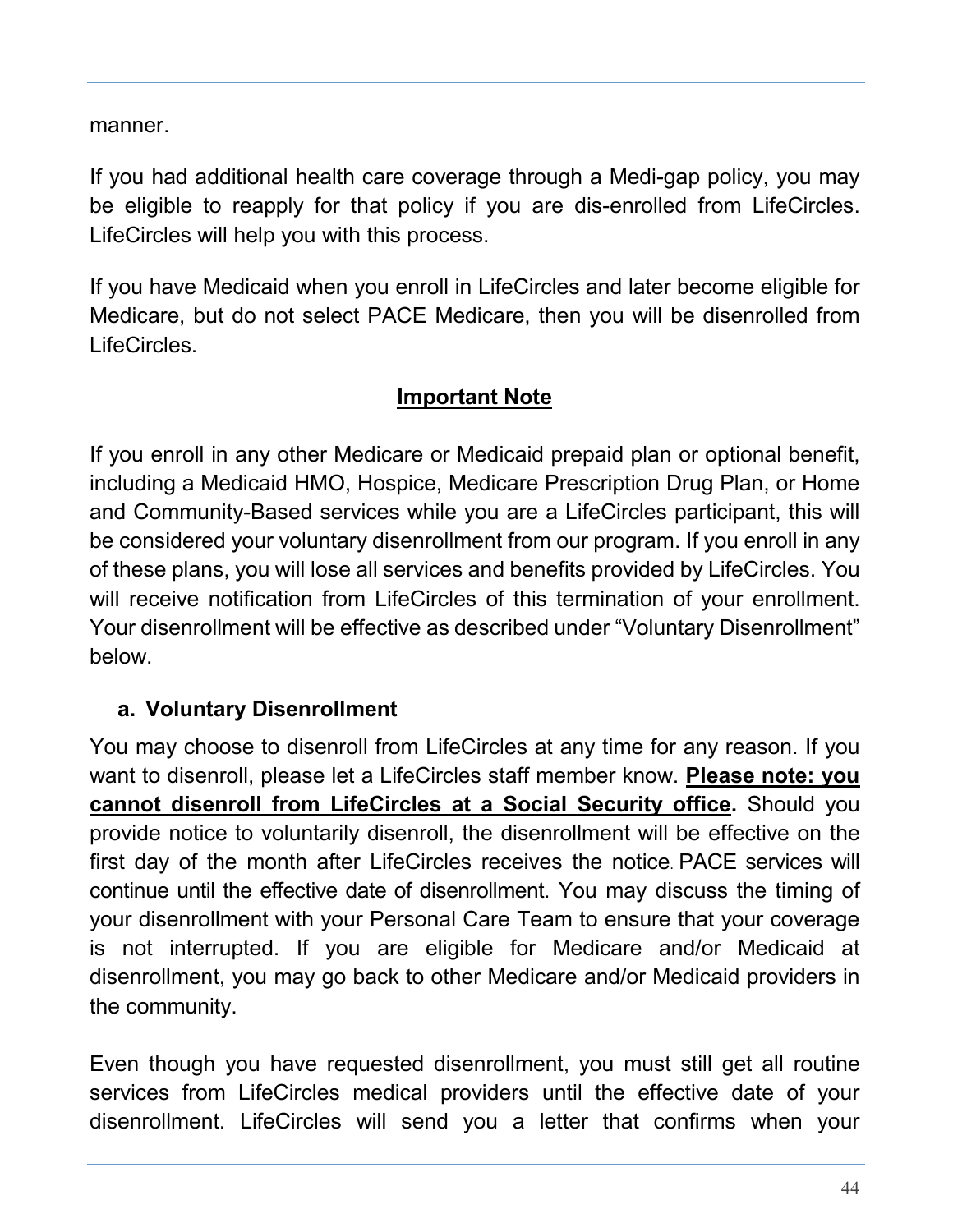manner.

If you had additional health care coverage through a Medi-gap policy, you may be eligible to reapply for that policy if you are dis-enrolled from LifeCircles. LifeCircles will help you with this process.

If you have Medicaid when you enroll in LifeCircles and later become eligible for Medicare, but do not select PACE Medicare, then you will be disenrolled from LifeCircles.

#### **Important Note**

If you enroll in any other Medicare or Medicaid prepaid plan or optional benefit, including a Medicaid HMO, Hospice, Medicare Prescription Drug Plan, or Home and Community-Based services while you are a LifeCircles participant, this will be considered your voluntary disenrollment from our program. If you enroll in any of these plans, you will lose all services and benefits provided by LifeCircles. You will receive notification from LifeCircles of this termination of your enrollment. Your disenrollment will be effective as described under "Voluntary Disenrollment" below.

#### <span id="page-43-0"></span>**a. Voluntary Disenrollment**

You may choose to disenroll from LifeCircles at any time for any reason. If you want to disenroll, please let a LifeCircles staff member know. **Please note: you cannot disenroll from LifeCircles at a Social Security office.** Should you provide notice to voluntarily disenroll, the disenrollment will be effective on the first day of the month after LifeCircles receives the notice. PACE services will continue until the effective date of disenrollment. You may discuss the timing of your disenrollment with your Personal Care Team to ensure that your coverage is not interrupted. If you are eligible for Medicare and/or Medicaid at disenrollment, you may go back to other Medicare and/or Medicaid providers in the community.

Even though you have requested disenrollment, you must still get all routine services from LifeCircles medical providers until the effective date of your disenrollment. LifeCircles will send you a letter that confirms when your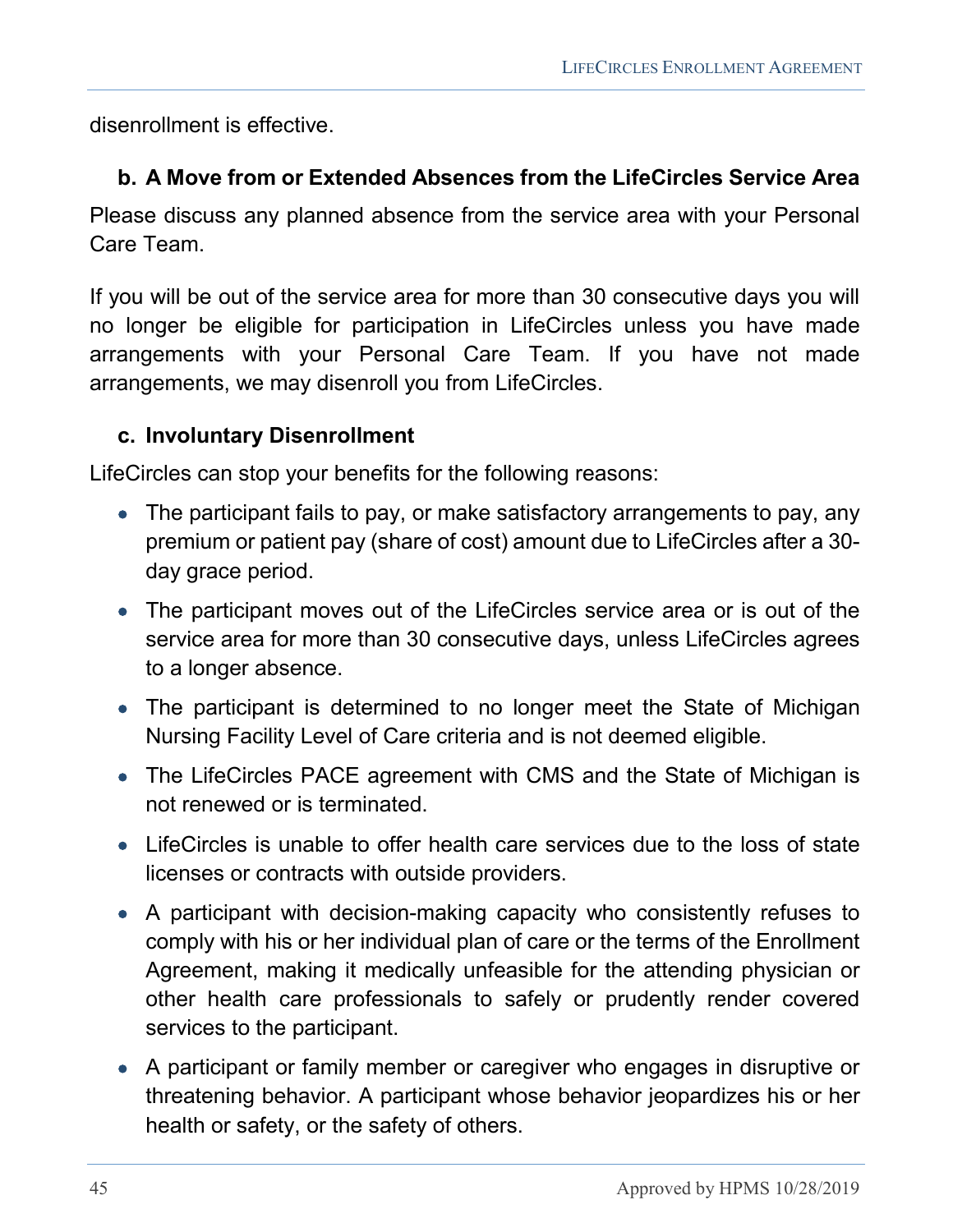disenrollment is effective.

#### <span id="page-44-0"></span>**b. A Move from or Extended Absences from the LifeCircles Service Area**

Please discuss any planned absence from the service area with your Personal Care Team.

If you will be out of the service area for more than 30 consecutive days you will no longer be eligible for participation in LifeCircles unless you have made arrangements with your Personal Care Team. If you have not made arrangements, we may disenroll you from LifeCircles.

#### <span id="page-44-1"></span>**c. Involuntary Disenrollment**

LifeCircles can stop your benefits for the following reasons:

- The participant fails to pay, or make satisfactory arrangements to pay, any premium or patient pay (share of cost) amount due to LifeCircles after a 30 day grace period.
- The participant moves out of the LifeCircles service area or is out of the service area for more than 30 consecutive days, unless LifeCircles agrees to a longer absence.
- The participant is determined to no longer meet the State of Michigan Nursing Facility Level of Care criteria and is not deemed eligible.
- The LifeCircles PACE agreement with CMS and the State of Michigan is not renewed or is terminated.
- LifeCircles is unable to offer health care services due to the loss of state licenses or contracts with outside providers.
- A participant with decision-making capacity who consistently refuses to comply with his or her individual plan of care or the terms of the Enrollment Agreement, making it medically unfeasible for the attending physician or other health care professionals to safely or prudently render covered services to the participant.
- A participant or family member or caregiver who engages in disruptive or threatening behavior. A participant whose behavior jeopardizes his or her health or safety, or the safety of others.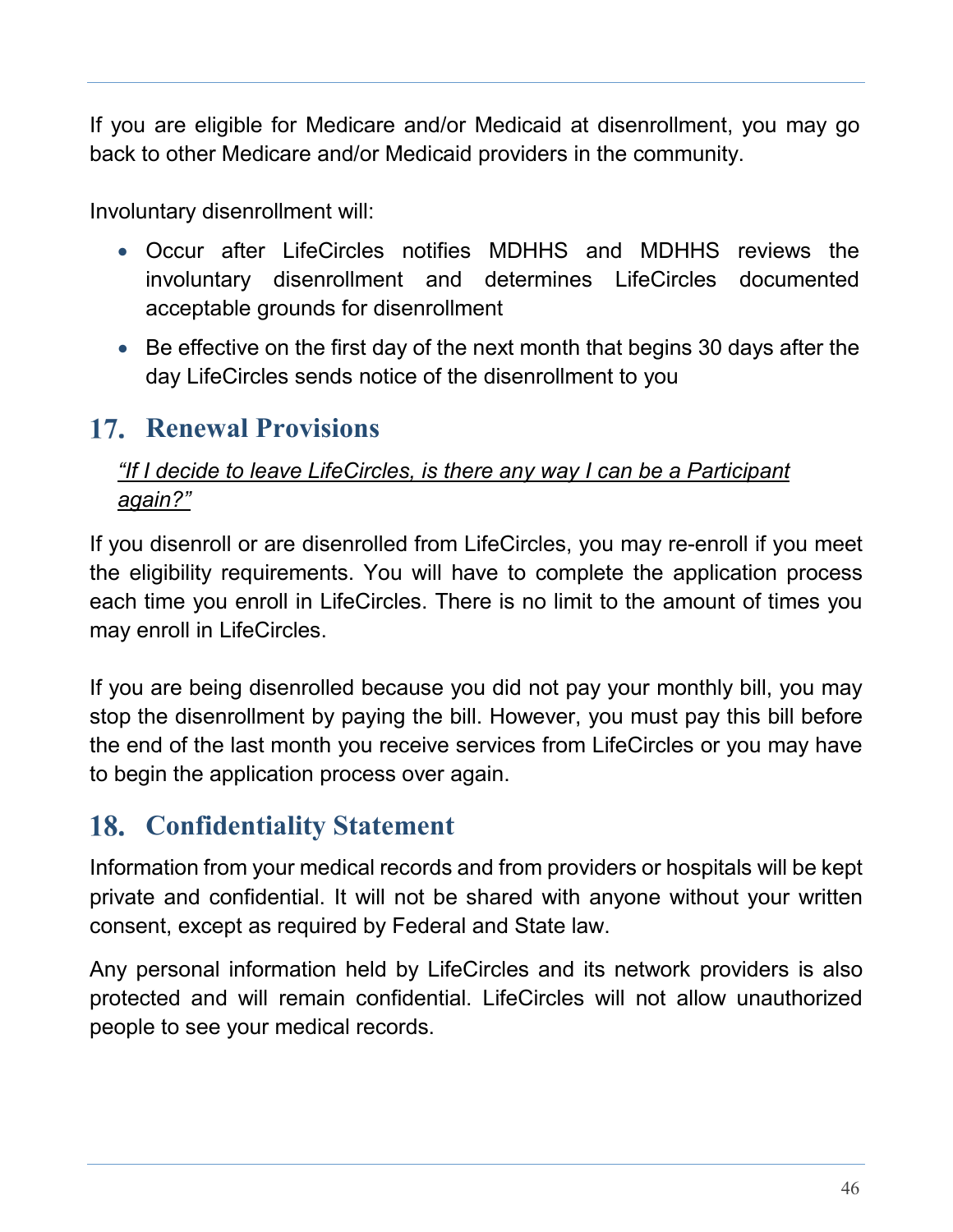If you are eligible for Medicare and/or Medicaid at disenrollment, you may go back to other Medicare and/or Medicaid providers in the community.

Involuntary disenrollment will:

- Occur after LifeCircles notifies MDHHS and MDHHS reviews the involuntary disenrollment and determines LifeCircles documented acceptable grounds for disenrollment
- Be effective on the first day of the next month that begins 30 days after the day LifeCircles sends notice of the disenrollment to you

# <span id="page-45-0"></span>**17. Renewal Provisions**

#### *"If I decide to leave LifeCircles, is there any way I can be a Participant again?"*

If you disenroll or are disenrolled from LifeCircles, you may re-enroll if you meet the eligibility requirements. You will have to complete the application process each time you enroll in LifeCircles. There is no limit to the amount of times you may enroll in LifeCircles.

If you are being disenrolled because you did not pay your monthly bill, you may stop the disenrollment by paying the bill. However, you must pay this bill before the end of the last month you receive services from LifeCircles or you may have to begin the application process over again.

# <span id="page-45-1"></span>**Confidentiality Statement**

Information from your medical records and from providers or hospitals will be kept private and confidential. It will not be shared with anyone without your written consent, except as required by Federal and State law.

Any personal information held by LifeCircles and its network providers is also protected and will remain confidential. LifeCircles will not allow unauthorized people to see your medical records.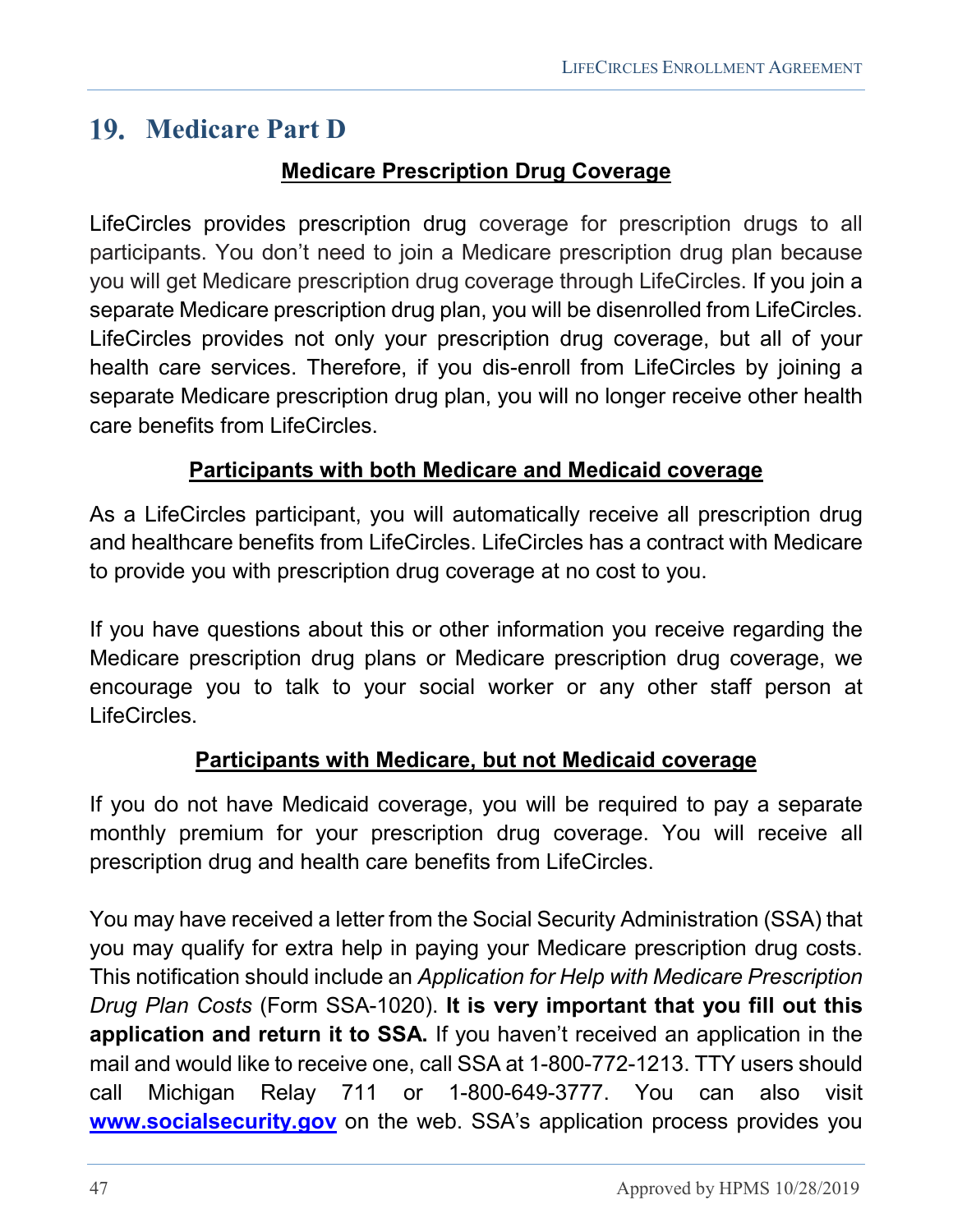# <span id="page-46-0"></span>**Medicare Part D**

#### **Medicare Prescription Drug Coverage**

LifeCircles provides prescription drug coverage for prescription drugs to all participants. You don't need to join a Medicare prescription drug plan because you will get Medicare prescription drug coverage through LifeCircles. If you join a separate Medicare prescription drug plan, you will be disenrolled from LifeCircles. LifeCircles provides not only your prescription drug coverage, but all of your health care services. Therefore, if you dis-enroll from LifeCircles by joining a separate Medicare prescription drug plan, you will no longer receive other health care benefits from LifeCircles.

#### **Participants with both Medicare and Medicaid coverage**

As a LifeCircles participant, you will automatically receive all prescription drug and healthcare benefits from LifeCircles. LifeCircles has a contract with Medicare to provide you with prescription drug coverage at no cost to you.

If you have questions about this or other information you receive regarding the Medicare prescription drug plans or Medicare prescription drug coverage, we encourage you to talk to your social worker or any other staff person at LifeCircles.

#### **Participants with Medicare, but not Medicaid coverage**

If you do not have Medicaid coverage, you will be required to pay a separate monthly premium for your prescription drug coverage. You will receive all prescription drug and health care benefits from LifeCircles.

You may have received a letter from the Social Security Administration (SSA) that you may qualify for extra help in paying your Medicare prescription drug costs. This notification should include an *Application for Help with Medicare Prescription Drug Plan Costs* (Form SSA-1020). **It is very important that you fill out this application and return it to SSA.** If you haven't received an application in the mail and would like to receive one, call SSA at 1-800-772-1213. TTY users should call Michigan Relay 711 or 1-800-649-3777. You can also visit **[www.socialsecurity.gov](http://www.ssa.gov/)** on the web. SSA's application process provides you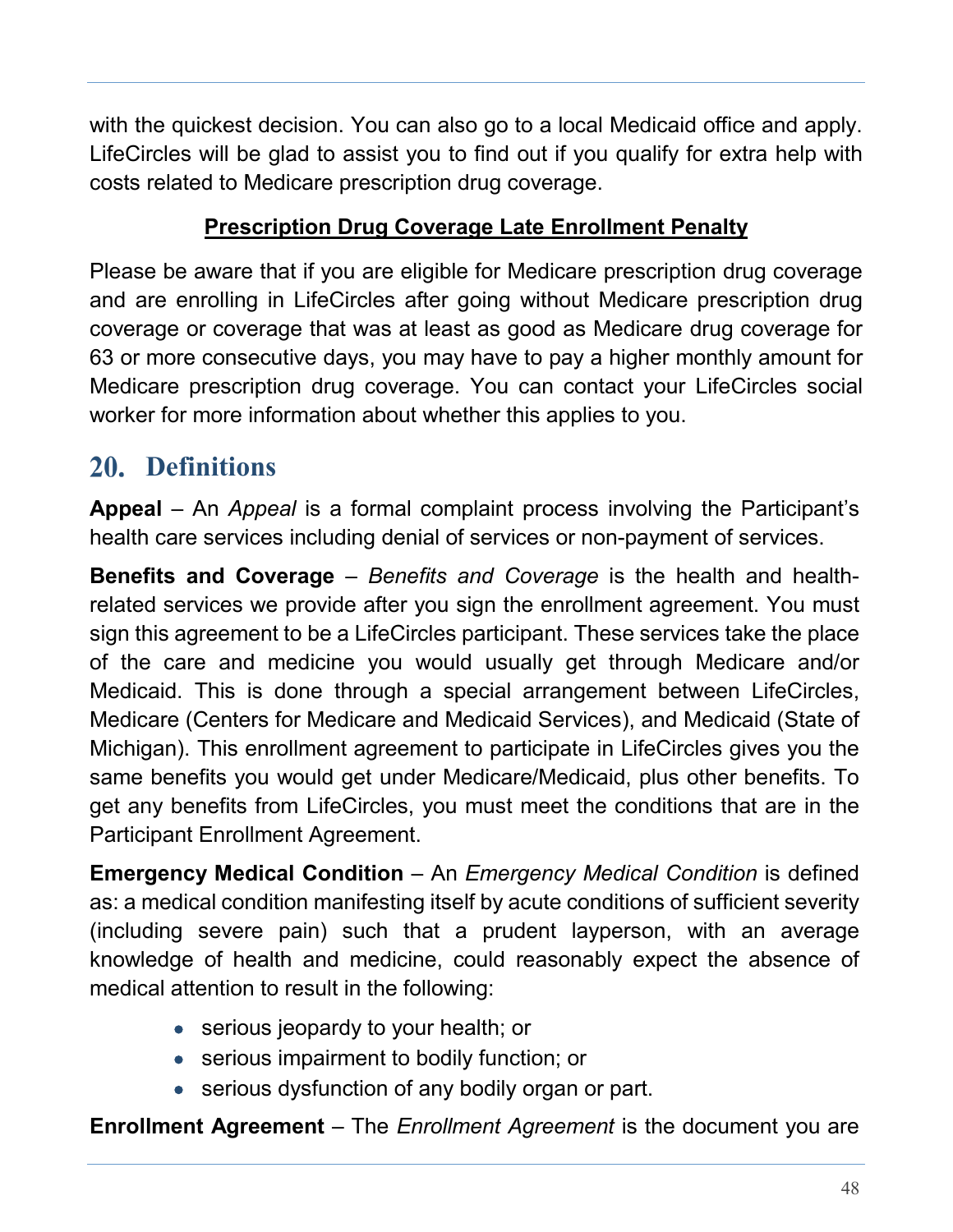with the quickest decision. You can also go to a local Medicaid office and apply. LifeCircles will be glad to assist you to find out if you qualify for extra help with costs related to Medicare prescription drug coverage.

### **Prescription Drug Coverage Late Enrollment Penalty**

Please be aware that if you are eligible for Medicare prescription drug coverage and are enrolling in LifeCircles after going without Medicare prescription drug coverage or coverage that was at least as good as Medicare drug coverage for 63 or more consecutive days, you may have to pay a higher monthly amount for Medicare prescription drug coverage. You can contact your LifeCircles social worker for more information about whether this applies to you.

# <span id="page-47-0"></span>**Definitions**

**Appeal** – An *Appeal* is a formal complaint process involving the Participant's health care services including denial of services or non-payment of services.

**Benefits and Coverage** – *Benefits and Coverage* is the health and healthrelated services we provide after you sign the enrollment agreement. You must sign this agreement to be a LifeCircles participant. These services take the place of the care and medicine you would usually get through Medicare and/or Medicaid. This is done through a special arrangement between LifeCircles, Medicare (Centers for Medicare and Medicaid Services), and Medicaid (State of Michigan). This enrollment agreement to participate in LifeCircles gives you the same benefits you would get under Medicare/Medicaid, plus other benefits. To get any benefits from LifeCircles, you must meet the conditions that are in the Participant Enrollment Agreement.

**Emergency Medical Condition** – An *Emergency Medical Condition* is defined as: a medical condition manifesting itself by acute conditions of sufficient severity (including severe pain) such that a prudent layperson, with an average knowledge of health and medicine, could reasonably expect the absence of medical attention to result in the following:

- serious jeopardy to your health; or
- serious impairment to bodily function; or
- serious dysfunction of any bodily organ or part.

**Enrollment Agreement** – The *Enrollment Agreement* is the document you are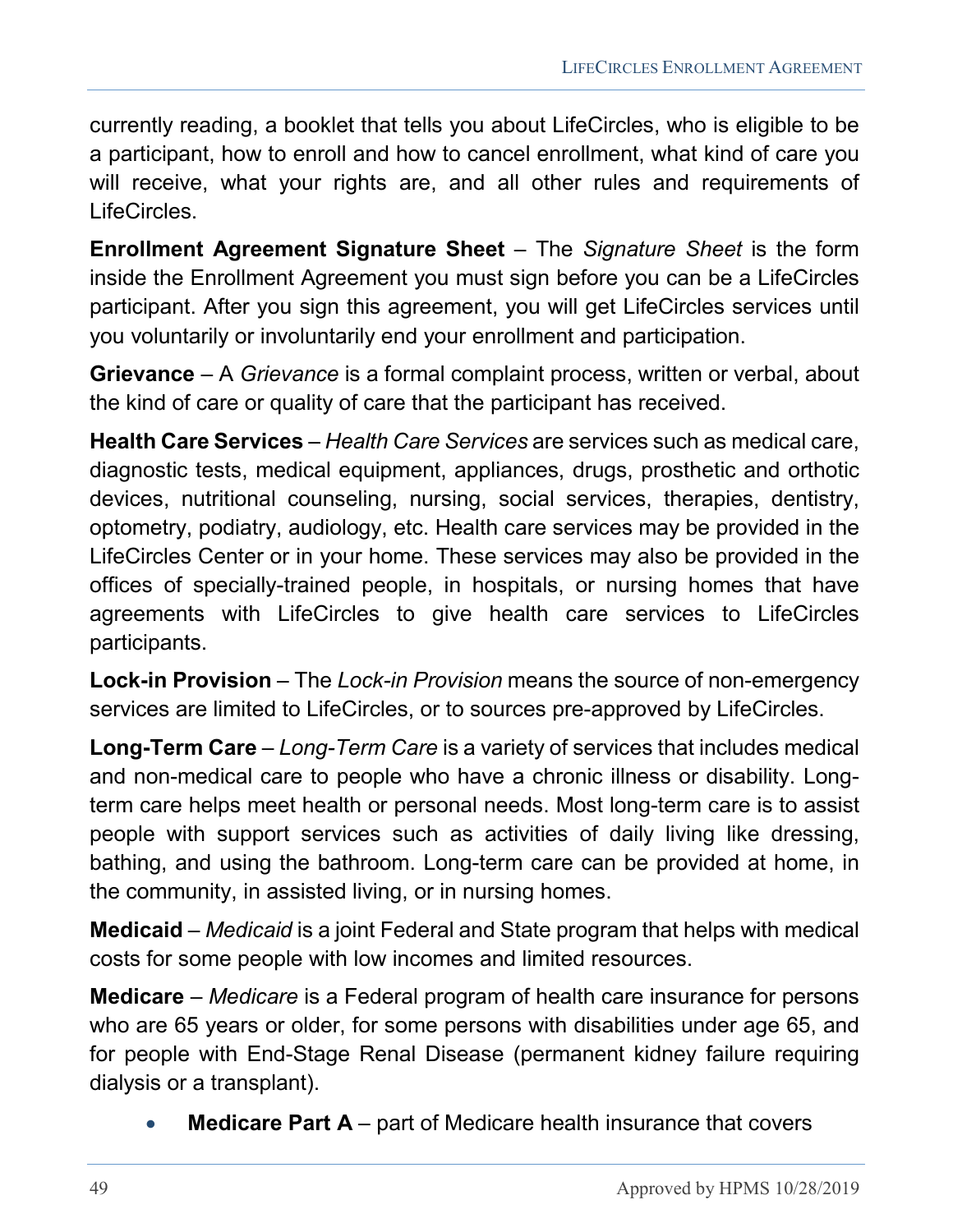currently reading, a booklet that tells you about LifeCircles, who is eligible to be a participant, how to enroll and how to cancel enrollment, what kind of care you will receive, what your rights are, and all other rules and requirements of LifeCircles.

**Enrollment Agreement Signature Sheet** – The *Signature Sheet* is the form inside the Enrollment Agreement you must sign before you can be a LifeCircles participant. After you sign this agreement, you will get LifeCircles services until you voluntarily or involuntarily end your enrollment and participation.

**Grievance** – A *Grievance* is a formal complaint process, written or verbal, about the kind of care or quality of care that the participant has received.

**Health Care Services** – *Health Care Services* are services such as medical care, diagnostic tests, medical equipment, appliances, drugs, prosthetic and orthotic devices, nutritional counseling, nursing, social services, therapies, dentistry, optometry, podiatry, audiology, etc. Health care services may be provided in the LifeCircles Center or in your home. These services may also be provided in the offices of specially-trained people, in hospitals, or nursing homes that have agreements with LifeCircles to give health care services to LifeCircles participants.

**Lock-in Provision** – The *Lock-in Provision* means the source of non-emergency services are limited to LifeCircles, or to sources pre-approved by LifeCircles.

**Long-Term Care** – *Long-Term Care* is a variety of services that includes medical and non-medical care to people who have a chronic illness or disability. Longterm care helps meet health or personal needs. Most long-term care is to assist people with support services such as activities of daily living like dressing, bathing, and using the bathroom. Long-term care can be provided at home, in the community, in assisted living, or in nursing homes.

**Medicaid** – *Medicaid* is a joint Federal and State program that helps with medical costs for some people with low incomes and limited resources.

**Medicare** – *Medicare* is a Federal program of health care insurance for persons who are 65 years or older, for some persons with disabilities under age 65, and for people with End-Stage Renal Disease (permanent kidney failure requiring dialysis or a transplant).

**Medicare Part A** – part of Medicare health insurance that covers